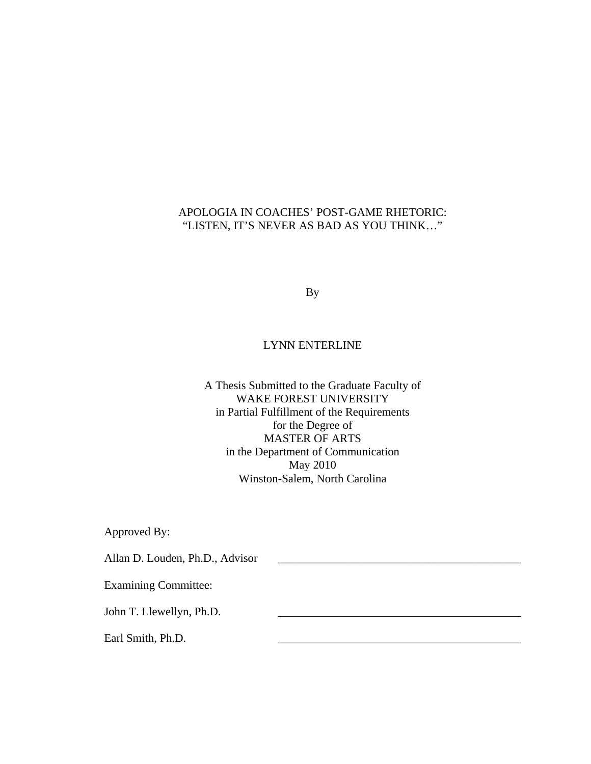### APOLOGIA IN COACHES' POST-GAME RHETORIC: "LISTEN, IT'S NEVER AS BAD AS YOU THINK…"

By

#### LYNN ENTERLINE

A Thesis Submitted to the Graduate Faculty of WAKE FOREST UNIVERSITY in Partial Fulfillment of the Requirements for the Degree of MASTER OF ARTS in the Department of Communication May 2010 Winston-Salem, North Carolina

Approved By:

Allan D. Louden, Ph.D., Advisor

Examining Committee:

John T. Llewellyn, Ph.D.

Earl Smith, Ph.D.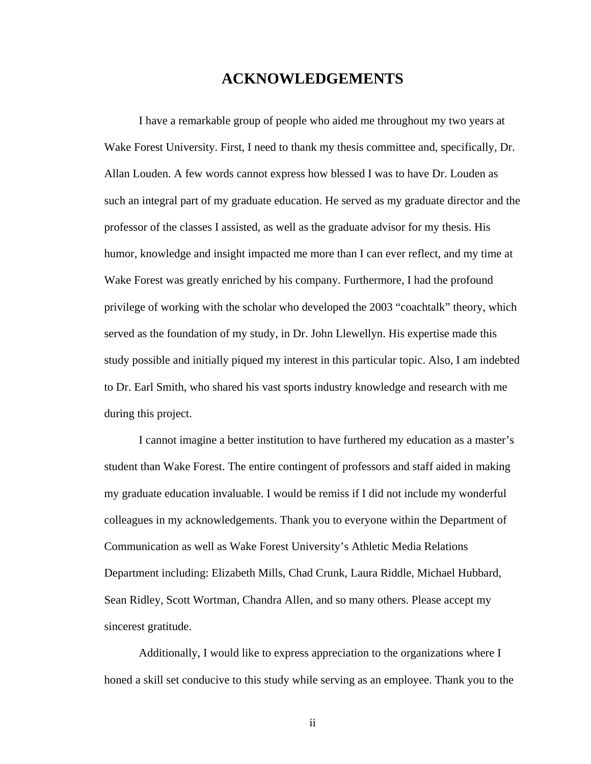### **ACKNOWLEDGEMENTS**

I have a remarkable group of people who aided me throughout my two years at Wake Forest University. First, I need to thank my thesis committee and, specifically, Dr. Allan Louden. A few words cannot express how blessed I was to have Dr. Louden as such an integral part of my graduate education. He served as my graduate director and the professor of the classes I assisted, as well as the graduate advisor for my thesis. His humor, knowledge and insight impacted me more than I can ever reflect, and my time at Wake Forest was greatly enriched by his company. Furthermore, I had the profound privilege of working with the scholar who developed the 2003 "coachtalk" theory, which served as the foundation of my study, in Dr. John Llewellyn. His expertise made this study possible and initially piqued my interest in this particular topic. Also, I am indebted to Dr. Earl Smith, who shared his vast sports industry knowledge and research with me during this project.

I cannot imagine a better institution to have furthered my education as a master's student than Wake Forest. The entire contingent of professors and staff aided in making my graduate education invaluable. I would be remiss if I did not include my wonderful colleagues in my acknowledgements. Thank you to everyone within the Department of Communication as well as Wake Forest University's Athletic Media Relations Department including: Elizabeth Mills, Chad Crunk, Laura Riddle, Michael Hubbard, Sean Ridley, Scott Wortman, Chandra Allen, and so many others. Please accept my sincerest gratitude.

Additionally, I would like to express appreciation to the organizations where I honed a skill set conducive to this study while serving as an employee. Thank you to the

ii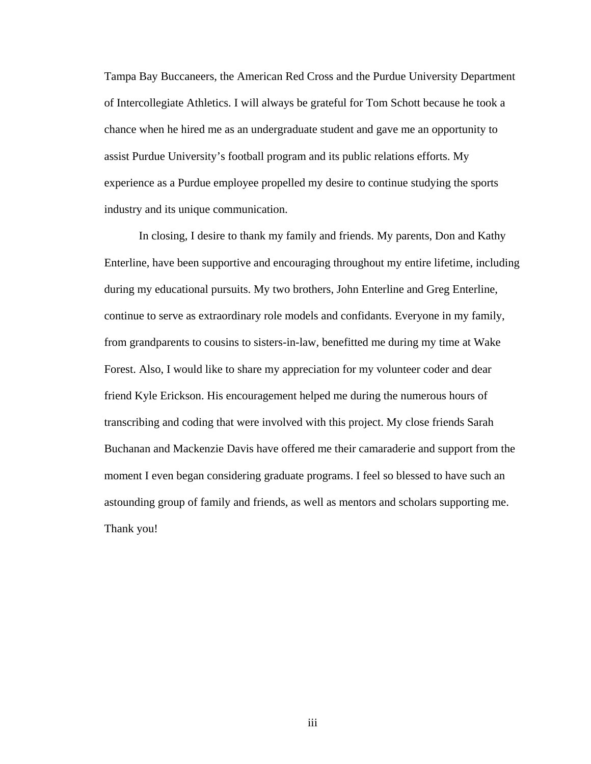Tampa Bay Buccaneers, the American Red Cross and the Purdue University Department of Intercollegiate Athletics. I will always be grateful for Tom Schott because he took a chance when he hired me as an undergraduate student and gave me an opportunity to assist Purdue University's football program and its public relations efforts. My experience as a Purdue employee propelled my desire to continue studying the sports industry and its unique communication.

In closing, I desire to thank my family and friends. My parents, Don and Kathy Enterline, have been supportive and encouraging throughout my entire lifetime, including during my educational pursuits. My two brothers, John Enterline and Greg Enterline, continue to serve as extraordinary role models and confidants. Everyone in my family, from grandparents to cousins to sisters-in-law, benefitted me during my time at Wake Forest. Also, I would like to share my appreciation for my volunteer coder and dear friend Kyle Erickson. His encouragement helped me during the numerous hours of transcribing and coding that were involved with this project. My close friends Sarah Buchanan and Mackenzie Davis have offered me their camaraderie and support from the moment I even began considering graduate programs. I feel so blessed to have such an astounding group of family and friends, as well as mentors and scholars supporting me. Thank you!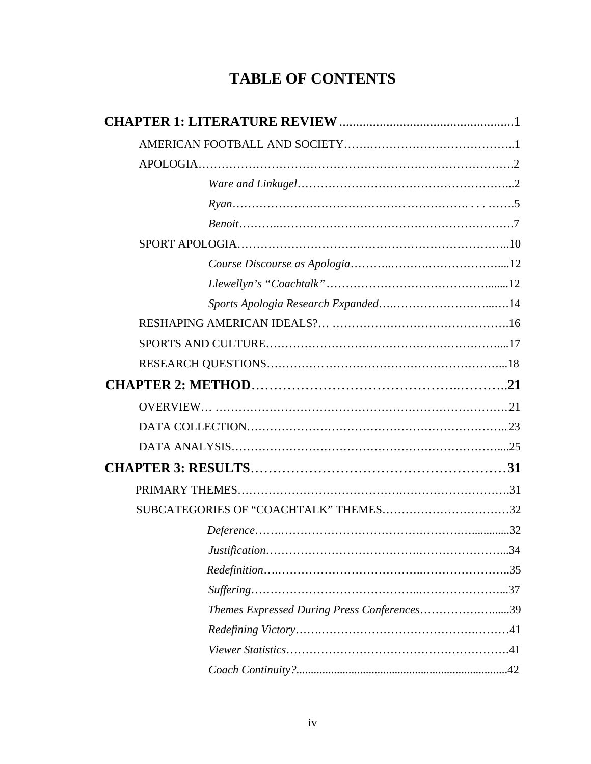# **TABLE OF CONTENTS**

| SUBCATEGORIES OF "COACHTALK" THEMES32       |  |
|---------------------------------------------|--|
|                                             |  |
|                                             |  |
|                                             |  |
|                                             |  |
| Themes Expressed During Press Conferences39 |  |
|                                             |  |
|                                             |  |
|                                             |  |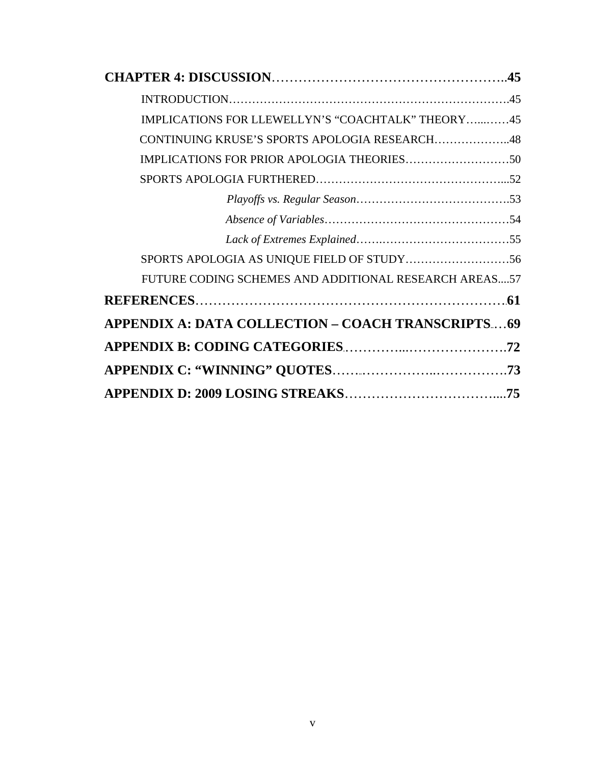| IMPLICATIONS FOR LLEWELLYN'S "COACHTALK" THEORY45     |
|-------------------------------------------------------|
| CONTINUING KRUSE'S SPORTS APOLOGIA RESEARCH48         |
|                                                       |
|                                                       |
|                                                       |
|                                                       |
|                                                       |
|                                                       |
| FUTURE CODING SCHEMES AND ADDITIONAL RESEARCH AREAS57 |
|                                                       |
| APPENDIX A: DATA COLLECTION - COACH TRANSCRIPTS69     |
|                                                       |
|                                                       |
|                                                       |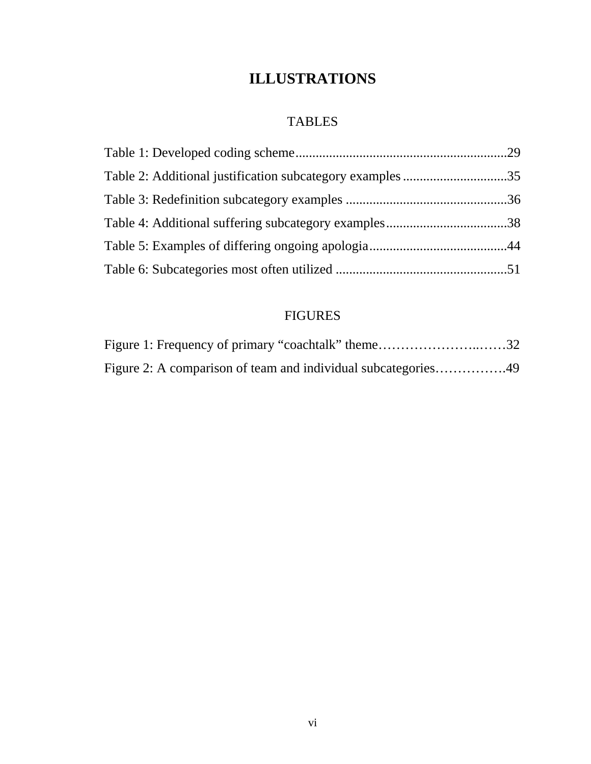# **ILLUSTRATIONS**

# TABLES

# FIGURES

| Figure 1: Frequency of primary "coachtalk" theme32 |  |
|----------------------------------------------------|--|
|                                                    |  |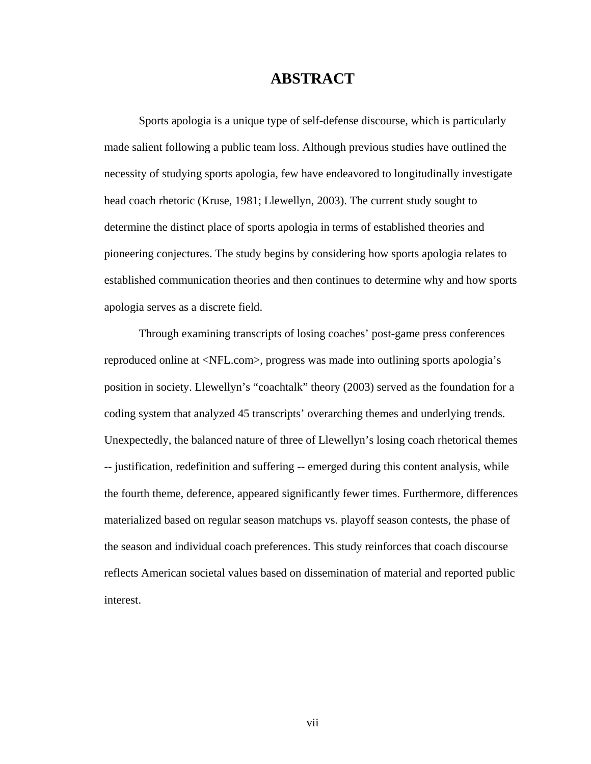## **ABSTRACT**

Sports apologia is a unique type of self-defense discourse, which is particularly made salient following a public team loss. Although previous studies have outlined the necessity of studying sports apologia, few have endeavored to longitudinally investigate head coach rhetoric (Kruse, 1981; Llewellyn, 2003). The current study sought to determine the distinct place of sports apologia in terms of established theories and pioneering conjectures. The study begins by considering how sports apologia relates to established communication theories and then continues to determine why and how sports apologia serves as a discrete field.

Through examining transcripts of losing coaches' post-game press conferences reproduced online at <NFL.com>, progress was made into outlining sports apologia's position in society. Llewellyn's "coachtalk" theory (2003) served as the foundation for a coding system that analyzed 45 transcripts' overarching themes and underlying trends. Unexpectedly, the balanced nature of three of Llewellyn's losing coach rhetorical themes -- justification, redefinition and suffering -- emerged during this content analysis, while the fourth theme, deference, appeared significantly fewer times. Furthermore, differences materialized based on regular season matchups vs. playoff season contests, the phase of the season and individual coach preferences. This study reinforces that coach discourse reflects American societal values based on dissemination of material and reported public interest.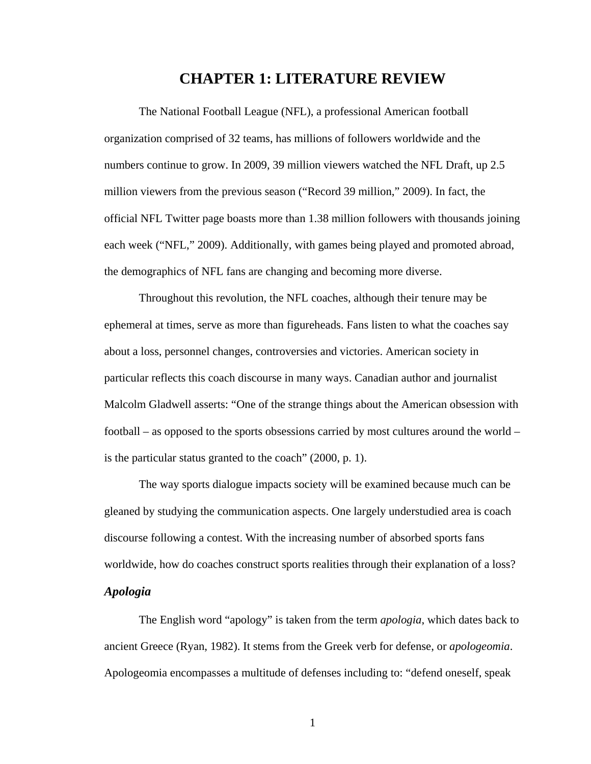## **CHAPTER 1: LITERATURE REVIEW**

The National Football League (NFL), a professional American football organization comprised of 32 teams, has millions of followers worldwide and the numbers continue to grow. In 2009, 39 million viewers watched the NFL Draft, up 2.5 million viewers from the previous season ("Record 39 million," 2009). In fact, the official NFL Twitter page boasts more than 1.38 million followers with thousands joining each week ("NFL," 2009). Additionally, with games being played and promoted abroad, the demographics of NFL fans are changing and becoming more diverse.

Throughout this revolution, the NFL coaches, although their tenure may be ephemeral at times, serve as more than figureheads. Fans listen to what the coaches say about a loss, personnel changes, controversies and victories. American society in particular reflects this coach discourse in many ways. Canadian author and journalist Malcolm Gladwell asserts: "One of the strange things about the American obsession with football – as opposed to the sports obsessions carried by most cultures around the world – is the particular status granted to the coach" (2000, p. 1).

The way sports dialogue impacts society will be examined because much can be gleaned by studying the communication aspects. One largely understudied area is coach discourse following a contest. With the increasing number of absorbed sports fans worldwide, how do coaches construct sports realities through their explanation of a loss? *Apologia* 

The English word "apology" is taken from the term *apologia*, which dates back to ancient Greece (Ryan, 1982). It stems from the Greek verb for defense, or *apologeomia*. Apologeomia encompasses a multitude of defenses including to: "defend oneself, speak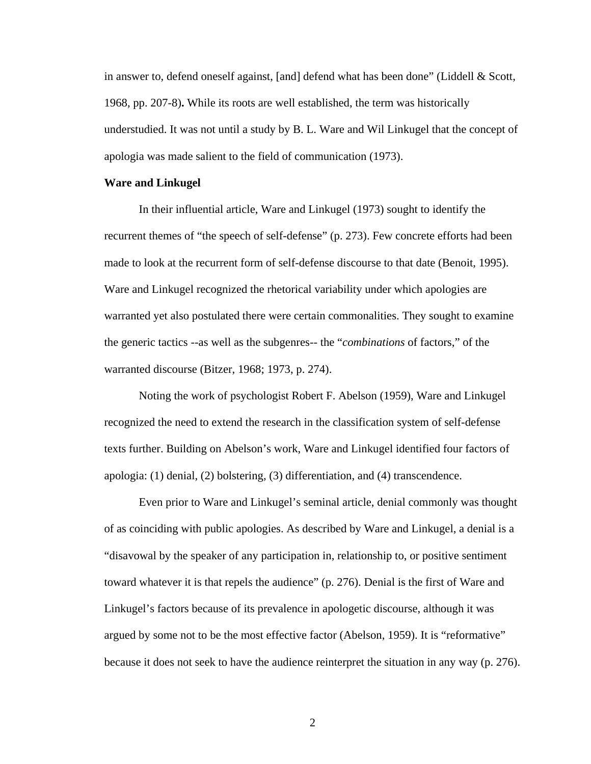in answer to, defend oneself against, [and] defend what has been done" (Liddell & Scott, 1968, pp. 207-8)**.** While its roots are well established, the term was historically understudied. It was not until a study by B. L. Ware and Wil Linkugel that the concept of apologia was made salient to the field of communication (1973).

#### **Ware and Linkugel**

In their influential article, Ware and Linkugel (1973) sought to identify the recurrent themes of "the speech of self-defense" (p. 273). Few concrete efforts had been made to look at the recurrent form of self-defense discourse to that date (Benoit, 1995). Ware and Linkugel recognized the rhetorical variability under which apologies are warranted yet also postulated there were certain commonalities. They sought to examine the generic tactics --as well as the subgenres-- the "*combinations* of factors," of the warranted discourse (Bitzer, 1968; 1973, p. 274).

Noting the work of psychologist Robert F. Abelson (1959), Ware and Linkugel recognized the need to extend the research in the classification system of self-defense texts further. Building on Abelson's work, Ware and Linkugel identified four factors of apologia: (1) denial, (2) bolstering, (3) differentiation, and (4) transcendence.

Even prior to Ware and Linkugel's seminal article, denial commonly was thought of as coinciding with public apologies. As described by Ware and Linkugel, a denial is a "disavowal by the speaker of any participation in, relationship to, or positive sentiment toward whatever it is that repels the audience" (p. 276). Denial is the first of Ware and Linkugel's factors because of its prevalence in apologetic discourse, although it was argued by some not to be the most effective factor (Abelson, 1959). It is "reformative" because it does not seek to have the audience reinterpret the situation in any way (p. 276).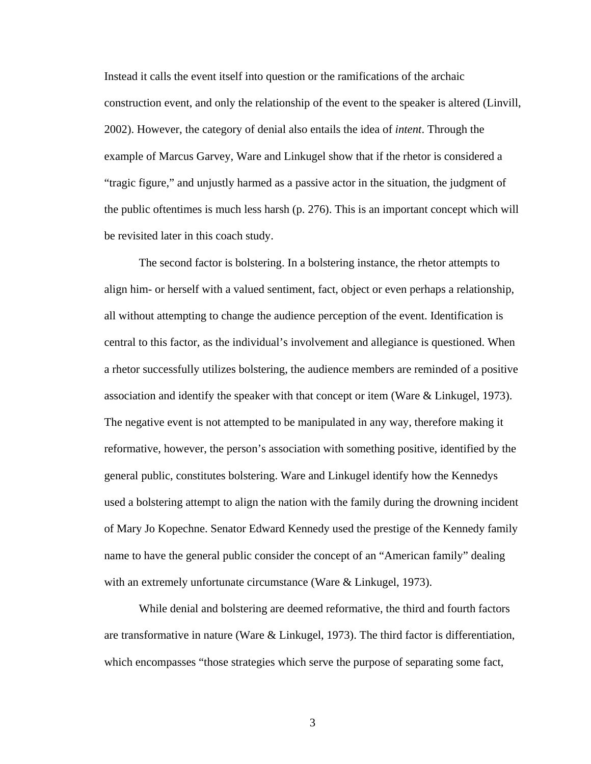Instead it calls the event itself into question or the ramifications of the archaic construction event, and only the relationship of the event to the speaker is altered (Linvill, 2002). However, the category of denial also entails the idea of *intent*. Through the example of Marcus Garvey, Ware and Linkugel show that if the rhetor is considered a "tragic figure," and unjustly harmed as a passive actor in the situation, the judgment of the public oftentimes is much less harsh (p. 276). This is an important concept which will be revisited later in this coach study.

The second factor is bolstering. In a bolstering instance, the rhetor attempts to align him- or herself with a valued sentiment, fact, object or even perhaps a relationship, all without attempting to change the audience perception of the event. Identification is central to this factor, as the individual's involvement and allegiance is questioned. When a rhetor successfully utilizes bolstering, the audience members are reminded of a positive association and identify the speaker with that concept or item (Ware & Linkugel, 1973). The negative event is not attempted to be manipulated in any way, therefore making it reformative, however, the person's association with something positive, identified by the general public, constitutes bolstering. Ware and Linkugel identify how the Kennedys used a bolstering attempt to align the nation with the family during the drowning incident of Mary Jo Kopechne. Senator Edward Kennedy used the prestige of the Kennedy family name to have the general public consider the concept of an "American family" dealing with an extremely unfortunate circumstance (Ware & Linkugel, 1973).

While denial and bolstering are deemed reformative, the third and fourth factors are transformative in nature (Ware & Linkugel, 1973). The third factor is differentiation, which encompasses "those strategies which serve the purpose of separating some fact,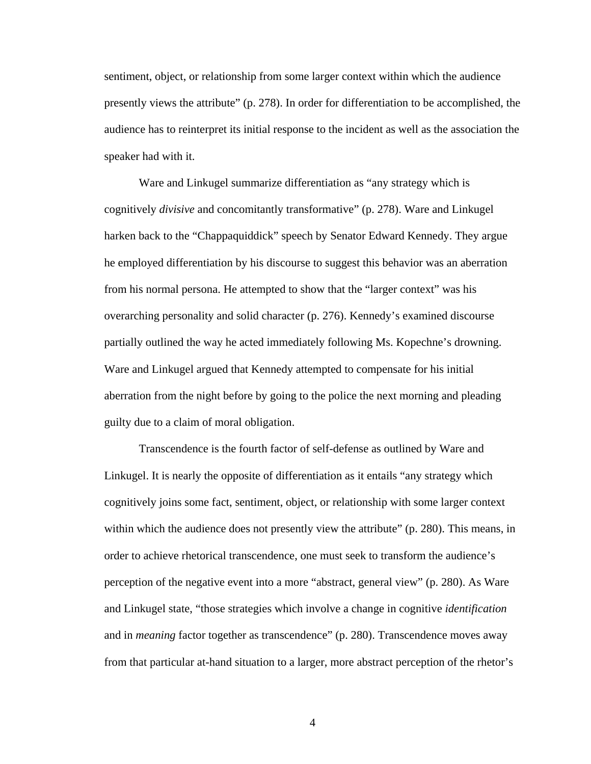sentiment, object, or relationship from some larger context within which the audience presently views the attribute" (p. 278). In order for differentiation to be accomplished, the audience has to reinterpret its initial response to the incident as well as the association the speaker had with it.

Ware and Linkugel summarize differentiation as "any strategy which is cognitively *divisive* and concomitantly transformative" (p. 278). Ware and Linkugel harken back to the "Chappaquiddick" speech by Senator Edward Kennedy. They argue he employed differentiation by his discourse to suggest this behavior was an aberration from his normal persona. He attempted to show that the "larger context" was his overarching personality and solid character (p. 276). Kennedy's examined discourse partially outlined the way he acted immediately following Ms. Kopechne's drowning. Ware and Linkugel argued that Kennedy attempted to compensate for his initial aberration from the night before by going to the police the next morning and pleading guilty due to a claim of moral obligation.

Transcendence is the fourth factor of self-defense as outlined by Ware and Linkugel. It is nearly the opposite of differentiation as it entails "any strategy which cognitively joins some fact, sentiment, object, or relationship with some larger context within which the audience does not presently view the attribute" (p. 280). This means, in order to achieve rhetorical transcendence, one must seek to transform the audience's perception of the negative event into a more "abstract, general view" (p. 280). As Ware and Linkugel state, "those strategies which involve a change in cognitive *identification* and in *meaning* factor together as transcendence" (p. 280). Transcendence moves away from that particular at-hand situation to a larger, more abstract perception of the rhetor's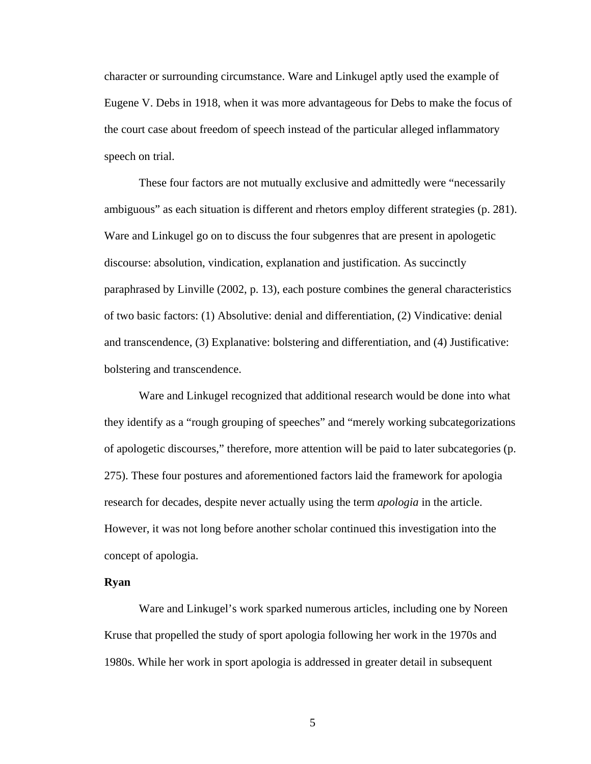character or surrounding circumstance. Ware and Linkugel aptly used the example of Eugene V. Debs in 1918, when it was more advantageous for Debs to make the focus of the court case about freedom of speech instead of the particular alleged inflammatory speech on trial.

These four factors are not mutually exclusive and admittedly were "necessarily ambiguous" as each situation is different and rhetors employ different strategies (p. 281). Ware and Linkugel go on to discuss the four subgenres that are present in apologetic discourse: absolution, vindication, explanation and justification. As succinctly paraphrased by Linville (2002, p. 13), each posture combines the general characteristics of two basic factors: (1) Absolutive: denial and differentiation, (2) Vindicative: denial and transcendence, (3) Explanative: bolstering and differentiation, and (4) Justificative: bolstering and transcendence.

Ware and Linkugel recognized that additional research would be done into what they identify as a "rough grouping of speeches" and "merely working subcategorizations of apologetic discourses," therefore, more attention will be paid to later subcategories (p. 275). These four postures and aforementioned factors laid the framework for apologia research for decades, despite never actually using the term *apologia* in the article. However, it was not long before another scholar continued this investigation into the concept of apologia.

#### **Ryan**

Ware and Linkugel's work sparked numerous articles, including one by Noreen Kruse that propelled the study of sport apologia following her work in the 1970s and 1980s. While her work in sport apologia is addressed in greater detail in subsequent

 $\overline{5}$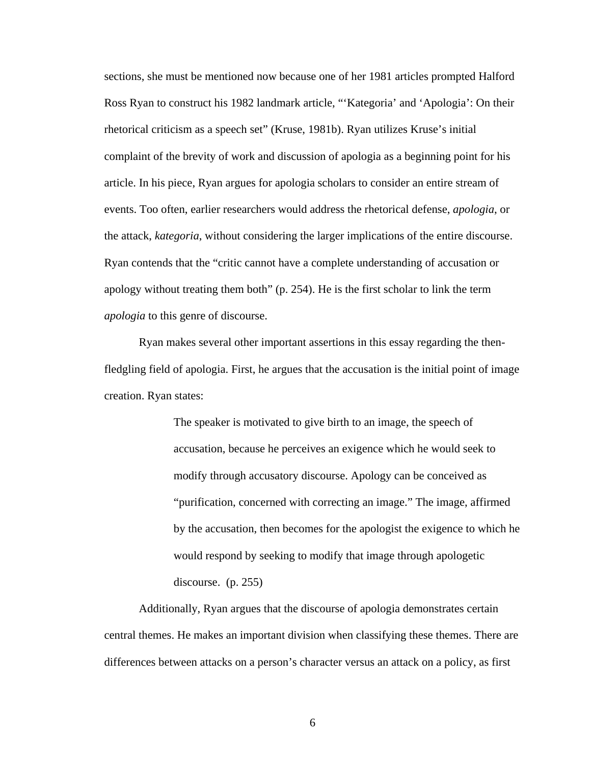sections, she must be mentioned now because one of her 1981 articles prompted Halford Ross Ryan to construct his 1982 landmark article, "'Kategoria' and 'Apologia': On their rhetorical criticism as a speech set" (Kruse, 1981b). Ryan utilizes Kruse's initial complaint of the brevity of work and discussion of apologia as a beginning point for his article. In his piece, Ryan argues for apologia scholars to consider an entire stream of events. Too often, earlier researchers would address the rhetorical defense, *apologia*, or the attack, *kategoria*, without considering the larger implications of the entire discourse. Ryan contends that the "critic cannot have a complete understanding of accusation or apology without treating them both" (p. 254). He is the first scholar to link the term *apologia* to this genre of discourse.

Ryan makes several other important assertions in this essay regarding the thenfledgling field of apologia. First, he argues that the accusation is the initial point of image creation. Ryan states:

> The speaker is motivated to give birth to an image, the speech of accusation, because he perceives an exigence which he would seek to modify through accusatory discourse. Apology can be conceived as "purification, concerned with correcting an image." The image, affirmed by the accusation, then becomes for the apologist the exigence to which he would respond by seeking to modify that image through apologetic discourse. (p. 255)

 Additionally, Ryan argues that the discourse of apologia demonstrates certain central themes. He makes an important division when classifying these themes. There are differences between attacks on a person's character versus an attack on a policy, as first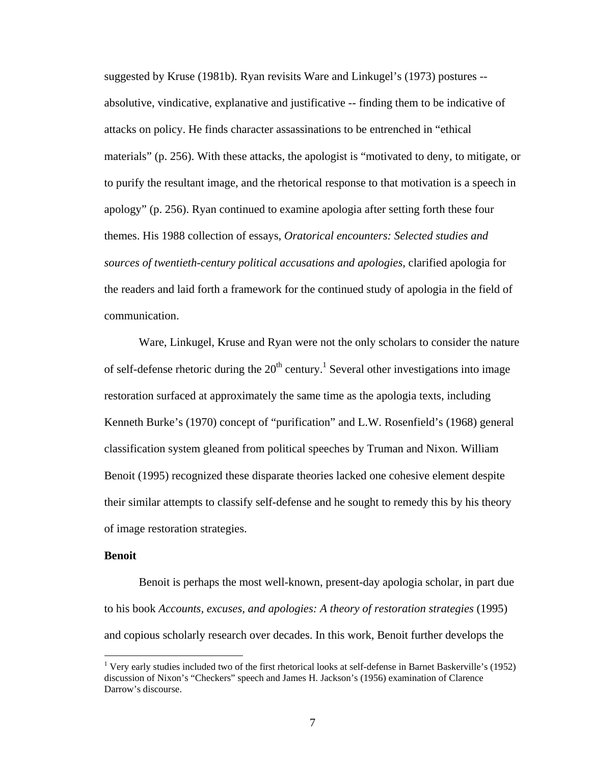suggested by Kruse (1981b). Ryan revisits Ware and Linkugel's (1973) postures - absolutive, vindicative, explanative and justificative -- finding them to be indicative of attacks on policy. He finds character assassinations to be entrenched in "ethical materials" (p. 256). With these attacks, the apologist is "motivated to deny, to mitigate, or to purify the resultant image, and the rhetorical response to that motivation is a speech in apology" (p. 256). Ryan continued to examine apologia after setting forth these four themes. His 1988 collection of essays, *Oratorical encounters: Selected studies and sources of twentieth-century political accusations and apologies*, clarified apologia for the readers and laid forth a framework for the continued study of apologia in the field of communication.

 Ware, Linkugel, Kruse and Ryan were not the only scholars to consider the nature of self-defense rhetoric during the  $20<sup>th</sup>$  century.<sup>1</sup> Several other investigations into image restoration surfaced at approximately the same time as the apologia texts, including Kenneth Burke's (1970) concept of "purification" and L.W. Rosenfield's (1968) general classification system gleaned from political speeches by Truman and Nixon. William Benoit (1995) recognized these disparate theories lacked one cohesive element despite their similar attempts to classify self-defense and he sought to remedy this by his theory of image restoration strategies.

#### **Benoit**

1

Benoit is perhaps the most well-known, present-day apologia scholar, in part due to his book *Accounts, excuses, and apologies: A theory of restoration strategies* (1995) and copious scholarly research over decades. In this work, Benoit further develops the

<sup>&</sup>lt;sup>1</sup> Very early studies included two of the first rhetorical looks at self-defense in Barnet Baskerville's (1952) discussion of Nixon's "Checkers" speech and James H. Jackson's (1956) examination of Clarence Darrow's discourse.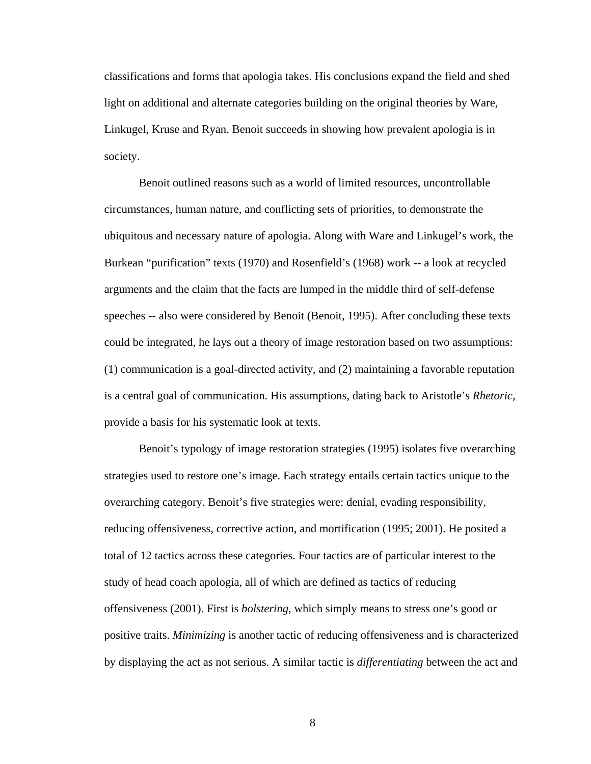classifications and forms that apologia takes. His conclusions expand the field and shed light on additional and alternate categories building on the original theories by Ware, Linkugel, Kruse and Ryan. Benoit succeeds in showing how prevalent apologia is in society.

Benoit outlined reasons such as a world of limited resources, uncontrollable circumstances, human nature, and conflicting sets of priorities, to demonstrate the ubiquitous and necessary nature of apologia. Along with Ware and Linkugel's work, the Burkean "purification" texts (1970) and Rosenfield's (1968) work -- a look at recycled arguments and the claim that the facts are lumped in the middle third of self-defense speeches -- also were considered by Benoit (Benoit, 1995). After concluding these texts could be integrated, he lays out a theory of image restoration based on two assumptions: (1) communication is a goal-directed activity, and (2) maintaining a favorable reputation is a central goal of communication. His assumptions, dating back to Aristotle's *Rhetoric*, provide a basis for his systematic look at texts.

Benoit's typology of image restoration strategies (1995) isolates five overarching strategies used to restore one's image. Each strategy entails certain tactics unique to the overarching category. Benoit's five strategies were: denial, evading responsibility, reducing offensiveness, corrective action, and mortification (1995; 2001). He posited a total of 12 tactics across these categories. Four tactics are of particular interest to the study of head coach apologia, all of which are defined as tactics of reducing offensiveness (2001). First is *bolstering*, which simply means to stress one's good or positive traits. *Minimizing* is another tactic of reducing offensiveness and is characterized by displaying the act as not serious. A similar tactic is *differentiating* between the act and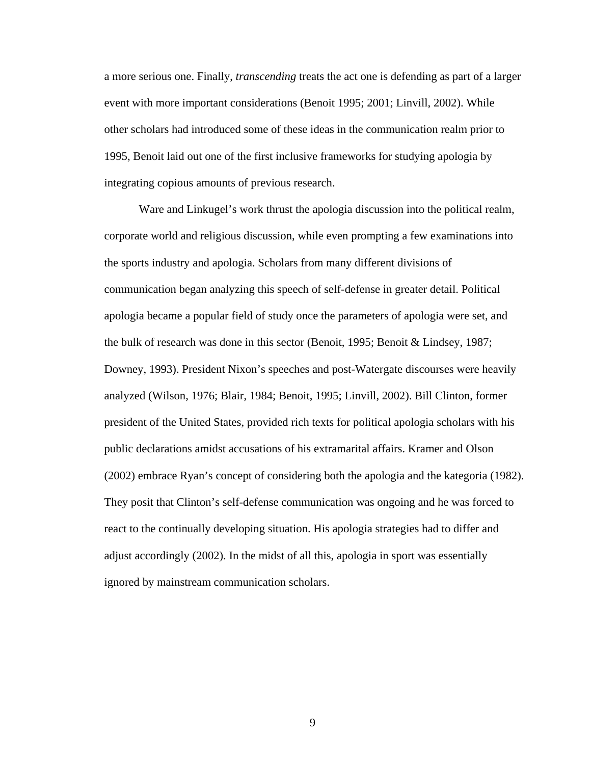a more serious one. Finally, *transcending* treats the act one is defending as part of a larger event with more important considerations (Benoit 1995; 2001; Linvill, 2002). While other scholars had introduced some of these ideas in the communication realm prior to 1995, Benoit laid out one of the first inclusive frameworks for studying apologia by integrating copious amounts of previous research.

Ware and Linkugel's work thrust the apologia discussion into the political realm, corporate world and religious discussion, while even prompting a few examinations into the sports industry and apologia. Scholars from many different divisions of communication began analyzing this speech of self-defense in greater detail. Political apologia became a popular field of study once the parameters of apologia were set, and the bulk of research was done in this sector (Benoit, 1995; Benoit & Lindsey, 1987; Downey, 1993). President Nixon's speeches and post-Watergate discourses were heavily analyzed (Wilson, 1976; Blair, 1984; Benoit, 1995; Linvill, 2002). Bill Clinton, former president of the United States, provided rich texts for political apologia scholars with his public declarations amidst accusations of his extramarital affairs. Kramer and Olson (2002) embrace Ryan's concept of considering both the apologia and the kategoria (1982). They posit that Clinton's self-defense communication was ongoing and he was forced to react to the continually developing situation. His apologia strategies had to differ and adjust accordingly (2002). In the midst of all this, apologia in sport was essentially ignored by mainstream communication scholars.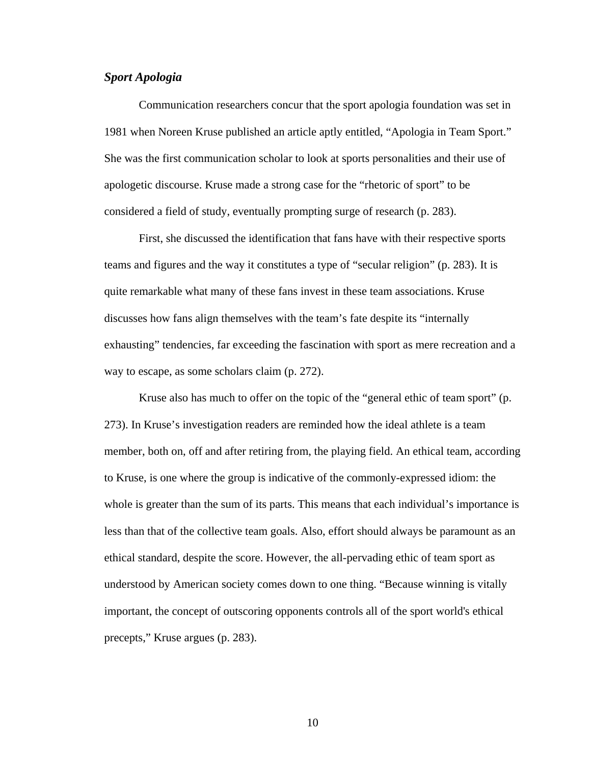#### *Sport Apologia*

Communication researchers concur that the sport apologia foundation was set in 1981 when Noreen Kruse published an article aptly entitled, "Apologia in Team Sport." She was the first communication scholar to look at sports personalities and their use of apologetic discourse. Kruse made a strong case for the "rhetoric of sport" to be considered a field of study, eventually prompting surge of research (p. 283).

First, she discussed the identification that fans have with their respective sports teams and figures and the way it constitutes a type of "secular religion" (p. 283). It is quite remarkable what many of these fans invest in these team associations. Kruse discusses how fans align themselves with the team's fate despite its "internally exhausting" tendencies, far exceeding the fascination with sport as mere recreation and a way to escape, as some scholars claim (p. 272).

Kruse also has much to offer on the topic of the "general ethic of team sport" (p. 273). In Kruse's investigation readers are reminded how the ideal athlete is a team member, both on, off and after retiring from, the playing field. An ethical team, according to Kruse, is one where the group is indicative of the commonly-expressed idiom: the whole is greater than the sum of its parts. This means that each individual's importance is less than that of the collective team goals. Also, effort should always be paramount as an ethical standard, despite the score. However, the all-pervading ethic of team sport as understood by American society comes down to one thing. "Because winning is vitally important, the concept of outscoring opponents controls all of the sport world's ethical precepts," Kruse argues (p. 283).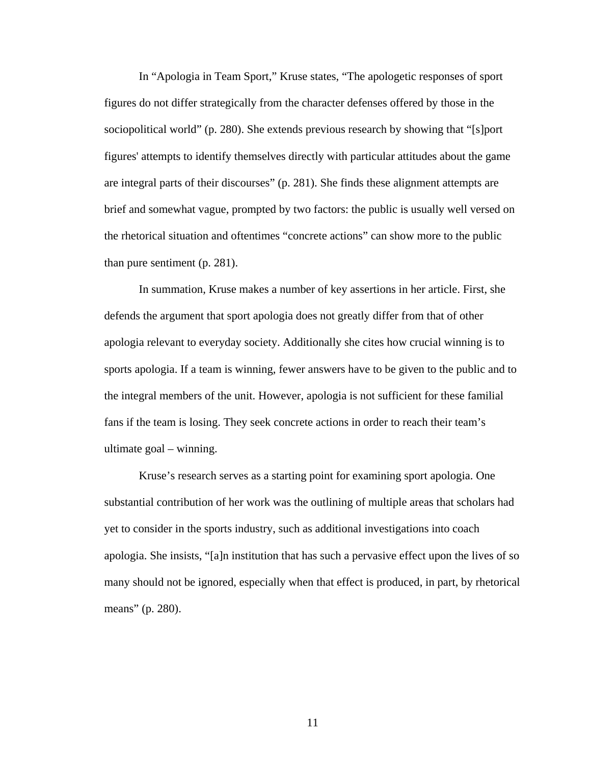In "Apologia in Team Sport," Kruse states, "The apologetic responses of sport figures do not differ strategically from the character defenses offered by those in the sociopolitical world" (p. 280). She extends previous research by showing that "[s]port figures' attempts to identify themselves directly with particular attitudes about the game are integral parts of their discourses" (p. 281). She finds these alignment attempts are brief and somewhat vague, prompted by two factors: the public is usually well versed on the rhetorical situation and oftentimes "concrete actions" can show more to the public than pure sentiment (p. 281).

In summation, Kruse makes a number of key assertions in her article. First, she defends the argument that sport apologia does not greatly differ from that of other apologia relevant to everyday society. Additionally she cites how crucial winning is to sports apologia. If a team is winning, fewer answers have to be given to the public and to the integral members of the unit. However, apologia is not sufficient for these familial fans if the team is losing. They seek concrete actions in order to reach their team's ultimate goal – winning.

Kruse's research serves as a starting point for examining sport apologia. One substantial contribution of her work was the outlining of multiple areas that scholars had yet to consider in the sports industry, such as additional investigations into coach apologia. She insists, "[a]n institution that has such a pervasive effect upon the lives of so many should not be ignored, especially when that effect is produced, in part, by rhetorical means" (p. 280).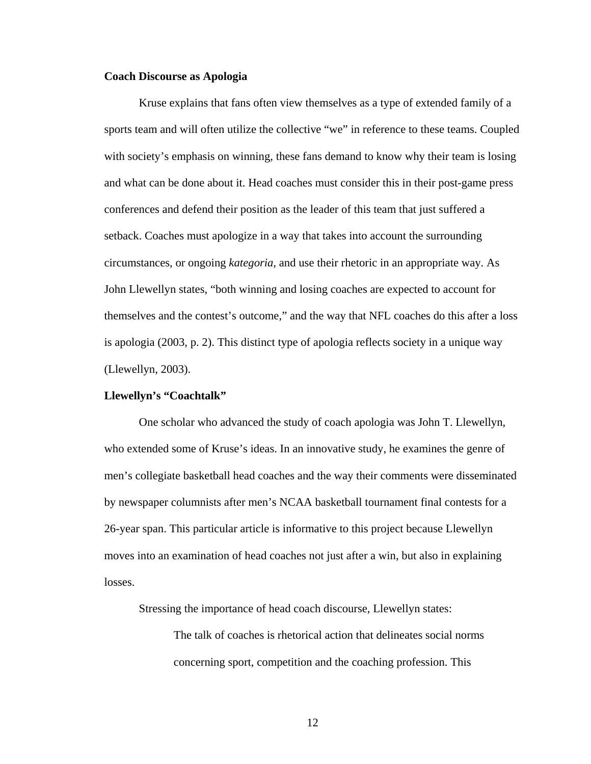#### **Coach Discourse as Apologia**

 Kruse explains that fans often view themselves as a type of extended family of a sports team and will often utilize the collective "we" in reference to these teams. Coupled with society's emphasis on winning, these fans demand to know why their team is losing and what can be done about it. Head coaches must consider this in their post-game press conferences and defend their position as the leader of this team that just suffered a setback. Coaches must apologize in a way that takes into account the surrounding circumstances, or ongoing *kategoria*, and use their rhetoric in an appropriate way. As John Llewellyn states, "both winning and losing coaches are expected to account for themselves and the contest's outcome," and the way that NFL coaches do this after a loss is apologia (2003, p. 2). This distinct type of apologia reflects society in a unique way (Llewellyn, 2003).

#### **Llewellyn's "Coachtalk"**

One scholar who advanced the study of coach apologia was John T. Llewellyn, who extended some of Kruse's ideas. In an innovative study, he examines the genre of men's collegiate basketball head coaches and the way their comments were disseminated by newspaper columnists after men's NCAA basketball tournament final contests for a 26-year span. This particular article is informative to this project because Llewellyn moves into an examination of head coaches not just after a win, but also in explaining losses.

Stressing the importance of head coach discourse, Llewellyn states:

The talk of coaches is rhetorical action that delineates social norms concerning sport, competition and the coaching profession. This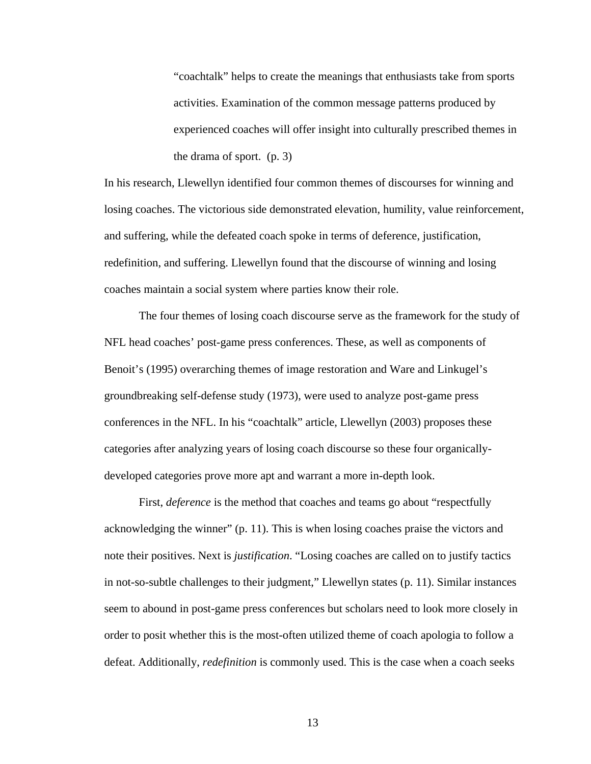"coachtalk" helps to create the meanings that enthusiasts take from sports activities. Examination of the common message patterns produced by experienced coaches will offer insight into culturally prescribed themes in the drama of sport. (p. 3)

In his research, Llewellyn identified four common themes of discourses for winning and losing coaches. The victorious side demonstrated elevation, humility, value reinforcement, and suffering, while the defeated coach spoke in terms of deference, justification, redefinition, and suffering. Llewellyn found that the discourse of winning and losing coaches maintain a social system where parties know their role.

 The four themes of losing coach discourse serve as the framework for the study of NFL head coaches' post-game press conferences. These, as well as components of Benoit's (1995) overarching themes of image restoration and Ware and Linkugel's groundbreaking self-defense study (1973), were used to analyze post-game press conferences in the NFL. In his "coachtalk" article, Llewellyn (2003) proposes these categories after analyzing years of losing coach discourse so these four organicallydeveloped categories prove more apt and warrant a more in-depth look.

First, *deference* is the method that coaches and teams go about "respectfully" acknowledging the winner" (p. 11). This is when losing coaches praise the victors and note their positives. Next is *justification*. "Losing coaches are called on to justify tactics in not-so-subtle challenges to their judgment," Llewellyn states (p. 11). Similar instances seem to abound in post-game press conferences but scholars need to look more closely in order to posit whether this is the most-often utilized theme of coach apologia to follow a defeat. Additionally, *redefinition* is commonly used. This is the case when a coach seeks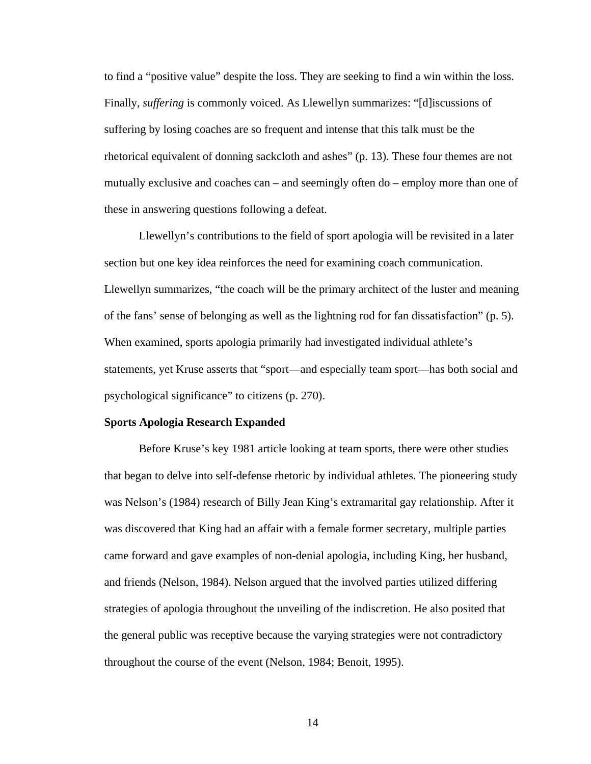to find a "positive value" despite the loss. They are seeking to find a win within the loss. Finally, *suffering* is commonly voiced. As Llewellyn summarizes: "[d]iscussions of suffering by losing coaches are so frequent and intense that this talk must be the rhetorical equivalent of donning sackcloth and ashes" (p. 13). These four themes are not mutually exclusive and coaches can – and seemingly often do – employ more than one of these in answering questions following a defeat.

Llewellyn's contributions to the field of sport apologia will be revisited in a later section but one key idea reinforces the need for examining coach communication. Llewellyn summarizes, "the coach will be the primary architect of the luster and meaning of the fans' sense of belonging as well as the lightning rod for fan dissatisfaction" (p. 5). When examined, sports apologia primarily had investigated individual athlete's statements, yet Kruse asserts that "sport—and especially team sport—has both social and psychological significance" to citizens (p. 270).

#### **Sports Apologia Research Expanded**

Before Kruse's key 1981 article looking at team sports, there were other studies that began to delve into self-defense rhetoric by individual athletes. The pioneering study was Nelson's (1984) research of Billy Jean King's extramarital gay relationship. After it was discovered that King had an affair with a female former secretary, multiple parties came forward and gave examples of non-denial apologia, including King, her husband, and friends (Nelson, 1984). Nelson argued that the involved parties utilized differing strategies of apologia throughout the unveiling of the indiscretion. He also posited that the general public was receptive because the varying strategies were not contradictory throughout the course of the event (Nelson, 1984; Benoit, 1995).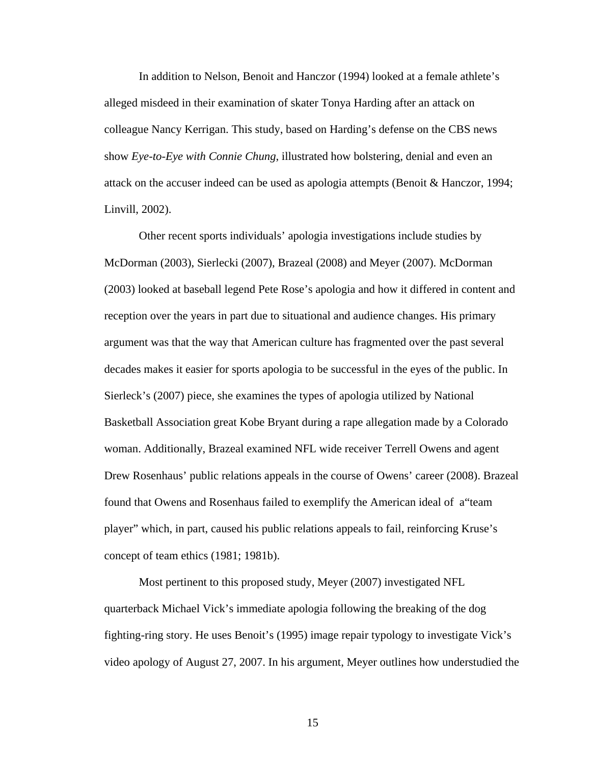In addition to Nelson, Benoit and Hanczor (1994) looked at a female athlete's alleged misdeed in their examination of skater Tonya Harding after an attack on colleague Nancy Kerrigan. This study, based on Harding's defense on the CBS news show *Eye-to-Eye with Connie Chung*, illustrated how bolstering, denial and even an attack on the accuser indeed can be used as apologia attempts (Benoit & Hanczor, 1994; Linvill, 2002).

Other recent sports individuals' apologia investigations include studies by McDorman (2003), Sierlecki (2007), Brazeal (2008) and Meyer (2007). McDorman (2003) looked at baseball legend Pete Rose's apologia and how it differed in content and reception over the years in part due to situational and audience changes. His primary argument was that the way that American culture has fragmented over the past several decades makes it easier for sports apologia to be successful in the eyes of the public. In Sierleck's (2007) piece, she examines the types of apologia utilized by National Basketball Association great Kobe Bryant during a rape allegation made by a Colorado woman. Additionally, Brazeal examined NFL wide receiver Terrell Owens and agent Drew Rosenhaus' public relations appeals in the course of Owens' career (2008). Brazeal found that Owens and Rosenhaus failed to exemplify the American ideal of a"team player" which, in part, caused his public relations appeals to fail, reinforcing Kruse's concept of team ethics (1981; 1981b).

Most pertinent to this proposed study, Meyer (2007) investigated NFL quarterback Michael Vick's immediate apologia following the breaking of the dog fighting-ring story. He uses Benoit's (1995) image repair typology to investigate Vick's video apology of August 27, 2007. In his argument, Meyer outlines how understudied the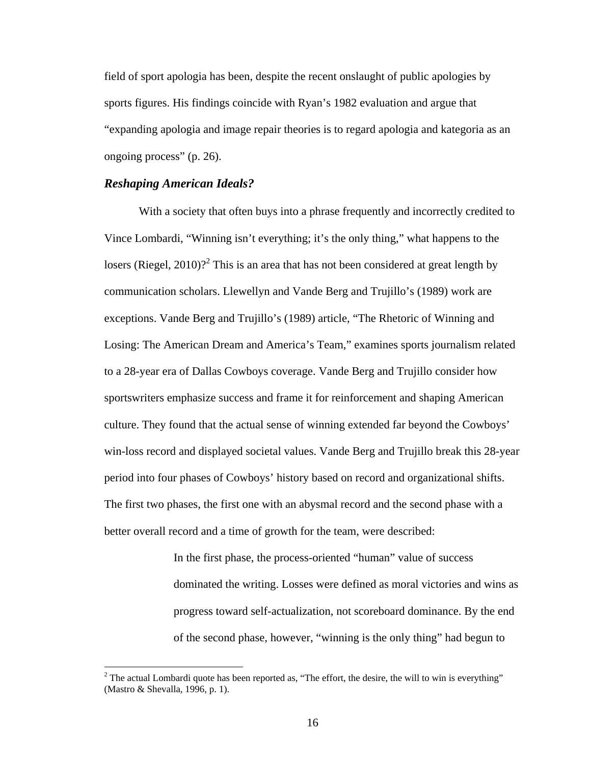field of sport apologia has been, despite the recent onslaught of public apologies by sports figures. His findings coincide with Ryan's 1982 evaluation and argue that "expanding apologia and image repair theories is to regard apologia and kategoria as an ongoing process" (p. 26).

#### *Reshaping American Ideals?*

 $\overline{a}$ 

With a society that often buys into a phrase frequently and incorrectly credited to Vince Lombardi, "Winning isn't everything; it's the only thing," what happens to the losers (Riegel, 2010)?<sup>2</sup> This is an area that has not been considered at great length by communication scholars. Llewellyn and Vande Berg and Trujillo's (1989) work are exceptions. Vande Berg and Trujillo's (1989) article, "The Rhetoric of Winning and Losing: The American Dream and America's Team," examines sports journalism related to a 28-year era of Dallas Cowboys coverage. Vande Berg and Trujillo consider how sportswriters emphasize success and frame it for reinforcement and shaping American culture. They found that the actual sense of winning extended far beyond the Cowboys' win-loss record and displayed societal values. Vande Berg and Trujillo break this 28-year period into four phases of Cowboys' history based on record and organizational shifts. The first two phases, the first one with an abysmal record and the second phase with a better overall record and a time of growth for the team, were described:

> In the first phase, the process-oriented "human" value of success dominated the writing. Losses were defined as moral victories and wins as progress toward self-actualization, not scoreboard dominance. By the end of the second phase, however, "winning is the only thing" had begun to

<sup>&</sup>lt;sup>2</sup> The actual Lombardi quote has been reported as, "The effort, the desire, the will to win is everything" (Mastro & Shevalla, 1996, p. 1).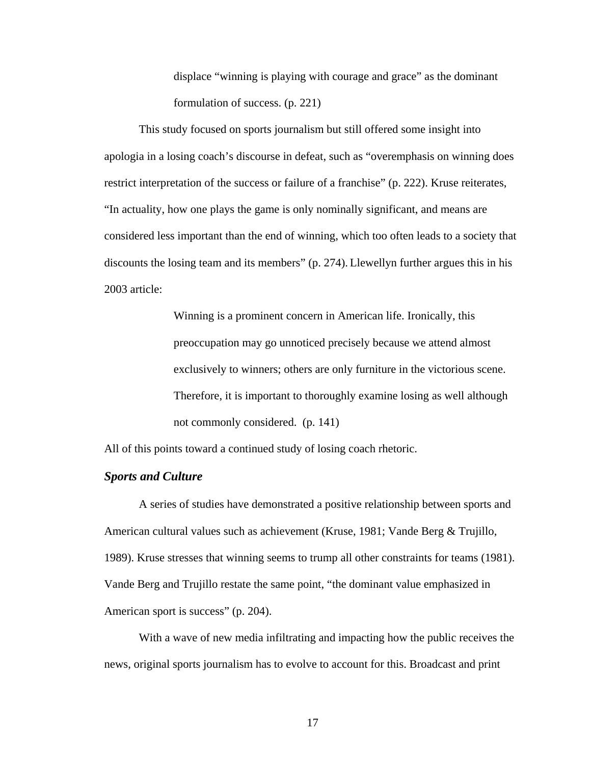displace "winning is playing with courage and grace" as the dominant formulation of success. (p. 221)

 This study focused on sports journalism but still offered some insight into apologia in a losing coach's discourse in defeat, such as "overemphasis on winning does restrict interpretation of the success or failure of a franchise" (p. 222). Kruse reiterates, "In actuality, how one plays the game is only nominally significant, and means are considered less important than the end of winning, which too often leads to a society that discounts the losing team and its members" (p. 274). Llewellyn further argues this in his 2003 article:

> Winning is a prominent concern in American life. Ironically, this preoccupation may go unnoticed precisely because we attend almost exclusively to winners; others are only furniture in the victorious scene. Therefore, it is important to thoroughly examine losing as well although not commonly considered. (p. 141)

All of this points toward a continued study of losing coach rhetoric.

#### *Sports and Culture*

A series of studies have demonstrated a positive relationship between sports and American cultural values such as achievement (Kruse, 1981; Vande Berg & Trujillo, 1989). Kruse stresses that winning seems to trump all other constraints for teams (1981). Vande Berg and Trujillo restate the same point, "the dominant value emphasized in American sport is success" (p. 204).

With a wave of new media infiltrating and impacting how the public receives the news, original sports journalism has to evolve to account for this. Broadcast and print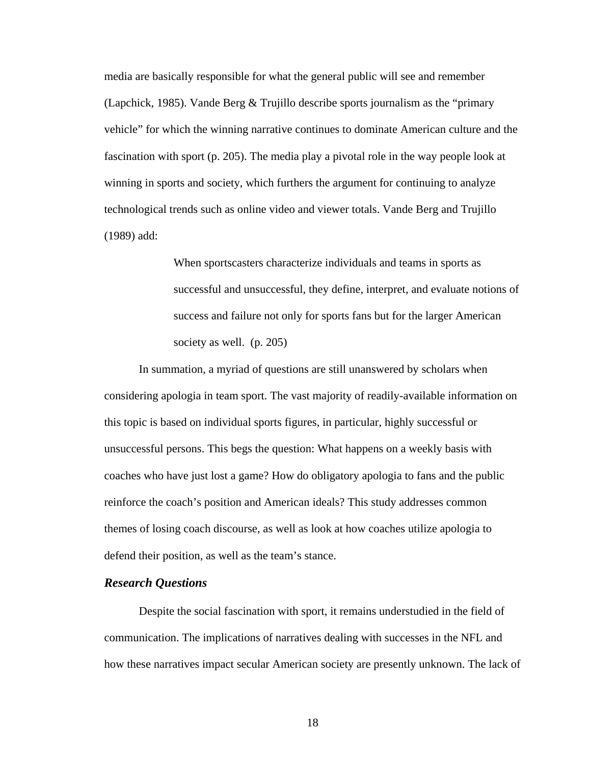media are basically responsible for what the general public will see and remember (Lapchick, 1985). Vande Berg & Trujillo describe sports journalism as the "primary vehicle" for which the winning narrative continues to dominate American culture and the fascination with sport (p. 205). The media play a pivotal role in the way people look at winning in sports and society, which furthers the argument for continuing to analyze technological trends such as online video and viewer totals. Vande Berg and Trujillo (1989) add:

> When sportscasters characterize individuals and teams in sports as successful and unsuccessful, they define, interpret, and evaluate notions of success and failure not only for sports fans but for the larger American society as well. (p. 205)

In summation, a myriad of questions are still unanswered by scholars when considering apologia in team sport. The vast majority of readily-available information on this topic is based on individual sports figures, in particular, highly successful or unsuccessful persons. This begs the question: What happens on a weekly basis with coaches who have just lost a game? How do obligatory apologia to fans and the public reinforce the coach's position and American ideals? This study addresses common themes of losing coach discourse, as well as look at how coaches utilize apologia to defend their position, as well as the team's stance.

#### *Research Questions*

Despite the social fascination with sport, it remains understudied in the field of communication. The implications of narratives dealing with successes in the NFL and how these narratives impact secular American society are presently unknown. The lack of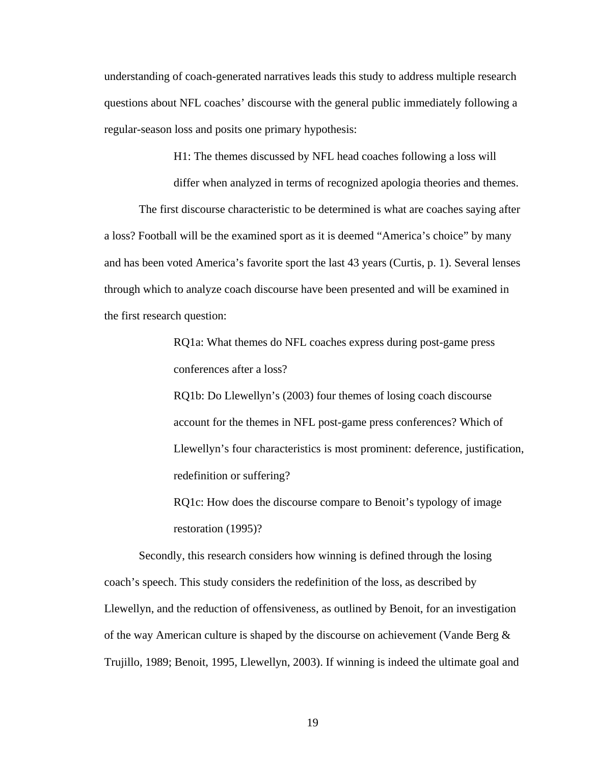understanding of coach-generated narratives leads this study to address multiple research questions about NFL coaches' discourse with the general public immediately following a regular-season loss and posits one primary hypothesis:

H1: The themes discussed by NFL head coaches following a loss will

differ when analyzed in terms of recognized apologia theories and themes.

The first discourse characteristic to be determined is what are coaches saying after a loss? Football will be the examined sport as it is deemed "America's choice" by many and has been voted America's favorite sport the last 43 years (Curtis, p. 1). Several lenses through which to analyze coach discourse have been presented and will be examined in the first research question:

> RQ1a: What themes do NFL coaches express during post-game press conferences after a loss?

RQ1b: Do Llewellyn's (2003) four themes of losing coach discourse account for the themes in NFL post-game press conferences? Which of Llewellyn's four characteristics is most prominent: deference, justification, redefinition or suffering?

RQ1c: How does the discourse compare to Benoit's typology of image restoration (1995)?

Secondly, this research considers how winning is defined through the losing coach's speech. This study considers the redefinition of the loss, as described by Llewellyn, and the reduction of offensiveness, as outlined by Benoit, for an investigation of the way American culture is shaped by the discourse on achievement (Vande Berg  $\&$ Trujillo, 1989; Benoit, 1995, Llewellyn, 2003). If winning is indeed the ultimate goal and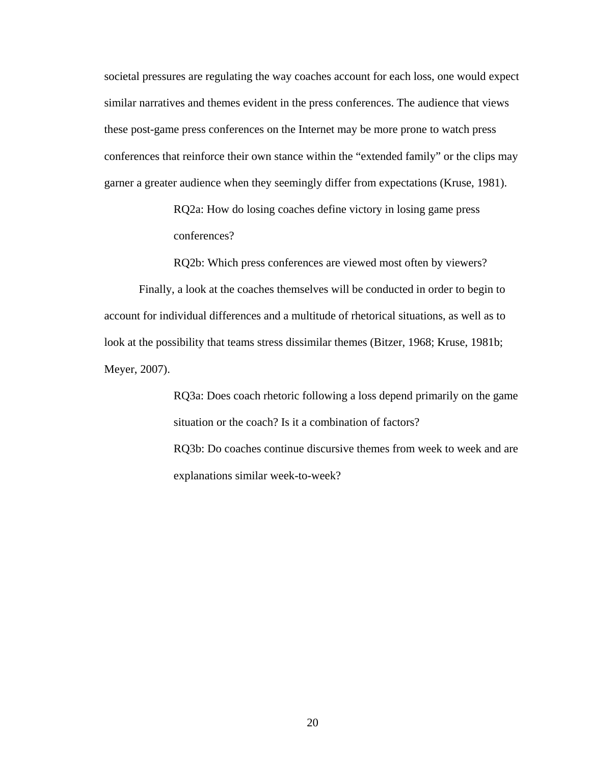societal pressures are regulating the way coaches account for each loss, one would expect similar narratives and themes evident in the press conferences. The audience that views these post-game press conferences on the Internet may be more prone to watch press conferences that reinforce their own stance within the "extended family" or the clips may garner a greater audience when they seemingly differ from expectations (Kruse, 1981).

> RQ2a: How do losing coaches define victory in losing game press conferences?

RQ2b: Which press conferences are viewed most often by viewers?

Finally, a look at the coaches themselves will be conducted in order to begin to account for individual differences and a multitude of rhetorical situations, as well as to look at the possibility that teams stress dissimilar themes (Bitzer, 1968; Kruse, 1981b; Meyer, 2007).

> RQ3a: Does coach rhetoric following a loss depend primarily on the game situation or the coach? Is it a combination of factors? RQ3b: Do coaches continue discursive themes from week to week and are explanations similar week-to-week?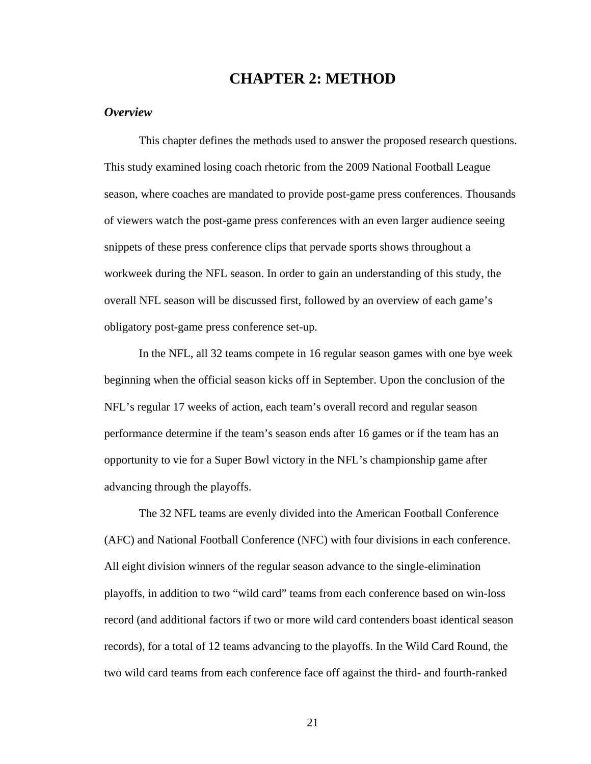### **CHAPTER 2: METHOD**

#### *Overview*

This chapter defines the methods used to answer the proposed research questions. This study examined losing coach rhetoric from the 2009 National Football League season, where coaches are mandated to provide post-game press conferences. Thousands of viewers watch the post-game press conferences with an even larger audience seeing snippets of these press conference clips that pervade sports shows throughout a workweek during the NFL season. In order to gain an understanding of this study, the overall NFL season will be discussed first, followed by an overview of each game's obligatory post-game press conference set-up.

In the NFL, all 32 teams compete in 16 regular season games with one bye week beginning when the official season kicks off in September. Upon the conclusion of the NFL's regular 17 weeks of action, each team's overall record and regular season performance determine if the team's season ends after 16 games or if the team has an opportunity to vie for a Super Bowl victory in the NFL's championship game after advancing through the playoffs.

The 32 NFL teams are evenly divided into the American Football Conference (AFC) and National Football Conference (NFC) with four divisions in each conference. All eight division winners of the regular season advance to the single-elimination playoffs, in addition to two "wild card" teams from each conference based on win-loss record (and additional factors if two or more wild card contenders boast identical season records), for a total of 12 teams advancing to the playoffs. In the Wild Card Round, the two wild card teams from each conference face off against the third- and fourth-ranked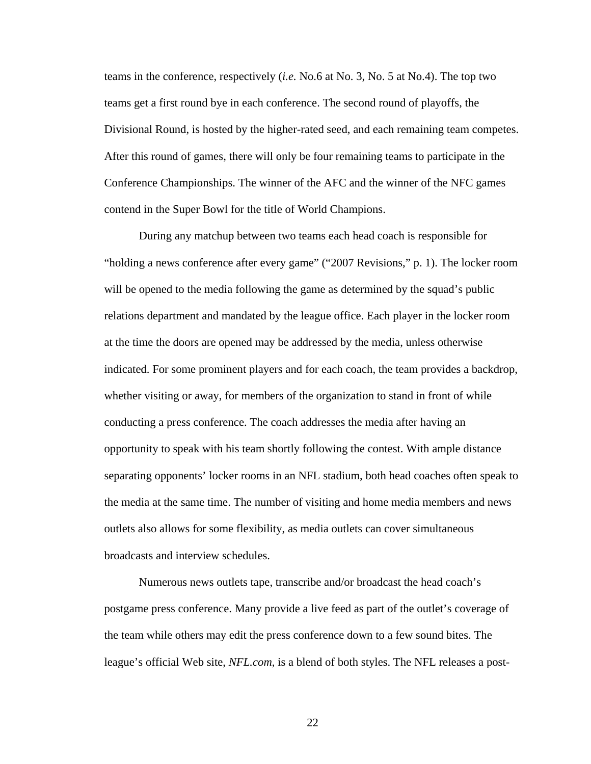teams in the conference, respectively (*i.e.* No.6 at No. 3, No. 5 at No.4). The top two teams get a first round bye in each conference. The second round of playoffs, the Divisional Round, is hosted by the higher-rated seed, and each remaining team competes. After this round of games, there will only be four remaining teams to participate in the Conference Championships. The winner of the AFC and the winner of the NFC games contend in the Super Bowl for the title of World Champions.

During any matchup between two teams each head coach is responsible for "holding a news conference after every game" ("2007 Revisions," p. 1). The locker room will be opened to the media following the game as determined by the squad's public relations department and mandated by the league office. Each player in the locker room at the time the doors are opened may be addressed by the media, unless otherwise indicated. For some prominent players and for each coach, the team provides a backdrop, whether visiting or away, for members of the organization to stand in front of while conducting a press conference. The coach addresses the media after having an opportunity to speak with his team shortly following the contest. With ample distance separating opponents' locker rooms in an NFL stadium, both head coaches often speak to the media at the same time. The number of visiting and home media members and news outlets also allows for some flexibility, as media outlets can cover simultaneous broadcasts and interview schedules.

Numerous news outlets tape, transcribe and/or broadcast the head coach's postgame press conference. Many provide a live feed as part of the outlet's coverage of the team while others may edit the press conference down to a few sound bites. The league's official Web site, *NFL.com*, is a blend of both styles. The NFL releases a post-

<u>22</u>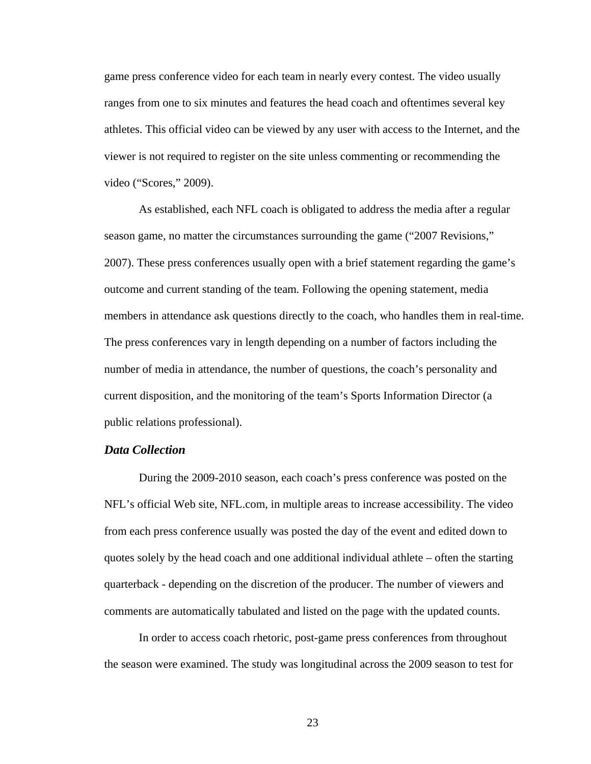game press conference video for each team in nearly every contest. The video usually ranges from one to six minutes and features the head coach and oftentimes several key athletes. This official video can be viewed by any user with access to the Internet, and the viewer is not required to register on the site unless commenting or recommending the video ("Scores," 2009).

As established, each NFL coach is obligated to address the media after a regular season game, no matter the circumstances surrounding the game ("2007 Revisions," 2007). These press conferences usually open with a brief statement regarding the game's outcome and current standing of the team. Following the opening statement, media members in attendance ask questions directly to the coach, who handles them in real-time. The press conferences vary in length depending on a number of factors including the number of media in attendance, the number of questions, the coach's personality and current disposition, and the monitoring of the team's Sports Information Director (a public relations professional).

#### *Data Collection*

 During the 2009-2010 season, each coach's press conference was posted on the NFL's official Web site, NFL.com, in multiple areas to increase accessibility. The video from each press conference usually was posted the day of the event and edited down to quotes solely by the head coach and one additional individual athlete – often the starting quarterback - depending on the discretion of the producer. The number of viewers and comments are automatically tabulated and listed on the page with the updated counts.

 In order to access coach rhetoric, post-game press conferences from throughout the season were examined. The study was longitudinal across the 2009 season to test for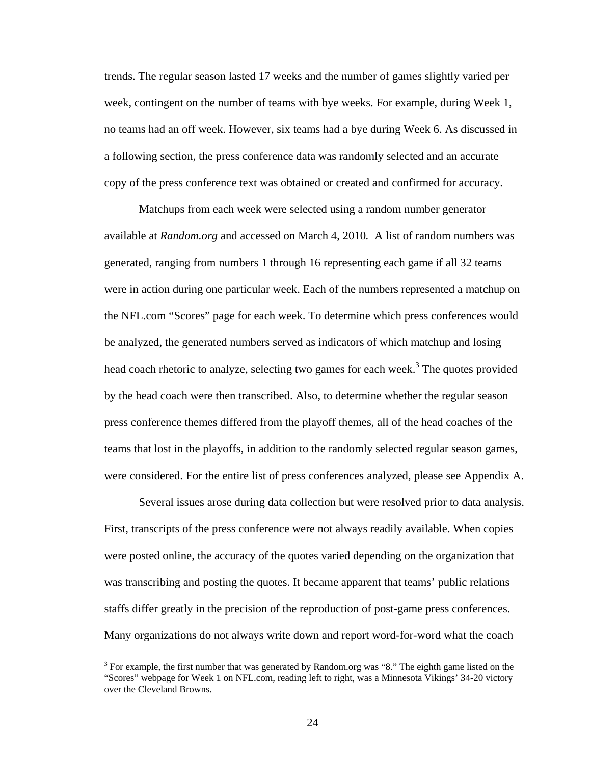trends. The regular season lasted 17 weeks and the number of games slightly varied per week, contingent on the number of teams with bye weeks. For example, during Week 1, no teams had an off week. However, six teams had a bye during Week 6. As discussed in a following section, the press conference data was randomly selected and an accurate copy of the press conference text was obtained or created and confirmed for accuracy.

Matchups from each week were selected using a random number generator available at *Random.org* and accessed on March 4, 2010*.* A list of random numbers was generated, ranging from numbers 1 through 16 representing each game if all 32 teams were in action during one particular week. Each of the numbers represented a matchup on the NFL.com "Scores" page for each week. To determine which press conferences would be analyzed, the generated numbers served as indicators of which matchup and losing head coach rhetoric to analyze, selecting two games for each week.<sup>3</sup> The quotes provided by the head coach were then transcribed. Also, to determine whether the regular season press conference themes differed from the playoff themes, all of the head coaches of the teams that lost in the playoffs, in addition to the randomly selected regular season games, were considered. For the entire list of press conferences analyzed, please see Appendix A.

Several issues arose during data collection but were resolved prior to data analysis. First, transcripts of the press conference were not always readily available. When copies were posted online, the accuracy of the quotes varied depending on the organization that was transcribing and posting the quotes. It became apparent that teams' public relations staffs differ greatly in the precision of the reproduction of post-game press conferences. Many organizations do not always write down and report word-for-word what the coach

 $3$  For example, the first number that was generated by Random.org was "8." The eighth game listed on the "Scores" webpage for Week 1 on NFL.com, reading left to right, was a Minnesota Vikings' 34-20 victory over the Cleveland Browns.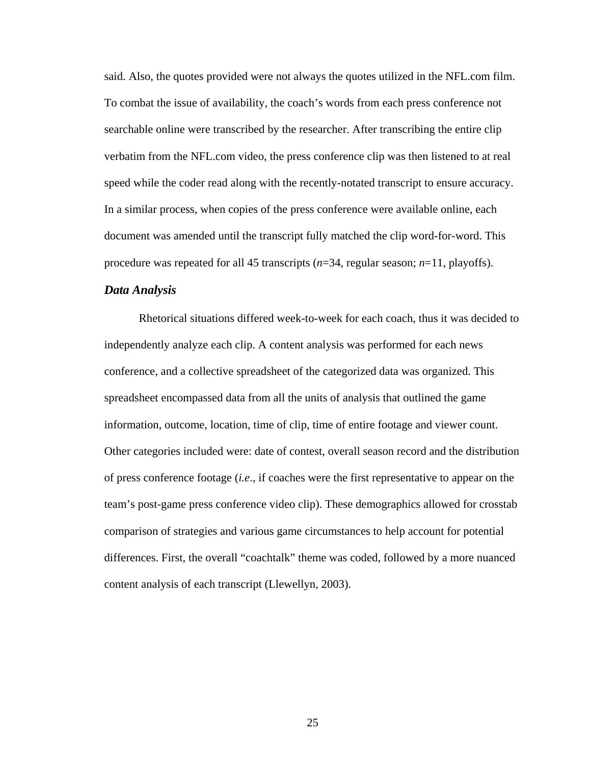said. Also, the quotes provided were not always the quotes utilized in the NFL.com film. To combat the issue of availability, the coach's words from each press conference not searchable online were transcribed by the researcher. After transcribing the entire clip verbatim from the NFL.com video, the press conference clip was then listened to at real speed while the coder read along with the recently-notated transcript to ensure accuracy. In a similar process, when copies of the press conference were available online, each document was amended until the transcript fully matched the clip word-for-word. This procedure was repeated for all 45 transcripts (*n*=34, regular season; *n*=11, playoffs).

#### *Data Analysis*

Rhetorical situations differed week-to-week for each coach, thus it was decided to independently analyze each clip. A content analysis was performed for each news conference, and a collective spreadsheet of the categorized data was organized. This spreadsheet encompassed data from all the units of analysis that outlined the game information, outcome, location, time of clip, time of entire footage and viewer count. Other categories included were: date of contest, overall season record and the distribution of press conference footage (*i.e*., if coaches were the first representative to appear on the team's post-game press conference video clip). These demographics allowed for crosstab comparison of strategies and various game circumstances to help account for potential differences. First, the overall "coachtalk" theme was coded, followed by a more nuanced content analysis of each transcript (Llewellyn, 2003).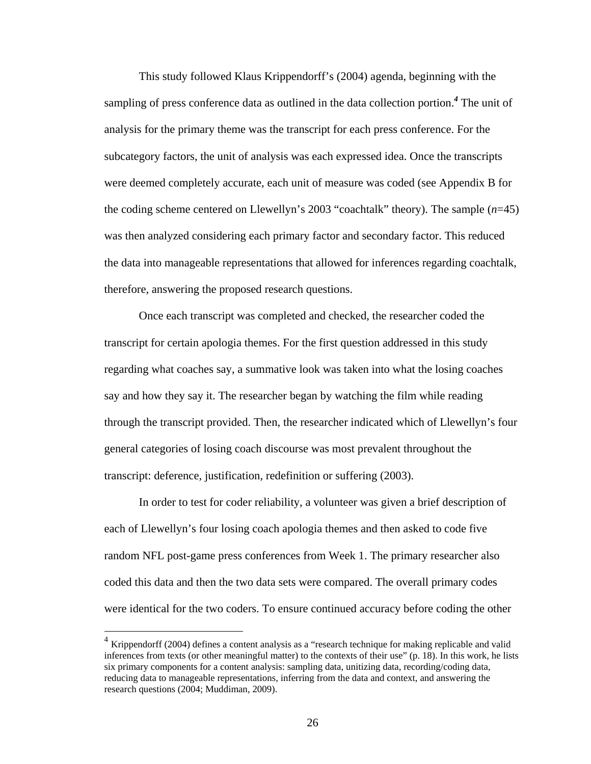This study followed Klaus Krippendorff's (2004) agenda, beginning with the sampling of press conference data as outlined in the data collection portion.*<sup>4</sup>* The unit of analysis for the primary theme was the transcript for each press conference. For the subcategory factors, the unit of analysis was each expressed idea. Once the transcripts were deemed completely accurate, each unit of measure was coded (see Appendix B for the coding scheme centered on Llewellyn's 2003 "coachtalk" theory). The sample (*n*=45) was then analyzed considering each primary factor and secondary factor. This reduced the data into manageable representations that allowed for inferences regarding coachtalk, therefore, answering the proposed research questions.

Once each transcript was completed and checked, the researcher coded the transcript for certain apologia themes. For the first question addressed in this study regarding what coaches say, a summative look was taken into what the losing coaches say and how they say it. The researcher began by watching the film while reading through the transcript provided. Then, the researcher indicated which of Llewellyn's four general categories of losing coach discourse was most prevalent throughout the transcript: deference, justification, redefinition or suffering (2003).

In order to test for coder reliability, a volunteer was given a brief description of each of Llewellyn's four losing coach apologia themes and then asked to code five random NFL post-game press conferences from Week 1. The primary researcher also coded this data and then the two data sets were compared. The overall primary codes were identical for the two coders. To ensure continued accuracy before coding the other

 $\overline{a}$ 

 $4$  Krippendorff (2004) defines a content analysis as a "research technique for making replicable and valid inferences from texts (or other meaningful matter) to the contexts of their use" (p. 18). In this work, he lists six primary components for a content analysis: sampling data, unitizing data, recording/coding data, reducing data to manageable representations, inferring from the data and context, and answering the research questions (2004; Muddiman, 2009).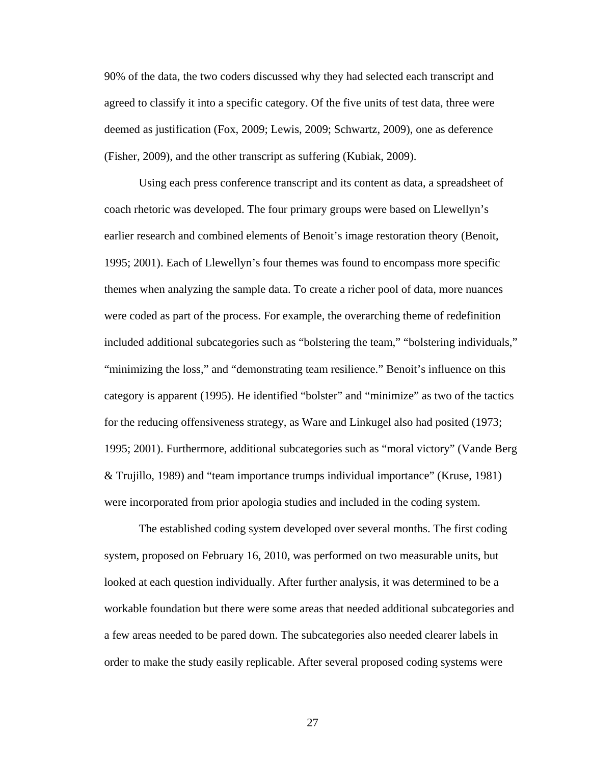90% of the data, the two coders discussed why they had selected each transcript and agreed to classify it into a specific category. Of the five units of test data, three were deemed as justification (Fox, 2009; Lewis, 2009; Schwartz, 2009), one as deference (Fisher, 2009), and the other transcript as suffering (Kubiak, 2009).

Using each press conference transcript and its content as data, a spreadsheet of coach rhetoric was developed. The four primary groups were based on Llewellyn's earlier research and combined elements of Benoit's image restoration theory (Benoit, 1995; 2001). Each of Llewellyn's four themes was found to encompass more specific themes when analyzing the sample data. To create a richer pool of data, more nuances were coded as part of the process. For example, the overarching theme of redefinition included additional subcategories such as "bolstering the team," "bolstering individuals," "minimizing the loss," and "demonstrating team resilience." Benoit's influence on this category is apparent (1995). He identified "bolster" and "minimize" as two of the tactics for the reducing offensiveness strategy, as Ware and Linkugel also had posited (1973; 1995; 2001). Furthermore, additional subcategories such as "moral victory" (Vande Berg & Trujillo, 1989) and "team importance trumps individual importance" (Kruse, 1981) were incorporated from prior apologia studies and included in the coding system.

The established coding system developed over several months. The first coding system, proposed on February 16, 2010, was performed on two measurable units, but looked at each question individually. After further analysis, it was determined to be a workable foundation but there were some areas that needed additional subcategories and a few areas needed to be pared down. The subcategories also needed clearer labels in order to make the study easily replicable. After several proposed coding systems were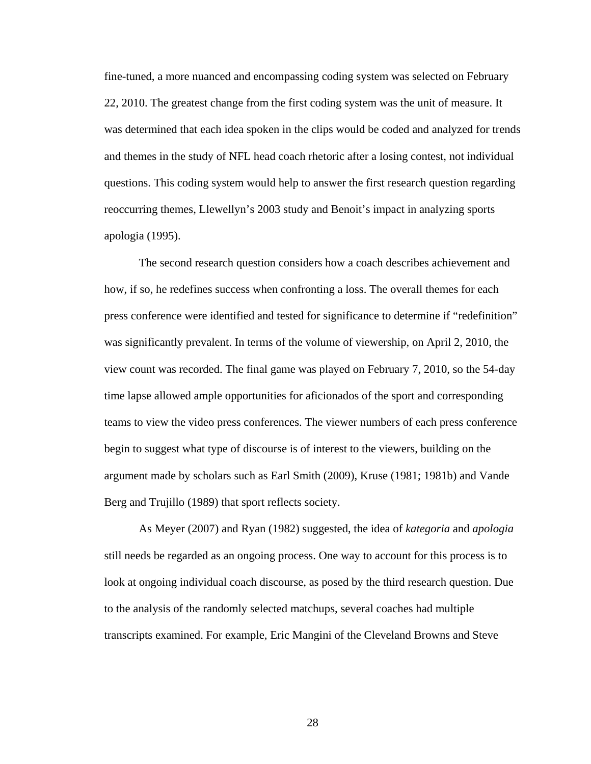fine-tuned, a more nuanced and encompassing coding system was selected on February 22, 2010. The greatest change from the first coding system was the unit of measure. It was determined that each idea spoken in the clips would be coded and analyzed for trends and themes in the study of NFL head coach rhetoric after a losing contest, not individual questions. This coding system would help to answer the first research question regarding reoccurring themes, Llewellyn's 2003 study and Benoit's impact in analyzing sports apologia (1995).

The second research question considers how a coach describes achievement and how, if so, he redefines success when confronting a loss. The overall themes for each press conference were identified and tested for significance to determine if "redefinition" was significantly prevalent. In terms of the volume of viewership, on April 2, 2010, the view count was recorded. The final game was played on February 7, 2010, so the 54-day time lapse allowed ample opportunities for aficionados of the sport and corresponding teams to view the video press conferences. The viewer numbers of each press conference begin to suggest what type of discourse is of interest to the viewers, building on the argument made by scholars such as Earl Smith (2009), Kruse (1981; 1981b) and Vande Berg and Trujillo (1989) that sport reflects society.

As Meyer (2007) and Ryan (1982) suggested, the idea of *kategoria* and *apologia* still needs be regarded as an ongoing process. One way to account for this process is to look at ongoing individual coach discourse, as posed by the third research question. Due to the analysis of the randomly selected matchups, several coaches had multiple transcripts examined. For example, Eric Mangini of the Cleveland Browns and Steve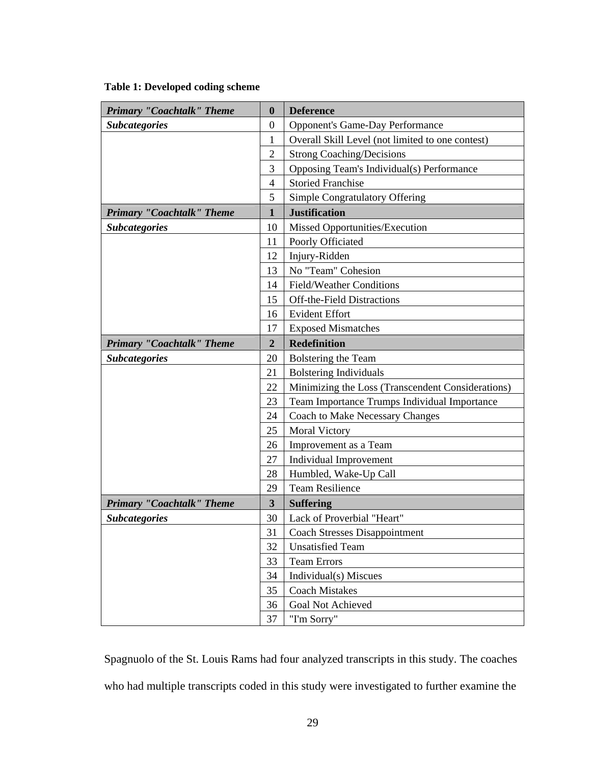### **Table 1: Developed coding scheme**

| <b>Primary "Coachtalk" Theme</b> | $\boldsymbol{0}$         | <b>Deference</b>                                  |
|----------------------------------|--------------------------|---------------------------------------------------|
| <b>Subcategories</b>             | $\boldsymbol{0}$         | <b>Opponent's Game-Day Performance</b>            |
|                                  | $\mathbf{1}$             | Overall Skill Level (not limited to one contest)  |
|                                  | $\overline{c}$           | <b>Strong Coaching/Decisions</b>                  |
|                                  | 3                        | Opposing Team's Individual(s) Performance         |
|                                  | $\overline{\mathcal{A}}$ | <b>Storied Franchise</b>                          |
|                                  | 5                        | Simple Congratulatory Offering                    |
| <b>Primary "Coachtalk" Theme</b> | $\mathbf{1}$             | <b>Justification</b>                              |
| <b>Subcategories</b>             | 10                       | Missed Opportunities/Execution                    |
|                                  | 11                       | Poorly Officiated                                 |
|                                  | 12                       | Injury-Ridden                                     |
|                                  | 13                       | No "Team" Cohesion                                |
|                                  | 14                       | <b>Field/Weather Conditions</b>                   |
|                                  | 15                       | Off-the-Field Distractions                        |
|                                  | 16                       | <b>Evident Effort</b>                             |
|                                  | 17                       | <b>Exposed Mismatches</b>                         |
| <b>Primary "Coachtalk" Theme</b> | $\boldsymbol{2}$         | <b>Redefinition</b>                               |
| <b>Subcategories</b>             | 20                       | Bolstering the Team                               |
|                                  | 21                       | <b>Bolstering Individuals</b>                     |
|                                  | 22                       | Minimizing the Loss (Transcendent Considerations) |
|                                  | 23                       | Team Importance Trumps Individual Importance      |
|                                  | 24                       | <b>Coach to Make Necessary Changes</b>            |
|                                  | 25                       | <b>Moral Victory</b>                              |
|                                  | 26                       | Improvement as a Team                             |
|                                  | 27                       | <b>Individual Improvement</b>                     |
|                                  | 28                       | Humbled, Wake-Up Call                             |
|                                  | 29                       | <b>Team Resilience</b>                            |
| <b>Primary "Coachtalk" Theme</b> | $\overline{\mathbf{3}}$  | <b>Suffering</b>                                  |
| <b>Subcategories</b>             | 30                       | Lack of Proverbial "Heart"                        |
|                                  | 31                       | <b>Coach Stresses Disappointment</b>              |
|                                  | 32                       | <b>Unsatisfied Team</b>                           |
|                                  | 33                       | <b>Team Errors</b>                                |
|                                  | 34                       | Individual(s) Miscues                             |
|                                  | 35                       | <b>Coach Mistakes</b>                             |
|                                  | 36                       | <b>Goal Not Achieved</b>                          |
|                                  | 37                       | "I'm Sorry"                                       |

Spagnuolo of the St. Louis Rams had four analyzed transcripts in this study. The coaches who had multiple transcripts coded in this study were investigated to further examine the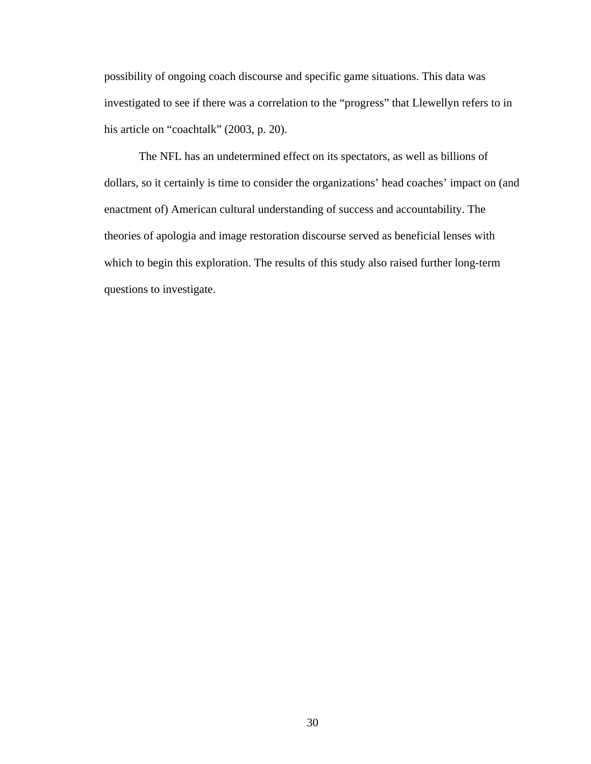possibility of ongoing coach discourse and specific game situations. This data was investigated to see if there was a correlation to the "progress" that Llewellyn refers to in his article on "coachtalk" (2003, p. 20).

The NFL has an undetermined effect on its spectators, as well as billions of dollars, so it certainly is time to consider the organizations' head coaches' impact on (and enactment of) American cultural understanding of success and accountability. The theories of apologia and image restoration discourse served as beneficial lenses with which to begin this exploration. The results of this study also raised further long-term questions to investigate.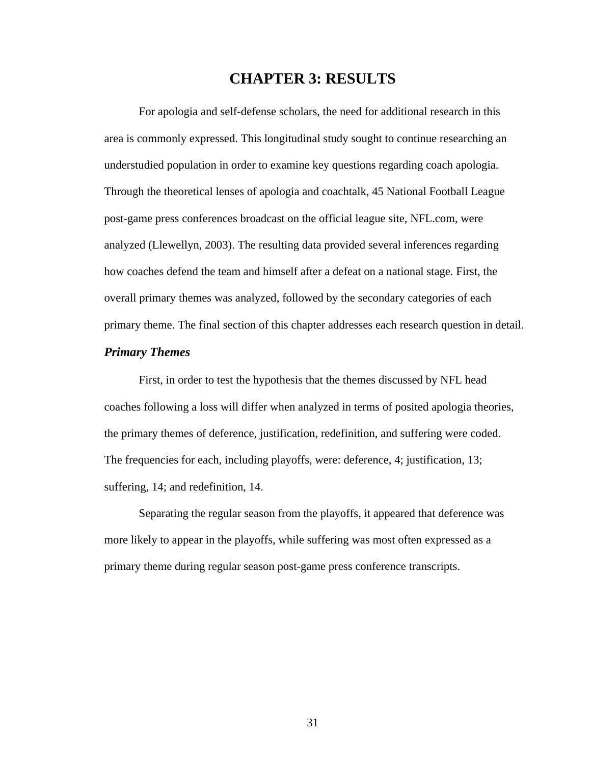# **CHAPTER 3: RESULTS**

For apologia and self-defense scholars, the need for additional research in this area is commonly expressed. This longitudinal study sought to continue researching an understudied population in order to examine key questions regarding coach apologia. Through the theoretical lenses of apologia and coachtalk, 45 National Football League post-game press conferences broadcast on the official league site, NFL.com, were analyzed (Llewellyn, 2003). The resulting data provided several inferences regarding how coaches defend the team and himself after a defeat on a national stage. First, the overall primary themes was analyzed, followed by the secondary categories of each primary theme. The final section of this chapter addresses each research question in detail.

# *Primary Themes*

First, in order to test the hypothesis that the themes discussed by NFL head coaches following a loss will differ when analyzed in terms of posited apologia theories, the primary themes of deference, justification, redefinition, and suffering were coded. The frequencies for each, including playoffs, were: deference, 4; justification, 13; suffering, 14; and redefinition, 14.

Separating the regular season from the playoffs, it appeared that deference was more likely to appear in the playoffs, while suffering was most often expressed as a primary theme during regular season post-game press conference transcripts.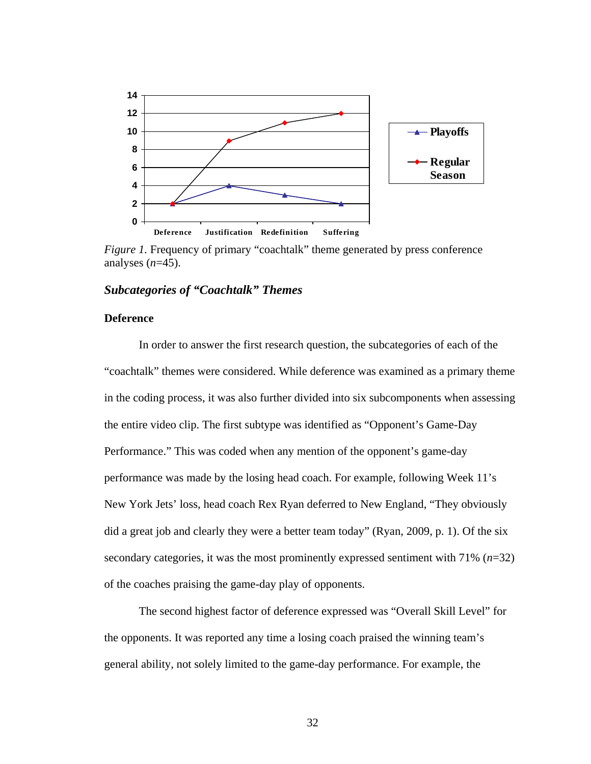

*Figure 1.* Frequency of primary "coachtalk" theme generated by press conference analyses (*n*=45).

## *Subcategories of "Coachtalk" Themes*

## **Deference**

In order to answer the first research question, the subcategories of each of the "coachtalk" themes were considered. While deference was examined as a primary theme in the coding process, it was also further divided into six subcomponents when assessing the entire video clip. The first subtype was identified as "Opponent's Game-Day Performance." This was coded when any mention of the opponent's game-day performance was made by the losing head coach. For example, following Week 11's New York Jets' loss, head coach Rex Ryan deferred to New England, "They obviously did a great job and clearly they were a better team today" (Ryan, 2009, p. 1). Of the six secondary categories, it was the most prominently expressed sentiment with 71% (*n*=32) of the coaches praising the game-day play of opponents.

 The second highest factor of deference expressed was "Overall Skill Level" for the opponents. It was reported any time a losing coach praised the winning team's general ability, not solely limited to the game-day performance. For example, the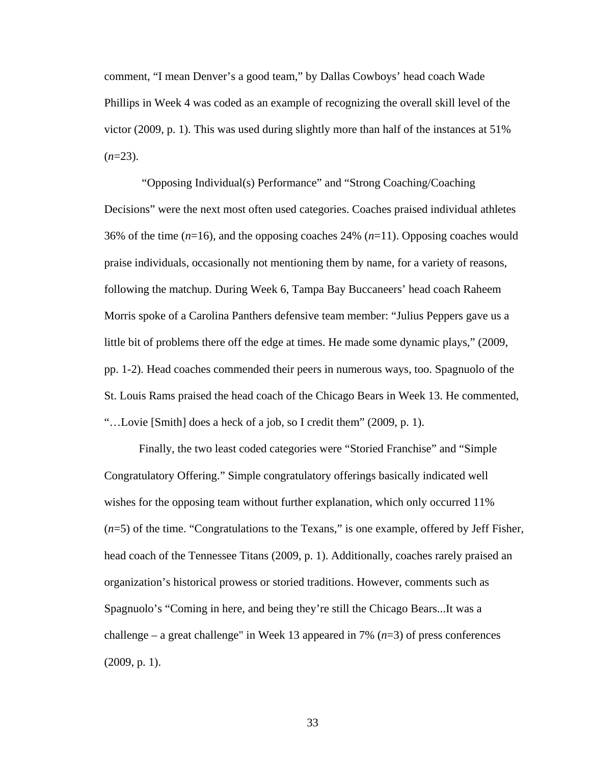comment, "I mean Denver's a good team," by Dallas Cowboys' head coach Wade Phillips in Week 4 was coded as an example of recognizing the overall skill level of the victor (2009, p. 1). This was used during slightly more than half of the instances at 51%  $(n=23)$ .

 "Opposing Individual(s) Performance" and "Strong Coaching/Coaching Decisions" were the next most often used categories. Coaches praised individual athletes 36% of the time (*n*=16), and the opposing coaches 24% (*n*=11). Opposing coaches would praise individuals, occasionally not mentioning them by name, for a variety of reasons, following the matchup. During Week 6, Tampa Bay Buccaneers' head coach Raheem Morris spoke of a Carolina Panthers defensive team member: "Julius Peppers gave us a little bit of problems there off the edge at times. He made some dynamic plays," (2009, pp. 1-2). Head coaches commended their peers in numerous ways, too. Spagnuolo of the St. Louis Rams praised the head coach of the Chicago Bears in Week 13. He commented, "…Lovie [Smith] does a heck of a job, so I credit them" (2009, p. 1).

 Finally, the two least coded categories were "Storied Franchise" and "Simple Congratulatory Offering." Simple congratulatory offerings basically indicated well wishes for the opposing team without further explanation, which only occurred 11% (*n*=5) of the time. "Congratulations to the Texans," is one example, offered by Jeff Fisher, head coach of the Tennessee Titans (2009, p. 1). Additionally, coaches rarely praised an organization's historical prowess or storied traditions. However, comments such as Spagnuolo's "Coming in here, and being they're still the Chicago Bears...It was a challenge – a great challenge" in Week 13 appeared in 7% (*n*=3) of press conferences (2009, p. 1).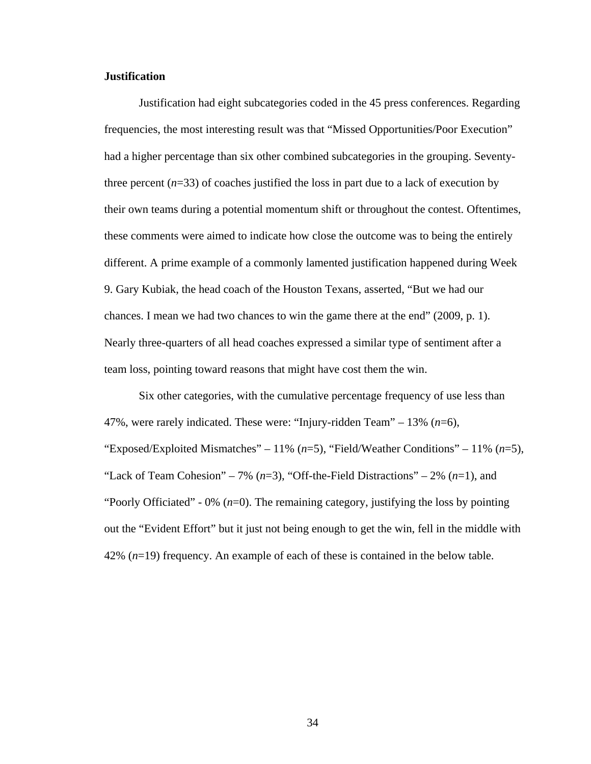### **Justification**

Justification had eight subcategories coded in the 45 press conferences. Regarding frequencies, the most interesting result was that "Missed Opportunities/Poor Execution" had a higher percentage than six other combined subcategories in the grouping. Seventythree percent  $(n=33)$  of coaches justified the loss in part due to a lack of execution by their own teams during a potential momentum shift or throughout the contest. Oftentimes, these comments were aimed to indicate how close the outcome was to being the entirely different. A prime example of a commonly lamented justification happened during Week 9. Gary Kubiak, the head coach of the Houston Texans, asserted, "But we had our chances. I mean we had two chances to win the game there at the end" (2009, p. 1). Nearly three-quarters of all head coaches expressed a similar type of sentiment after a team loss, pointing toward reasons that might have cost them the win.

 Six other categories, with the cumulative percentage frequency of use less than 47%, were rarely indicated. These were: "Injury-ridden Team" – 13% (*n*=6), "Exposed/Exploited Mismatches" – 11% (*n*=5), "Field/Weather Conditions" – 11% (*n*=5), "Lack of Team Cohesion" – 7%  $(n=3)$ , "Off-the-Field Distractions" – 2%  $(n=1)$ , and "Poorly Officiated" - 0% (*n*=0). The remaining category, justifying the loss by pointing out the "Evident Effort" but it just not being enough to get the win, fell in the middle with 42% (*n*=19) frequency. An example of each of these is contained in the below table.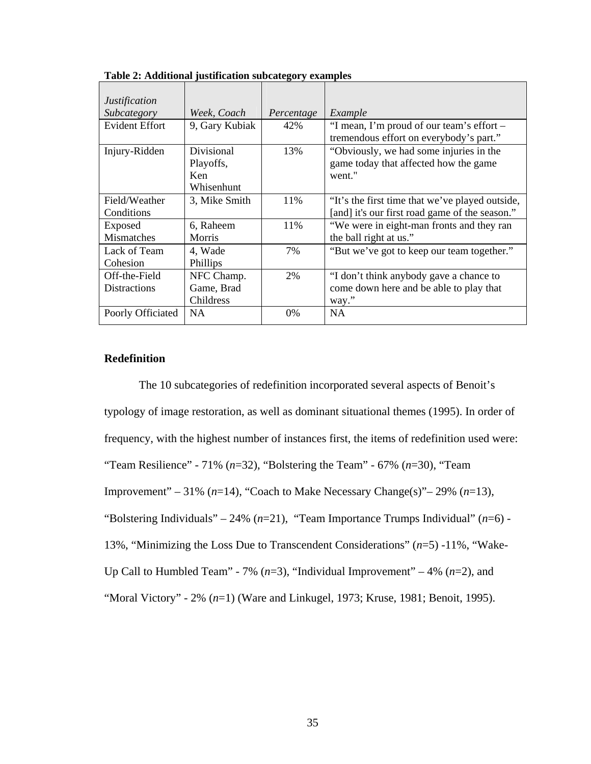| <i>Justification</i>                 |                                              |            |                                                                                                   |
|--------------------------------------|----------------------------------------------|------------|---------------------------------------------------------------------------------------------------|
| Subcategory                          | Week, Coach                                  | Percentage | Example                                                                                           |
| <b>Evident Effort</b>                | 9, Gary Kubiak                               | 42%        | "I mean, I'm proud of our team's effort –<br>tremendous effort on everybody's part."              |
| Injury-Ridden                        | Divisional<br>Playoffs,<br>Ken<br>Whisenhunt | 13%        | "Obviously, we had some injuries in the<br>game today that affected how the game<br>went."        |
| Field/Weather<br>Conditions          | 3, Mike Smith                                | 11%        | "It's the first time that we've played outside,<br>[and] it's our first road game of the season." |
| Exposed<br><b>Mismatches</b>         | 6, Raheem<br><b>Morris</b>                   | 11\%       | "We were in eight-man fronts and they ran<br>the ball right at us."                               |
| Lack of Team<br>Cohesion             | 4, Wade<br>Phillips                          | 7%         | "But we've got to keep our team together."                                                        |
| Off-the-Field<br><b>Distractions</b> | NFC Champ.<br>Game, Brad<br>Childress        | 2%         | "I don't think anybody gave a chance to<br>come down here and be able to play that<br>way."       |
| Poorly Officiated                    | <b>NA</b>                                    | $0\%$      | <b>NA</b>                                                                                         |

**Table 2: Additional justification subcategory examples** 

## **Redefinition**

The 10 subcategories of redefinition incorporated several aspects of Benoit's typology of image restoration, as well as dominant situational themes (1995). In order of frequency, with the highest number of instances first, the items of redefinition used were: "Team Resilience" - 71% (*n*=32), "Bolstering the Team" - 67% (*n*=30), "Team Improvement" – 31% (*n*=14), "Coach to Make Necessary Change(s)"– 29% (*n*=13), "Bolstering Individuals" – 24% (*n*=21), "Team Importance Trumps Individual" (*n*=6) - 13%, "Minimizing the Loss Due to Transcendent Considerations" (*n*=5) -11%, "Wake-Up Call to Humbled Team" - 7% (*n*=3), "Individual Improvement" – 4% (*n*=2), and "Moral Victory" - 2% (*n*=1) (Ware and Linkugel, 1973; Kruse, 1981; Benoit, 1995).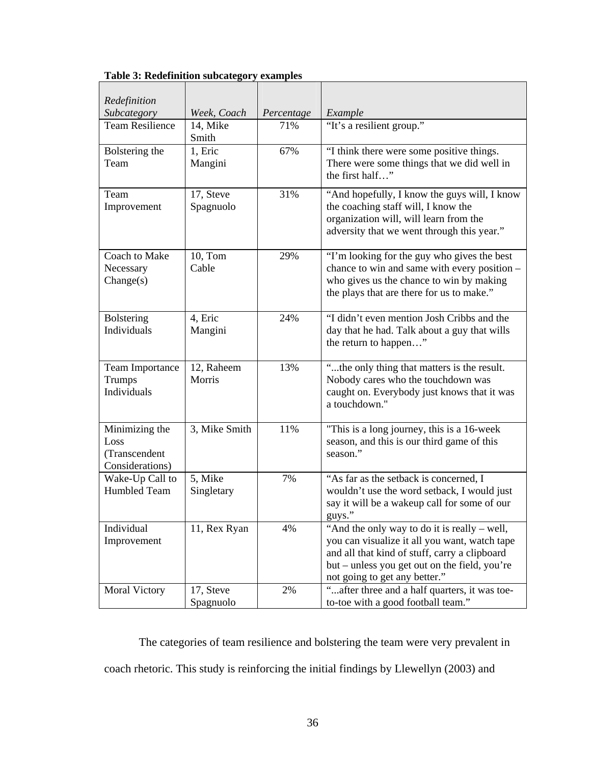| Redefinition                                               |                        |            |                                                                                                                                                                                                                                  |  |
|------------------------------------------------------------|------------------------|------------|----------------------------------------------------------------------------------------------------------------------------------------------------------------------------------------------------------------------------------|--|
| Subcategory                                                | Week, Coach            | Percentage | Example                                                                                                                                                                                                                          |  |
| <b>Team Resilience</b>                                     | 14, Mike<br>Smith      | 71%        | "It's a resilient group."                                                                                                                                                                                                        |  |
| Bolstering the<br>Team                                     | 1, Eric<br>Mangini     | 67%        | "I think there were some positive things.<br>There were some things that we did well in<br>the first half"                                                                                                                       |  |
| Team<br>Improvement                                        | 17, Steve<br>Spagnuolo | 31%        | "And hopefully, I know the guys will, I know<br>the coaching staff will, I know the<br>organization will, will learn from the<br>adversity that we went through this year."                                                      |  |
| Coach to Make<br>Necessary<br>Change(s)                    | 10, Tom<br>Cable       | 29%        | "I'm looking for the guy who gives the best<br>chance to win and same with every position -<br>who gives us the chance to win by making<br>the plays that are there for us to make."                                             |  |
| <b>Bolstering</b><br>Individuals                           | 4, Eric<br>Mangini     | 24%        | "I didn't even mention Josh Cribbs and the<br>day that he had. Talk about a guy that wills<br>the return to happen"                                                                                                              |  |
| <b>Team Importance</b><br>Trumps<br>Individuals            | 12, Raheem<br>Morris   | 13%        | "the only thing that matters is the result.<br>Nobody cares who the touchdown was<br>caught on. Everybody just knows that it was<br>a touchdown."                                                                                |  |
| Minimizing the<br>Loss<br>(Transcendent<br>Considerations) | 3, Mike Smith          | 11%        | "This is a long journey, this is a 16-week<br>season, and this is our third game of this<br>season."                                                                                                                             |  |
| Wake-Up Call to<br><b>Humbled Team</b>                     | 5, Mike<br>Singletary  | 7%         | "As far as the setback is concerned, I<br>wouldn't use the word setback, I would just<br>say it will be a wakeup call for some of our<br>guys."                                                                                  |  |
| Individual<br>Improvement                                  | 11, Rex Ryan           | 4%         | "And the only way to do it is really – well,<br>you can visualize it all you want, watch tape<br>and all that kind of stuff, carry a clipboard<br>but – unless you get out on the field, you're<br>not going to get any better." |  |
| <b>Moral Victory</b>                                       | 17, Steve<br>Spagnuolo | 2%         | " after three and a half quarters, it was toe-<br>to-toe with a good football team."                                                                                                                                             |  |

**Table 3: Redefinition subcategory examples** 

 The categories of team resilience and bolstering the team were very prevalent in coach rhetoric. This study is reinforcing the initial findings by Llewellyn (2003) and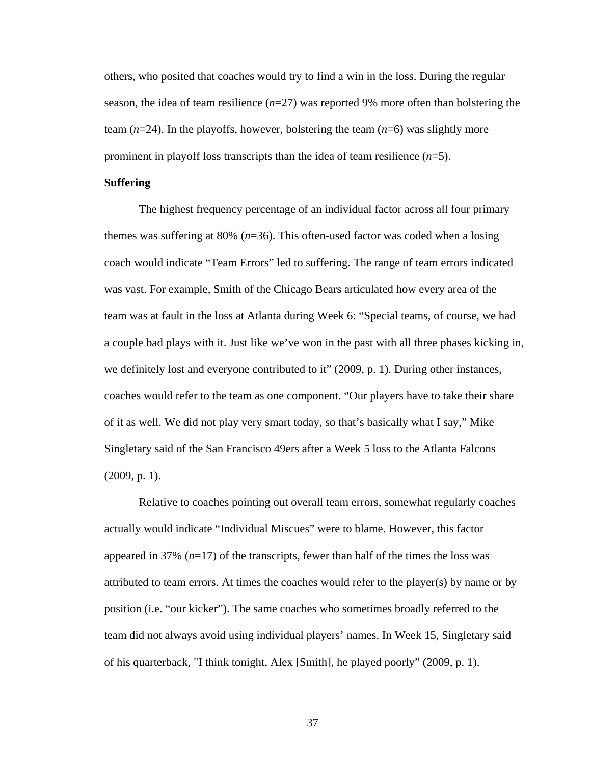others, who posited that coaches would try to find a win in the loss. During the regular season, the idea of team resilience (*n*=27) was reported 9% more often than bolstering the team  $(n=24)$ . In the playoffs, however, bolstering the team  $(n=6)$  was slightly more prominent in playoff loss transcripts than the idea of team resilience (*n*=5).

## **Suffering**

The highest frequency percentage of an individual factor across all four primary themes was suffering at 80% (*n*=36). This often-used factor was coded when a losing coach would indicate "Team Errors" led to suffering. The range of team errors indicated was vast. For example, Smith of the Chicago Bears articulated how every area of the team was at fault in the loss at Atlanta during Week 6: "Special teams, of course, we had a couple bad plays with it. Just like we've won in the past with all three phases kicking in, we definitely lost and everyone contributed to it" (2009, p. 1). During other instances, coaches would refer to the team as one component. "Our players have to take their share of it as well. We did not play very smart today, so that's basically what I say," Mike Singletary said of the San Francisco 49ers after a Week 5 loss to the Atlanta Falcons (2009, p. 1).

 Relative to coaches pointing out overall team errors, somewhat regularly coaches actually would indicate "Individual Miscues" were to blame. However, this factor appeared in 37% (*n*=17) of the transcripts, fewer than half of the times the loss was attributed to team errors. At times the coaches would refer to the player(s) by name or by position (i.e. "our kicker"). The same coaches who sometimes broadly referred to the team did not always avoid using individual players' names. In Week 15, Singletary said of his quarterback, "I think tonight, Alex [Smith], he played poorly" (2009, p. 1).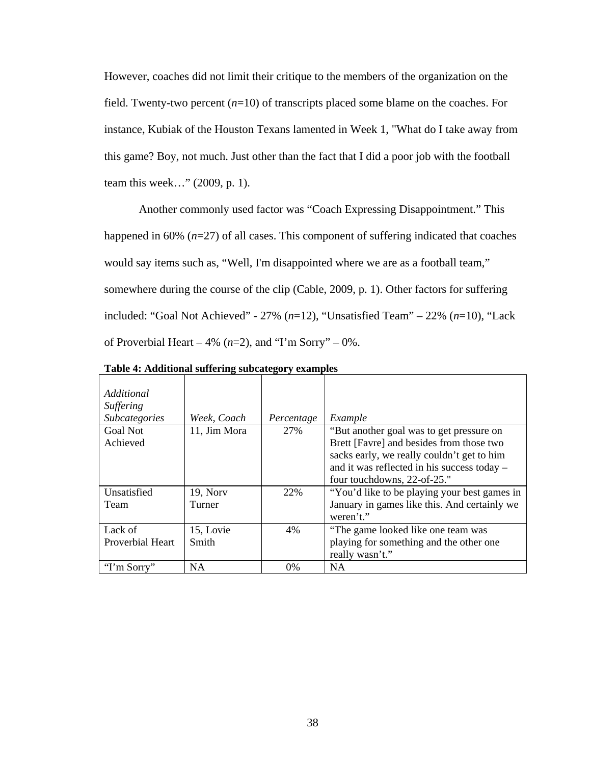However, coaches did not limit their critique to the members of the organization on the field. Twenty-two percent (*n*=10) of transcripts placed some blame on the coaches. For instance, Kubiak of the Houston Texans lamented in Week 1, "What do I take away from this game? Boy, not much. Just other than the fact that I did a poor job with the football team this week…" (2009, p. 1).

Another commonly used factor was "Coach Expressing Disappointment." This happened in 60% ( $n=27$ ) of all cases. This component of suffering indicated that coaches would say items such as, "Well, I'm disappointed where we are as a football team," somewhere during the course of the clip (Cable, 2009, p. 1). Other factors for suffering included: "Goal Not Achieved" - 27% (*n*=12), "Unsatisfied Team" – 22% (*n*=10), "Lack of Proverbial Heart – 4%  $(n=2)$ , and "I'm Sorry" – 0%.

| Additional<br><b>Suffering</b><br><b>Subcategories</b> | Week, Coach  | Percentage | Example                                                   |
|--------------------------------------------------------|--------------|------------|-----------------------------------------------------------|
| <b>Goal Not</b>                                        | 11, Jim Mora | 27%        | "But another goal was to get pressure on                  |
| Achieved                                               |              |            | Brett [Favre] and besides from those two                  |
|                                                        |              |            | sacks early, we really couldn't get to him                |
|                                                        |              |            | and it was reflected in his success today -               |
|                                                        |              |            | four touchdowns, 22-of-25."                               |
| Unsatisfied                                            | 19, Norv     | 22%        | "You'd like to be playing your best games in              |
| Team                                                   | Turner       |            | January in games like this. And certainly we<br>weren't." |
| Lack of                                                | 15, Lovie    | 4%         | "The game looked like one team was                        |
| Proverbial Heart                                       | Smith        |            | playing for something and the other one                   |
|                                                        |              |            | really wasn't."                                           |
| "I'm Sorry"                                            | <b>NA</b>    | $0\%$      | <b>NA</b>                                                 |

**Table 4: Additional suffering subcategory examples**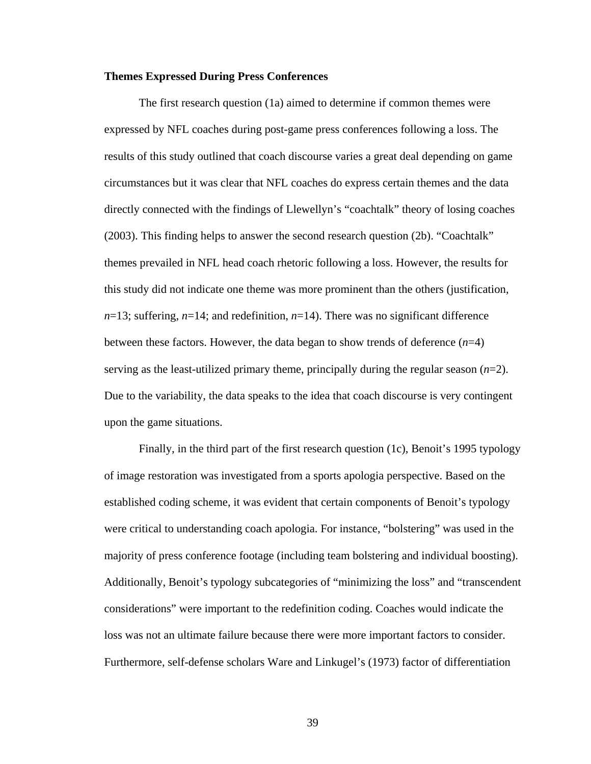### **Themes Expressed During Press Conferences**

 The first research question (1a) aimed to determine if common themes were expressed by NFL coaches during post-game press conferences following a loss. The results of this study outlined that coach discourse varies a great deal depending on game circumstances but it was clear that NFL coaches do express certain themes and the data directly connected with the findings of Llewellyn's "coachtalk" theory of losing coaches (2003). This finding helps to answer the second research question (2b). "Coachtalk" themes prevailed in NFL head coach rhetoric following a loss. However, the results for this study did not indicate one theme was more prominent than the others (justification,  $n=13$ ; suffering,  $n=14$ ; and redefinition,  $n=14$ ). There was no significant difference between these factors. However, the data began to show trends of deference (*n*=4) serving as the least-utilized primary theme, principally during the regular season  $(n=2)$ . Due to the variability, the data speaks to the idea that coach discourse is very contingent upon the game situations.

 Finally, in the third part of the first research question (1c), Benoit's 1995 typology of image restoration was investigated from a sports apologia perspective. Based on the established coding scheme, it was evident that certain components of Benoit's typology were critical to understanding coach apologia. For instance, "bolstering" was used in the majority of press conference footage (including team bolstering and individual boosting). Additionally, Benoit's typology subcategories of "minimizing the loss" and "transcendent considerations" were important to the redefinition coding. Coaches would indicate the loss was not an ultimate failure because there were more important factors to consider. Furthermore, self-defense scholars Ware and Linkugel's (1973) factor of differentiation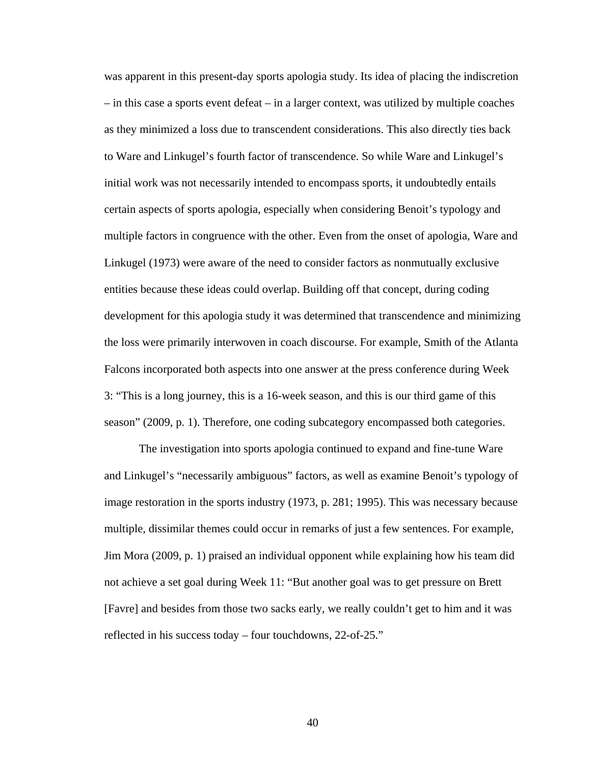was apparent in this present-day sports apologia study. Its idea of placing the indiscretion – in this case a sports event defeat – in a larger context, was utilized by multiple coaches as they minimized a loss due to transcendent considerations. This also directly ties back to Ware and Linkugel's fourth factor of transcendence. So while Ware and Linkugel's initial work was not necessarily intended to encompass sports, it undoubtedly entails certain aspects of sports apologia, especially when considering Benoit's typology and multiple factors in congruence with the other. Even from the onset of apologia, Ware and Linkugel (1973) were aware of the need to consider factors as nonmutually exclusive entities because these ideas could overlap. Building off that concept, during coding development for this apologia study it was determined that transcendence and minimizing the loss were primarily interwoven in coach discourse. For example, Smith of the Atlanta Falcons incorporated both aspects into one answer at the press conference during Week 3: "This is a long journey, this is a 16-week season, and this is our third game of this season" (2009, p. 1). Therefore, one coding subcategory encompassed both categories.

 The investigation into sports apologia continued to expand and fine-tune Ware and Linkugel's "necessarily ambiguous" factors, as well as examine Benoit's typology of image restoration in the sports industry (1973, p. 281; 1995). This was necessary because multiple, dissimilar themes could occur in remarks of just a few sentences. For example, Jim Mora (2009, p. 1) praised an individual opponent while explaining how his team did not achieve a set goal during Week 11: "But another goal was to get pressure on Brett [Favre] and besides from those two sacks early, we really couldn't get to him and it was reflected in his success today – four touchdowns, 22-of-25."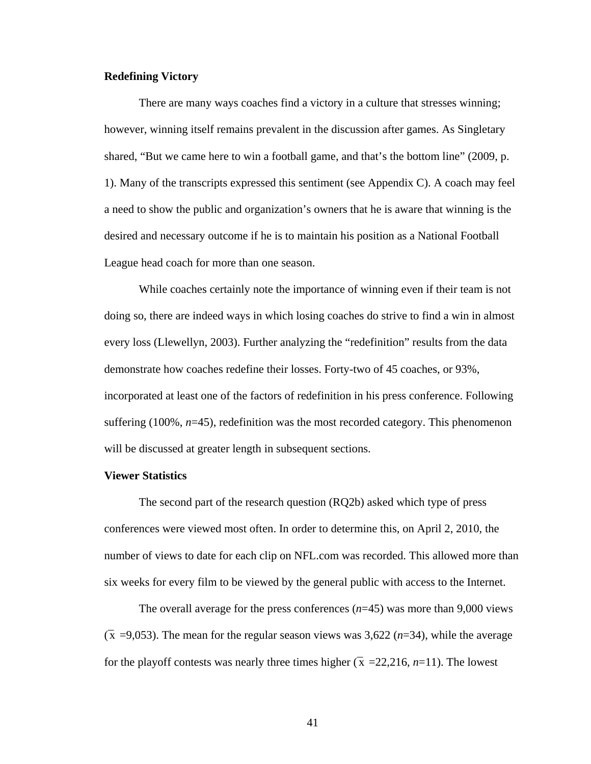# **Redefining Victory**

There are many ways coaches find a victory in a culture that stresses winning; however, winning itself remains prevalent in the discussion after games. As Singletary shared, "But we came here to win a football game, and that's the bottom line" (2009, p. 1). Many of the transcripts expressed this sentiment (see Appendix C). A coach may feel a need to show the public and organization's owners that he is aware that winning is the desired and necessary outcome if he is to maintain his position as a National Football League head coach for more than one season.

 While coaches certainly note the importance of winning even if their team is not doing so, there are indeed ways in which losing coaches do strive to find a win in almost every loss (Llewellyn, 2003). Further analyzing the "redefinition" results from the data demonstrate how coaches redefine their losses. Forty-two of 45 coaches, or 93%, incorporated at least one of the factors of redefinition in his press conference. Following suffering  $(100\%, n=45)$ , redefinition was the most recorded category. This phenomenon will be discussed at greater length in subsequent sections.

#### **Viewer Statistics**

The second part of the research question (RQ2b) asked which type of press conferences were viewed most often. In order to determine this, on April 2, 2010, the number of views to date for each clip on NFL.com was recorded. This allowed more than six weeks for every film to be viewed by the general public with access to the Internet.

The overall average for the press conferences (*n*=45) was more than 9,000 views  $(\bar{x} = 9.053)$ . The mean for the regular season views was 3,622 (*n*=34), while the average for the playoff contests was nearly three times higher ( $\bar{x}$  =22,216, *n*=11). The lowest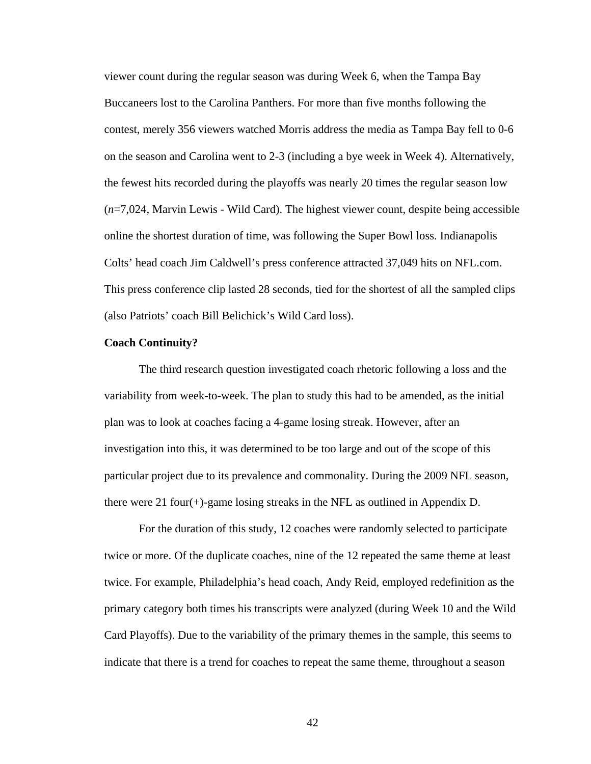viewer count during the regular season was during Week 6, when the Tampa Bay Buccaneers lost to the Carolina Panthers. For more than five months following the contest, merely 356 viewers watched Morris address the media as Tampa Bay fell to 0-6 on the season and Carolina went to 2-3 (including a bye week in Week 4). Alternatively, the fewest hits recorded during the playoffs was nearly 20 times the regular season low (*n*=7,024, Marvin Lewis - Wild Card). The highest viewer count, despite being accessible online the shortest duration of time, was following the Super Bowl loss. Indianapolis Colts' head coach Jim Caldwell's press conference attracted 37,049 hits on NFL.com. This press conference clip lasted 28 seconds, tied for the shortest of all the sampled clips (also Patriots' coach Bill Belichick's Wild Card loss).

### **Coach Continuity?**

The third research question investigated coach rhetoric following a loss and the variability from week-to-week. The plan to study this had to be amended, as the initial plan was to look at coaches facing a 4-game losing streak. However, after an investigation into this, it was determined to be too large and out of the scope of this particular project due to its prevalence and commonality. During the 2009 NFL season, there were 21 four(+)-game losing streaks in the NFL as outlined in Appendix D.

For the duration of this study, 12 coaches were randomly selected to participate twice or more. Of the duplicate coaches, nine of the 12 repeated the same theme at least twice. For example, Philadelphia's head coach, Andy Reid, employed redefinition as the primary category both times his transcripts were analyzed (during Week 10 and the Wild Card Playoffs). Due to the variability of the primary themes in the sample, this seems to indicate that there is a trend for coaches to repeat the same theme, throughout a season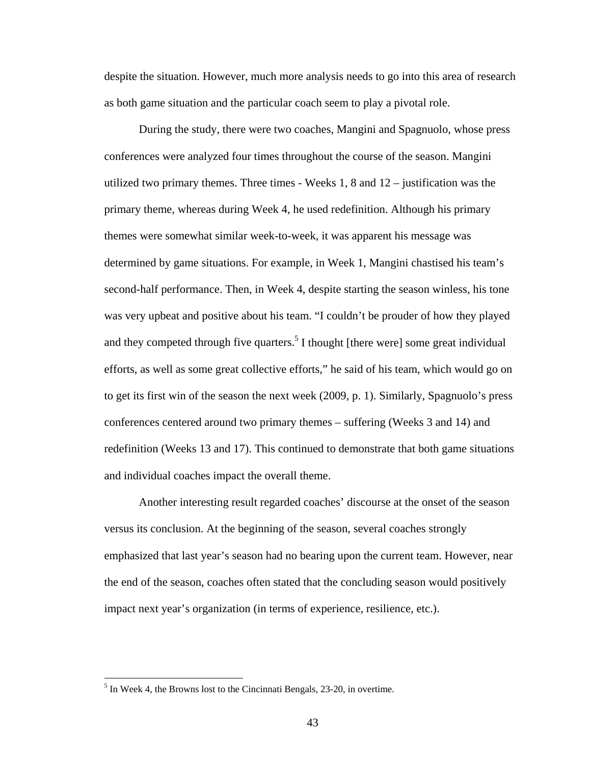despite the situation. However, much more analysis needs to go into this area of research as both game situation and the particular coach seem to play a pivotal role.

During the study, there were two coaches, Mangini and Spagnuolo, whose press conferences were analyzed four times throughout the course of the season. Mangini utilized two primary themes. Three times  $-$  Weeks 1, 8 and  $12 -$  justification was the primary theme, whereas during Week 4, he used redefinition. Although his primary themes were somewhat similar week-to-week, it was apparent his message was determined by game situations. For example, in Week 1, Mangini chastised his team's second-half performance. Then, in Week 4, despite starting the season winless, his tone was very upbeat and positive about his team. "I couldn't be prouder of how they played and they competed through five quarters.<sup>5</sup> I thought [there were] some great individual efforts, as well as some great collective efforts," he said of his team, which would go on to get its first win of the season the next week (2009, p. 1). Similarly, Spagnuolo's press conferences centered around two primary themes – suffering (Weeks 3 and 14) and redefinition (Weeks 13 and 17). This continued to demonstrate that both game situations and individual coaches impact the overall theme.

Another interesting result regarded coaches' discourse at the onset of the season versus its conclusion. At the beginning of the season, several coaches strongly emphasized that last year's season had no bearing upon the current team. However, near the end of the season, coaches often stated that the concluding season would positively impact next year's organization (in terms of experience, resilience, etc.).

 $\overline{a}$ 

 $<sup>5</sup>$  In Week 4, the Browns lost to the Cincinnati Bengals, 23-20, in overtime.</sup>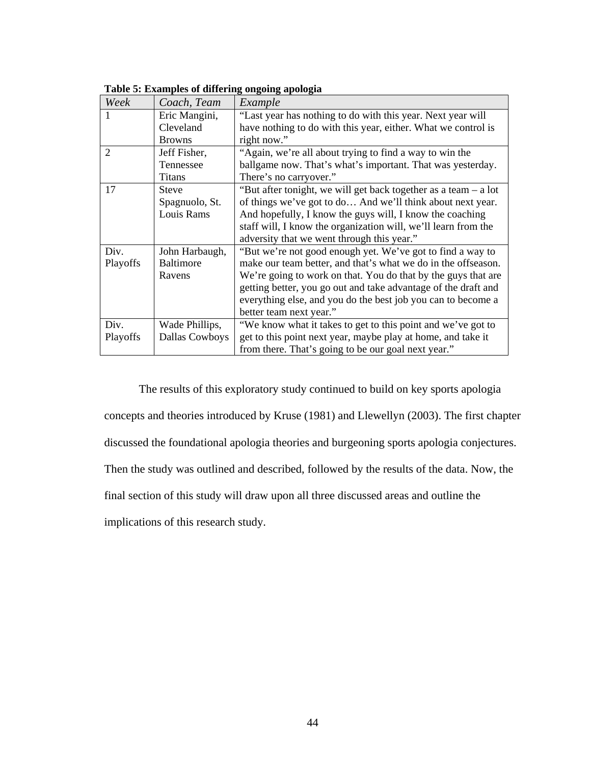| Week     | Coach, Team      | Example                                                         |
|----------|------------------|-----------------------------------------------------------------|
| 1        | Eric Mangini,    | "Last year has nothing to do with this year. Next year will     |
|          | Cleveland        | have nothing to do with this year, either. What we control is   |
|          | <b>Browns</b>    | right now."                                                     |
| 2        | Jeff Fisher,     | "Again, we're all about trying to find a way to win the         |
|          | Tennessee        | ballgame now. That's what's important. That was yesterday.      |
|          | <b>Titans</b>    | There's no carryover."                                          |
| 17       | <b>Steve</b>     | "But after tonight, we will get back together as a team – a lot |
|          | Spagnuolo, St.   | of things we've got to do And we'll think about next year.      |
|          | Louis Rams       | And hopefully, I know the guys will, I know the coaching        |
|          |                  | staff will, I know the organization will, we'll learn from the  |
|          |                  | adversity that we went through this year."                      |
| Div.     | John Harbaugh,   | "But we're not good enough yet. We've got to find a way to      |
| Playoffs | <b>Baltimore</b> | make our team better, and that's what we do in the offseason.   |
|          | Ravens           | We're going to work on that. You do that by the guys that are   |
|          |                  | getting better, you go out and take advantage of the draft and  |
|          |                  | everything else, and you do the best job you can to become a    |
|          |                  | better team next year."                                         |
| Div.     | Wade Phillips,   | "We know what it takes to get to this point and we've got to    |
| Playoffs | Dallas Cowboys   | get to this point next year, maybe play at home, and take it    |
|          |                  | from there. That's going to be our goal next year."             |

**Table 5: Examples of differing ongoing apologia** 

The results of this exploratory study continued to build on key sports apologia concepts and theories introduced by Kruse (1981) and Llewellyn (2003). The first chapter discussed the foundational apologia theories and burgeoning sports apologia conjectures. Then the study was outlined and described, followed by the results of the data. Now, the final section of this study will draw upon all three discussed areas and outline the implications of this research study.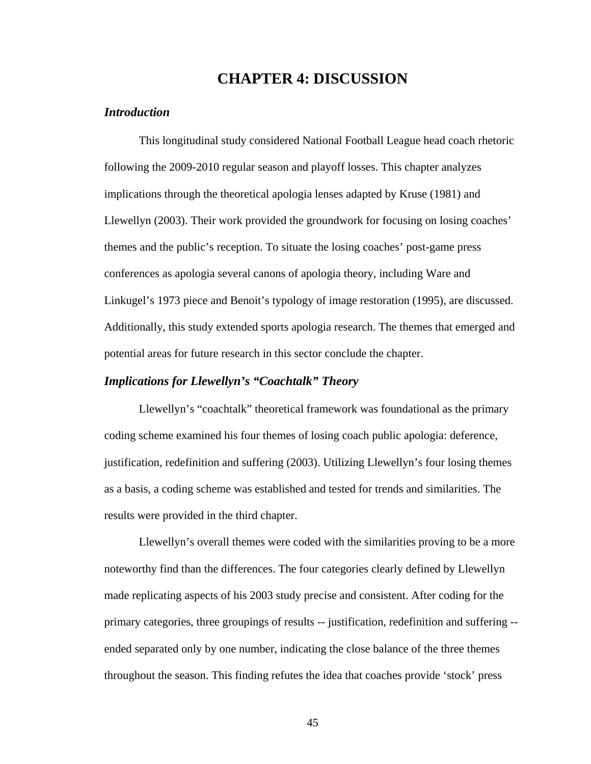# **CHAPTER 4: DISCUSSION**

### *Introduction*

This longitudinal study considered National Football League head coach rhetoric following the 2009-2010 regular season and playoff losses. This chapter analyzes implications through the theoretical apologia lenses adapted by Kruse (1981) and Llewellyn (2003). Their work provided the groundwork for focusing on losing coaches' themes and the public's reception. To situate the losing coaches' post-game press conferences as apologia several canons of apologia theory, including Ware and Linkugel's 1973 piece and Benoit's typology of image restoration (1995), are discussed. Additionally, this study extended sports apologia research. The themes that emerged and potential areas for future research in this sector conclude the chapter.

## *Implications for Llewellyn's "Coachtalk" Theory*

Llewellyn's "coachtalk" theoretical framework was foundational as the primary coding scheme examined his four themes of losing coach public apologia: deference, justification, redefinition and suffering (2003). Utilizing Llewellyn's four losing themes as a basis, a coding scheme was established and tested for trends and similarities. The results were provided in the third chapter.

Llewellyn's overall themes were coded with the similarities proving to be a more noteworthy find than the differences. The four categories clearly defined by Llewellyn made replicating aspects of his 2003 study precise and consistent. After coding for the primary categories, three groupings of results -- justification, redefinition and suffering - ended separated only by one number, indicating the close balance of the three themes throughout the season. This finding refutes the idea that coaches provide 'stock' press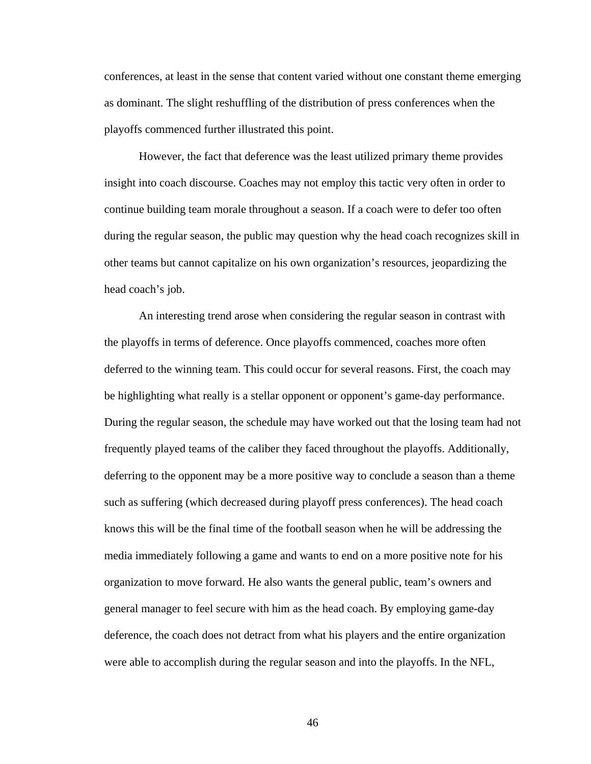conferences, at least in the sense that content varied without one constant theme emerging as dominant. The slight reshuffling of the distribution of press conferences when the playoffs commenced further illustrated this point.

However, the fact that deference was the least utilized primary theme provides insight into coach discourse. Coaches may not employ this tactic very often in order to continue building team morale throughout a season. If a coach were to defer too often during the regular season, the public may question why the head coach recognizes skill in other teams but cannot capitalize on his own organization's resources, jeopardizing the head coach's job.

An interesting trend arose when considering the regular season in contrast with the playoffs in terms of deference. Once playoffs commenced, coaches more often deferred to the winning team. This could occur for several reasons. First, the coach may be highlighting what really is a stellar opponent or opponent's game-day performance. During the regular season, the schedule may have worked out that the losing team had not frequently played teams of the caliber they faced throughout the playoffs. Additionally, deferring to the opponent may be a more positive way to conclude a season than a theme such as suffering (which decreased during playoff press conferences). The head coach knows this will be the final time of the football season when he will be addressing the media immediately following a game and wants to end on a more positive note for his organization to move forward. He also wants the general public, team's owners and general manager to feel secure with him as the head coach. By employing game-day deference, the coach does not detract from what his players and the entire organization were able to accomplish during the regular season and into the playoffs. In the NFL,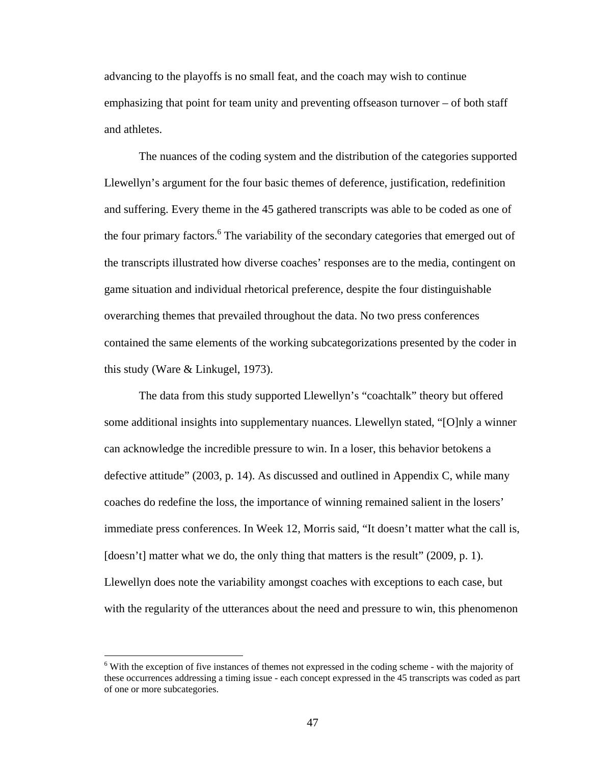advancing to the playoffs is no small feat, and the coach may wish to continue emphasizing that point for team unity and preventing offseason turnover – of both staff and athletes.

The nuances of the coding system and the distribution of the categories supported Llewellyn's argument for the four basic themes of deference, justification, redefinition and suffering. Every theme in the 45 gathered transcripts was able to be coded as one of the four primary factors.<sup>6</sup> The variability of the secondary categories that emerged out of the transcripts illustrated how diverse coaches' responses are to the media, contingent on game situation and individual rhetorical preference, despite the four distinguishable overarching themes that prevailed throughout the data. No two press conferences contained the same elements of the working subcategorizations presented by the coder in this study (Ware & Linkugel, 1973).

 The data from this study supported Llewellyn's "coachtalk" theory but offered some additional insights into supplementary nuances. Llewellyn stated, "[O]nly a winner can acknowledge the incredible pressure to win. In a loser, this behavior betokens a defective attitude" (2003, p. 14). As discussed and outlined in Appendix C, while many coaches do redefine the loss, the importance of winning remained salient in the losers' immediate press conferences. In Week 12, Morris said, "It doesn't matter what the call is, [doesn't] matter what we do, the only thing that matters is the result" (2009, p. 1). Llewellyn does note the variability amongst coaches with exceptions to each case, but with the regularity of the utterances about the need and pressure to win, this phenomenon

 $\overline{a}$ 

<sup>&</sup>lt;sup>6</sup> With the exception of five instances of themes not expressed in the coding scheme - with the majority of these occurrences addressing a timing issue - each concept expressed in the 45 transcripts was coded as part of one or more subcategories.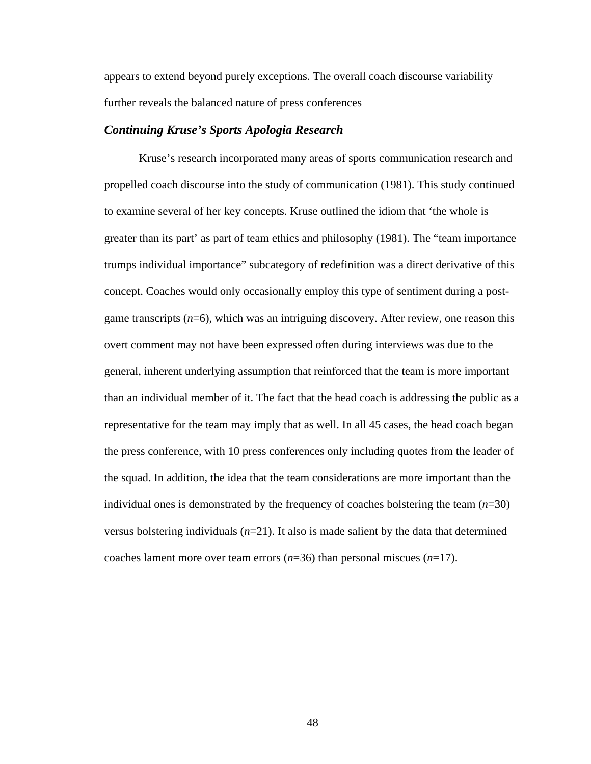appears to extend beyond purely exceptions. The overall coach discourse variability further reveals the balanced nature of press conferences

### *Continuing Kruse's Sports Apologia Research*

Kruse's research incorporated many areas of sports communication research and propelled coach discourse into the study of communication (1981). This study continued to examine several of her key concepts. Kruse outlined the idiom that 'the whole is greater than its part' as part of team ethics and philosophy (1981). The "team importance trumps individual importance" subcategory of redefinition was a direct derivative of this concept. Coaches would only occasionally employ this type of sentiment during a postgame transcripts (*n*=6), which was an intriguing discovery. After review, one reason this overt comment may not have been expressed often during interviews was due to the general, inherent underlying assumption that reinforced that the team is more important than an individual member of it. The fact that the head coach is addressing the public as a representative for the team may imply that as well. In all 45 cases, the head coach began the press conference, with 10 press conferences only including quotes from the leader of the squad. In addition, the idea that the team considerations are more important than the individual ones is demonstrated by the frequency of coaches bolstering the team  $(n=30)$ versus bolstering individuals  $(n=21)$ . It also is made salient by the data that determined coaches lament more over team errors (*n*=36) than personal miscues (*n*=17).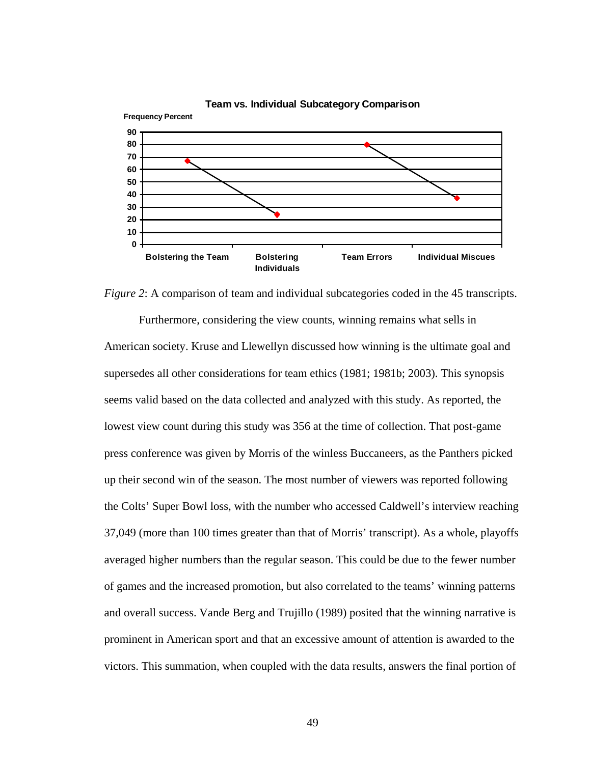

#### **Team vs. Individual Subcategory Comparison**

*Figure 2*: A comparison of team and individual subcategories coded in the 45 transcripts.

Furthermore, considering the view counts, winning remains what sells in American society. Kruse and Llewellyn discussed how winning is the ultimate goal and supersedes all other considerations for team ethics (1981; 1981b; 2003). This synopsis seems valid based on the data collected and analyzed with this study. As reported, the lowest view count during this study was 356 at the time of collection. That post-game press conference was given by Morris of the winless Buccaneers, as the Panthers picked up their second win of the season. The most number of viewers was reported following the Colts' Super Bowl loss, with the number who accessed Caldwell's interview reaching 37,049 (more than 100 times greater than that of Morris' transcript). As a whole, playoffs averaged higher numbers than the regular season. This could be due to the fewer number of games and the increased promotion, but also correlated to the teams' winning patterns and overall success. Vande Berg and Trujillo (1989) posited that the winning narrative is prominent in American sport and that an excessive amount of attention is awarded to the victors. This summation, when coupled with the data results, answers the final portion of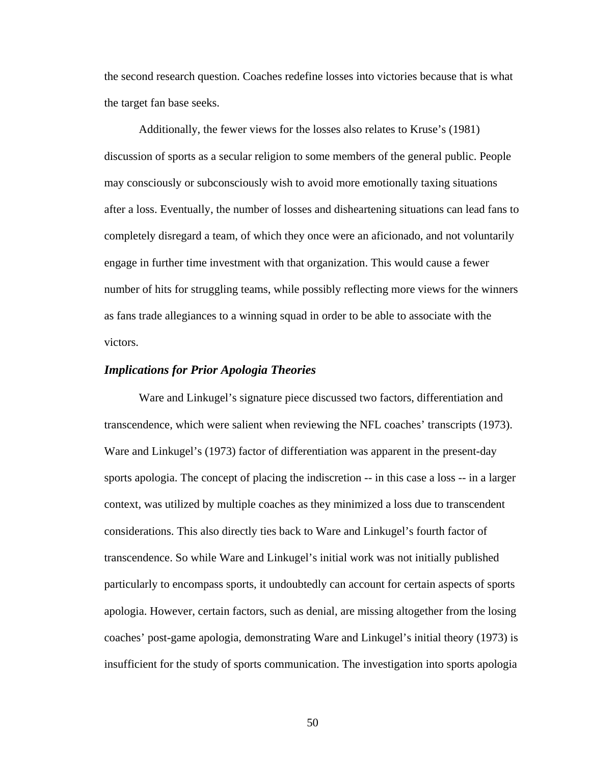the second research question. Coaches redefine losses into victories because that is what the target fan base seeks.

Additionally, the fewer views for the losses also relates to Kruse's (1981) discussion of sports as a secular religion to some members of the general public. People may consciously or subconsciously wish to avoid more emotionally taxing situations after a loss. Eventually, the number of losses and disheartening situations can lead fans to completely disregard a team, of which they once were an aficionado, and not voluntarily engage in further time investment with that organization. This would cause a fewer number of hits for struggling teams, while possibly reflecting more views for the winners as fans trade allegiances to a winning squad in order to be able to associate with the victors.

### *Implications for Prior Apologia Theories*

Ware and Linkugel's signature piece discussed two factors, differentiation and transcendence, which were salient when reviewing the NFL coaches' transcripts (1973). Ware and Linkugel's (1973) factor of differentiation was apparent in the present-day sports apologia. The concept of placing the indiscretion -- in this case a loss -- in a larger context, was utilized by multiple coaches as they minimized a loss due to transcendent considerations. This also directly ties back to Ware and Linkugel's fourth factor of transcendence. So while Ware and Linkugel's initial work was not initially published particularly to encompass sports, it undoubtedly can account for certain aspects of sports apologia. However, certain factors, such as denial, are missing altogether from the losing coaches' post-game apologia, demonstrating Ware and Linkugel's initial theory (1973) is insufficient for the study of sports communication. The investigation into sports apologia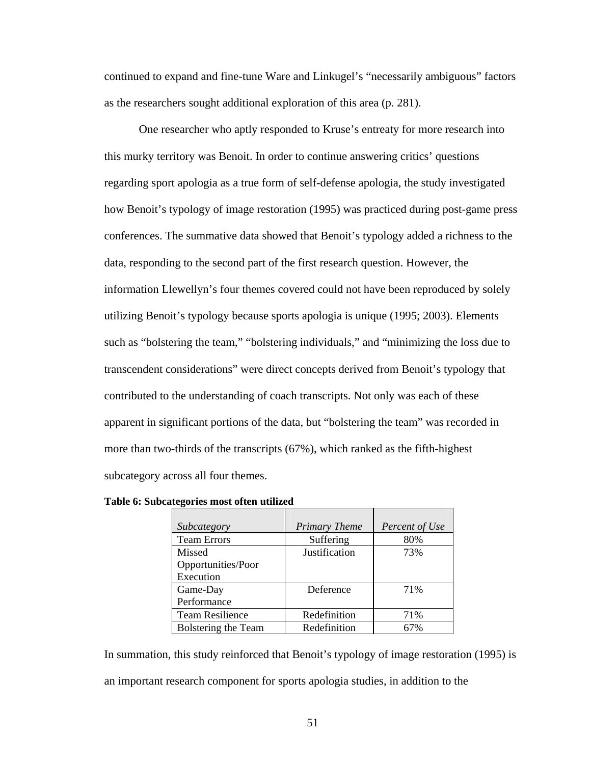continued to expand and fine-tune Ware and Linkugel's "necessarily ambiguous" factors as the researchers sought additional exploration of this area (p. 281).

 One researcher who aptly responded to Kruse's entreaty for more research into this murky territory was Benoit. In order to continue answering critics' questions regarding sport apologia as a true form of self-defense apologia, the study investigated how Benoit's typology of image restoration (1995) was practiced during post-game press conferences. The summative data showed that Benoit's typology added a richness to the data, responding to the second part of the first research question. However, the information Llewellyn's four themes covered could not have been reproduced by solely utilizing Benoit's typology because sports apologia is unique (1995; 2003). Elements such as "bolstering the team," "bolstering individuals," and "minimizing the loss due to transcendent considerations" were direct concepts derived from Benoit's typology that contributed to the understanding of coach transcripts. Not only was each of these apparent in significant portions of the data, but "bolstering the team" was recorded in more than two-thirds of the transcripts (67%), which ranked as the fifth-highest subcategory across all four themes.

| Subcategory            | <b>Primary Theme</b> | Percent of Use |
|------------------------|----------------------|----------------|
| <b>Team Errors</b>     | Suffering            | 80%            |
| Missed                 | Justification        | 73%            |
| Opportunities/Poor     |                      |                |
| Execution              |                      |                |
| Game-Day               | Deference            | 71%            |
| Performance            |                      |                |
| <b>Team Resilience</b> | Redefinition         | 71%            |
| Bolstering the Team    | Redefinition         | 67%            |

**Table 6: Subcategories most often utilized** 

In summation, this study reinforced that Benoit's typology of image restoration (1995) is an important research component for sports apologia studies, in addition to the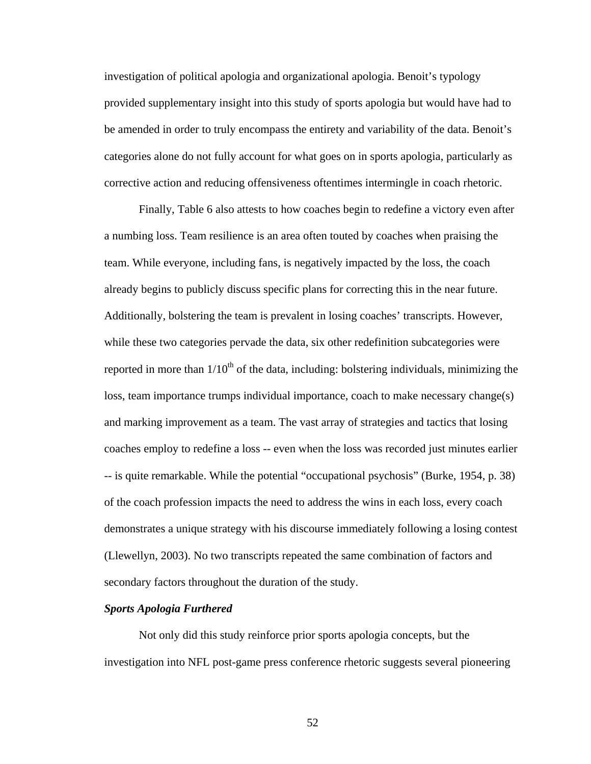investigation of political apologia and organizational apologia. Benoit's typology provided supplementary insight into this study of sports apologia but would have had to be amended in order to truly encompass the entirety and variability of the data. Benoit's categories alone do not fully account for what goes on in sports apologia, particularly as corrective action and reducing offensiveness oftentimes intermingle in coach rhetoric.

 Finally, Table 6 also attests to how coaches begin to redefine a victory even after a numbing loss. Team resilience is an area often touted by coaches when praising the team. While everyone, including fans, is negatively impacted by the loss, the coach already begins to publicly discuss specific plans for correcting this in the near future. Additionally, bolstering the team is prevalent in losing coaches' transcripts. However, while these two categories pervade the data, six other redefinition subcategories were reported in more than  $1/10^{th}$  of the data, including: bolstering individuals, minimizing the loss, team importance trumps individual importance, coach to make necessary change(s) and marking improvement as a team. The vast array of strategies and tactics that losing coaches employ to redefine a loss -- even when the loss was recorded just minutes earlier -- is quite remarkable. While the potential "occupational psychosis" (Burke, 1954, p. 38) of the coach profession impacts the need to address the wins in each loss, every coach demonstrates a unique strategy with his discourse immediately following a losing contest (Llewellyn, 2003). No two transcripts repeated the same combination of factors and secondary factors throughout the duration of the study.

### *Sports Apologia Furthered*

Not only did this study reinforce prior sports apologia concepts, but the investigation into NFL post-game press conference rhetoric suggests several pioneering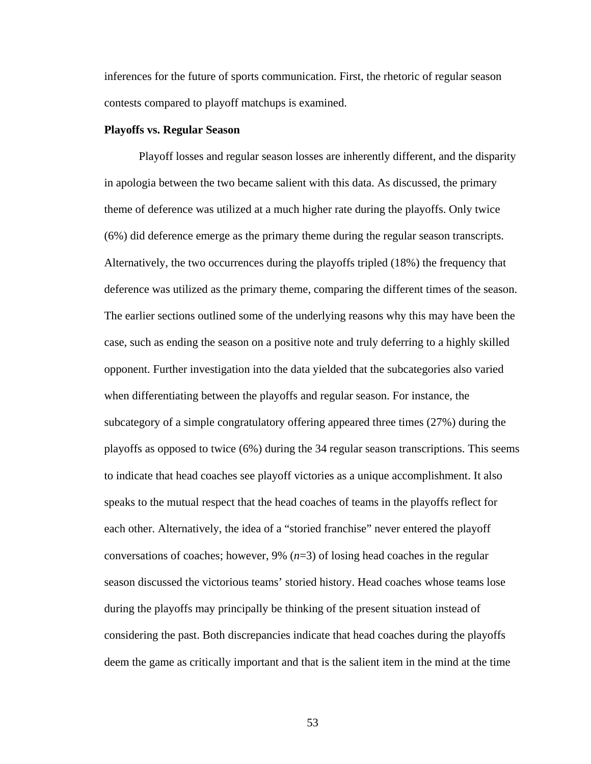inferences for the future of sports communication. First, the rhetoric of regular season contests compared to playoff matchups is examined.

#### **Playoffs vs. Regular Season**

Playoff losses and regular season losses are inherently different, and the disparity in apologia between the two became salient with this data. As discussed, the primary theme of deference was utilized at a much higher rate during the playoffs. Only twice (6%) did deference emerge as the primary theme during the regular season transcripts. Alternatively, the two occurrences during the playoffs tripled (18%) the frequency that deference was utilized as the primary theme, comparing the different times of the season. The earlier sections outlined some of the underlying reasons why this may have been the case, such as ending the season on a positive note and truly deferring to a highly skilled opponent. Further investigation into the data yielded that the subcategories also varied when differentiating between the playoffs and regular season. For instance, the subcategory of a simple congratulatory offering appeared three times (27%) during the playoffs as opposed to twice (6%) during the 34 regular season transcriptions. This seems to indicate that head coaches see playoff victories as a unique accomplishment. It also speaks to the mutual respect that the head coaches of teams in the playoffs reflect for each other. Alternatively, the idea of a "storied franchise" never entered the playoff conversations of coaches; however, 9% (*n*=3) of losing head coaches in the regular season discussed the victorious teams' storied history. Head coaches whose teams lose during the playoffs may principally be thinking of the present situation instead of considering the past. Both discrepancies indicate that head coaches during the playoffs deem the game as critically important and that is the salient item in the mind at the time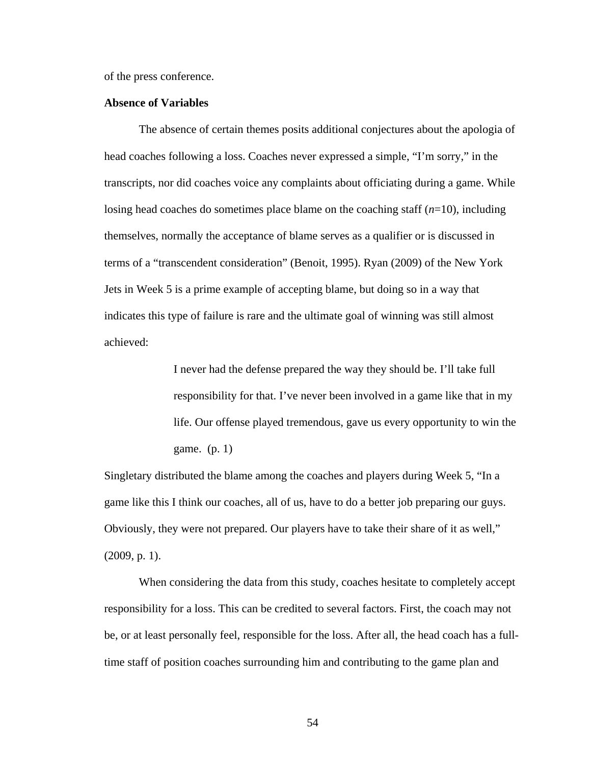of the press conference.

#### **Absence of Variables**

 The absence of certain themes posits additional conjectures about the apologia of head coaches following a loss. Coaches never expressed a simple, "I'm sorry," in the transcripts, nor did coaches voice any complaints about officiating during a game. While losing head coaches do sometimes place blame on the coaching staff (*n*=10), including themselves, normally the acceptance of blame serves as a qualifier or is discussed in terms of a "transcendent consideration" (Benoit, 1995). Ryan (2009) of the New York Jets in Week 5 is a prime example of accepting blame, but doing so in a way that indicates this type of failure is rare and the ultimate goal of winning was still almost achieved:

> I never had the defense prepared the way they should be. I'll take full responsibility for that. I've never been involved in a game like that in my life. Our offense played tremendous, gave us every opportunity to win the game. (p. 1)

Singletary distributed the blame among the coaches and players during Week 5, "In a game like this I think our coaches, all of us, have to do a better job preparing our guys. Obviously, they were not prepared. Our players have to take their share of it as well," (2009, p. 1).

 When considering the data from this study, coaches hesitate to completely accept responsibility for a loss. This can be credited to several factors. First, the coach may not be, or at least personally feel, responsible for the loss. After all, the head coach has a fulltime staff of position coaches surrounding him and contributing to the game plan and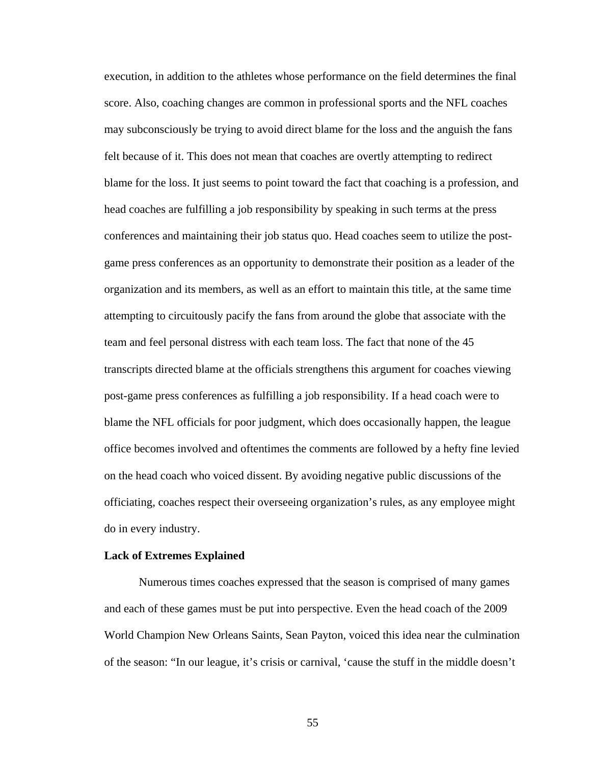execution, in addition to the athletes whose performance on the field determines the final score. Also, coaching changes are common in professional sports and the NFL coaches may subconsciously be trying to avoid direct blame for the loss and the anguish the fans felt because of it. This does not mean that coaches are overtly attempting to redirect blame for the loss. It just seems to point toward the fact that coaching is a profession, and head coaches are fulfilling a job responsibility by speaking in such terms at the press conferences and maintaining their job status quo. Head coaches seem to utilize the postgame press conferences as an opportunity to demonstrate their position as a leader of the organization and its members, as well as an effort to maintain this title, at the same time attempting to circuitously pacify the fans from around the globe that associate with the team and feel personal distress with each team loss. The fact that none of the 45 transcripts directed blame at the officials strengthens this argument for coaches viewing post-game press conferences as fulfilling a job responsibility. If a head coach were to blame the NFL officials for poor judgment, which does occasionally happen, the league office becomes involved and oftentimes the comments are followed by a hefty fine levied on the head coach who voiced dissent. By avoiding negative public discussions of the officiating, coaches respect their overseeing organization's rules, as any employee might do in every industry.

#### **Lack of Extremes Explained**

Numerous times coaches expressed that the season is comprised of many games and each of these games must be put into perspective. Even the head coach of the 2009 World Champion New Orleans Saints, Sean Payton, voiced this idea near the culmination of the season: "In our league, it's crisis or carnival, 'cause the stuff in the middle doesn't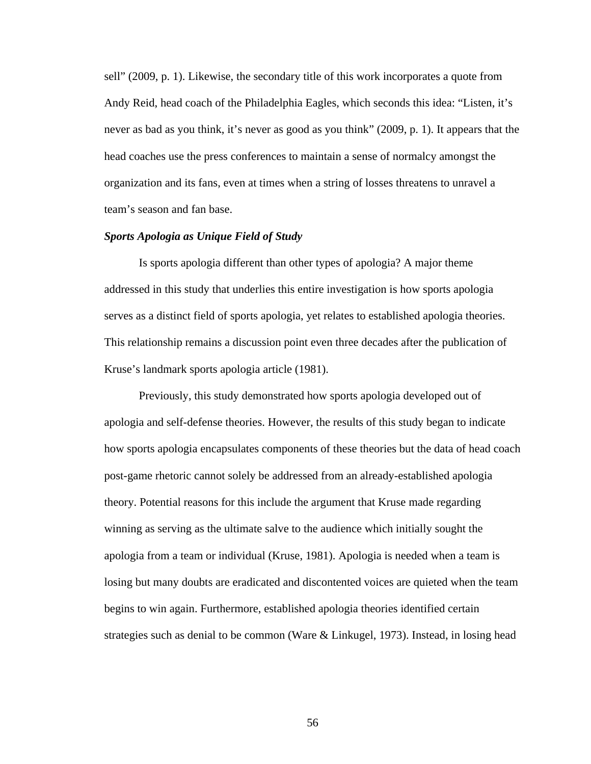sell" (2009, p. 1). Likewise, the secondary title of this work incorporates a quote from Andy Reid, head coach of the Philadelphia Eagles, which seconds this idea: "Listen, it's never as bad as you think, it's never as good as you think" (2009, p. 1). It appears that the head coaches use the press conferences to maintain a sense of normalcy amongst the organization and its fans, even at times when a string of losses threatens to unravel a team's season and fan base.

### *Sports Apologia as Unique Field of Study*

 Is sports apologia different than other types of apologia? A major theme addressed in this study that underlies this entire investigation is how sports apologia serves as a distinct field of sports apologia, yet relates to established apologia theories. This relationship remains a discussion point even three decades after the publication of Kruse's landmark sports apologia article (1981).

Previously, this study demonstrated how sports apologia developed out of apologia and self-defense theories. However, the results of this study began to indicate how sports apologia encapsulates components of these theories but the data of head coach post-game rhetoric cannot solely be addressed from an already-established apologia theory. Potential reasons for this include the argument that Kruse made regarding winning as serving as the ultimate salve to the audience which initially sought the apologia from a team or individual (Kruse, 1981). Apologia is needed when a team is losing but many doubts are eradicated and discontented voices are quieted when the team begins to win again. Furthermore, established apologia theories identified certain strategies such as denial to be common (Ware & Linkugel, 1973). Instead, in losing head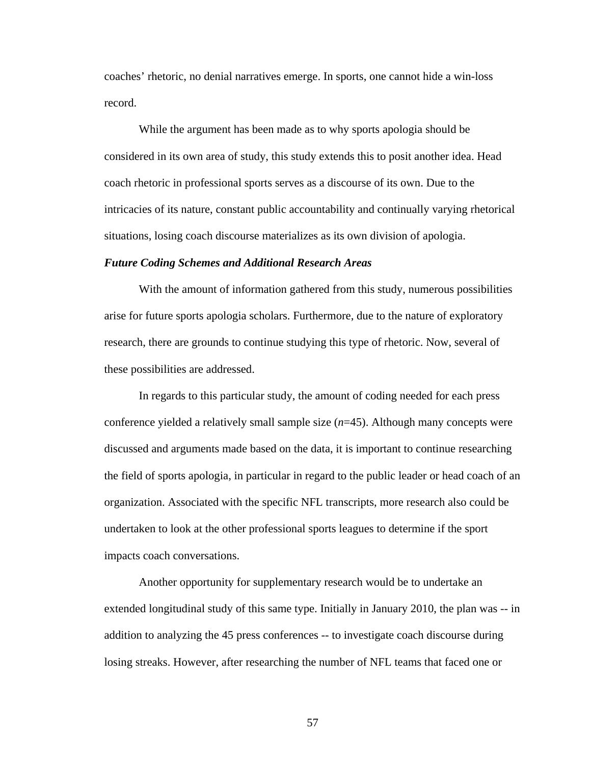coaches' rhetoric, no denial narratives emerge. In sports, one cannot hide a win-loss record.

 While the argument has been made as to why sports apologia should be considered in its own area of study, this study extends this to posit another idea. Head coach rhetoric in professional sports serves as a discourse of its own. Due to the intricacies of its nature, constant public accountability and continually varying rhetorical situations, losing coach discourse materializes as its own division of apologia.

#### *Future Coding Schemes and Additional Research Areas*

With the amount of information gathered from this study, numerous possibilities arise for future sports apologia scholars. Furthermore, due to the nature of exploratory research, there are grounds to continue studying this type of rhetoric. Now, several of these possibilities are addressed.

 In regards to this particular study, the amount of coding needed for each press conference yielded a relatively small sample size (*n*=45). Although many concepts were discussed and arguments made based on the data, it is important to continue researching the field of sports apologia, in particular in regard to the public leader or head coach of an organization. Associated with the specific NFL transcripts, more research also could be undertaken to look at the other professional sports leagues to determine if the sport impacts coach conversations.

Another opportunity for supplementary research would be to undertake an extended longitudinal study of this same type. Initially in January 2010, the plan was -- in addition to analyzing the 45 press conferences -- to investigate coach discourse during losing streaks. However, after researching the number of NFL teams that faced one or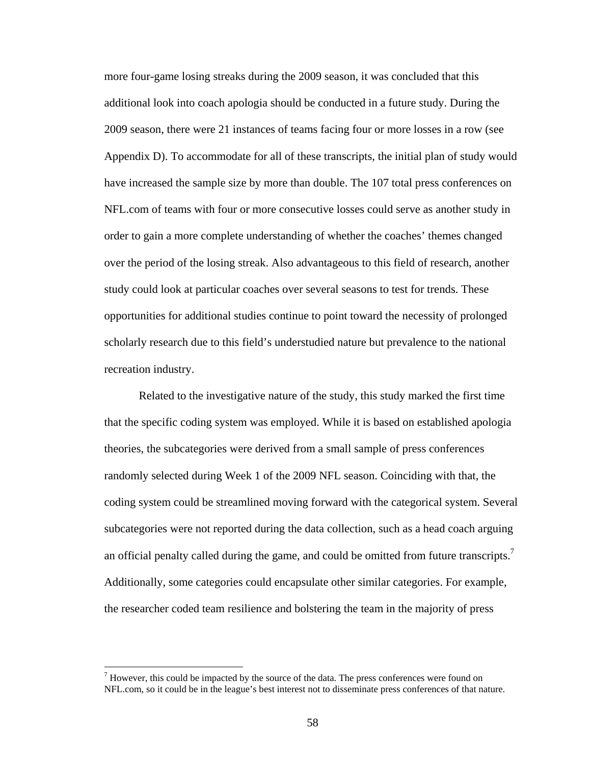more four-game losing streaks during the 2009 season, it was concluded that this additional look into coach apologia should be conducted in a future study. During the 2009 season, there were 21 instances of teams facing four or more losses in a row (see Appendix D). To accommodate for all of these transcripts, the initial plan of study would have increased the sample size by more than double. The 107 total press conferences on NFL.com of teams with four or more consecutive losses could serve as another study in order to gain a more complete understanding of whether the coaches' themes changed over the period of the losing streak. Also advantageous to this field of research, another study could look at particular coaches over several seasons to test for trends. These opportunities for additional studies continue to point toward the necessity of prolonged scholarly research due to this field's understudied nature but prevalence to the national recreation industry.

Related to the investigative nature of the study, this study marked the first time that the specific coding system was employed. While it is based on established apologia theories, the subcategories were derived from a small sample of press conferences randomly selected during Week 1 of the 2009 NFL season. Coinciding with that, the coding system could be streamlined moving forward with the categorical system. Several subcategories were not reported during the data collection, such as a head coach arguing an official penalty called during the game, and could be omitted from future transcripts.<sup>7</sup> Additionally, some categories could encapsulate other similar categories. For example, the researcher coded team resilience and bolstering the team in the majority of press

 $<sup>7</sup>$  However, this could be impacted by the source of the data. The press conferences were found on</sup> NFL.com, so it could be in the league's best interest not to disseminate press conferences of that nature.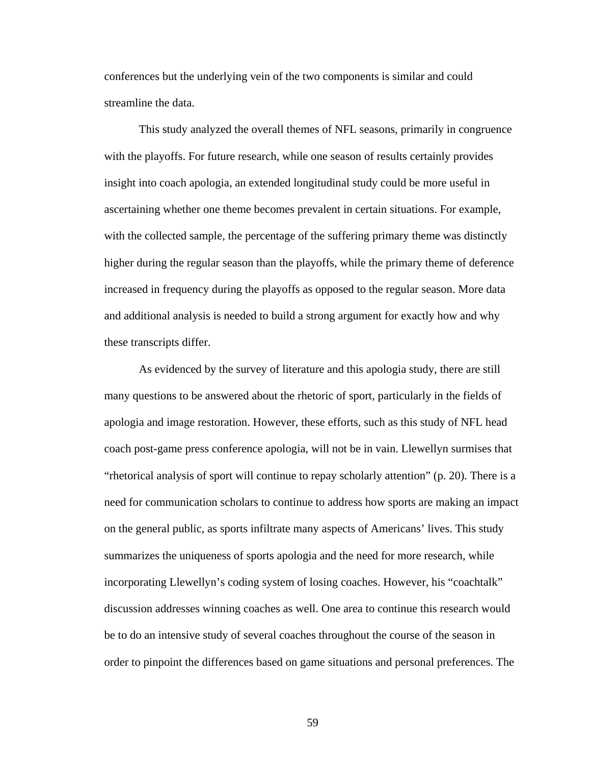conferences but the underlying vein of the two components is similar and could streamline the data.

This study analyzed the overall themes of NFL seasons, primarily in congruence with the playoffs. For future research, while one season of results certainly provides insight into coach apologia, an extended longitudinal study could be more useful in ascertaining whether one theme becomes prevalent in certain situations. For example, with the collected sample, the percentage of the suffering primary theme was distinctly higher during the regular season than the playoffs, while the primary theme of deference increased in frequency during the playoffs as opposed to the regular season. More data and additional analysis is needed to build a strong argument for exactly how and why these transcripts differ.

As evidenced by the survey of literature and this apologia study, there are still many questions to be answered about the rhetoric of sport, particularly in the fields of apologia and image restoration. However, these efforts, such as this study of NFL head coach post-game press conference apologia, will not be in vain. Llewellyn surmises that "rhetorical analysis of sport will continue to repay scholarly attention" (p. 20). There is a need for communication scholars to continue to address how sports are making an impact on the general public, as sports infiltrate many aspects of Americans' lives. This study summarizes the uniqueness of sports apologia and the need for more research, while incorporating Llewellyn's coding system of losing coaches. However, his "coachtalk" discussion addresses winning coaches as well. One area to continue this research would be to do an intensive study of several coaches throughout the course of the season in order to pinpoint the differences based on game situations and personal preferences. The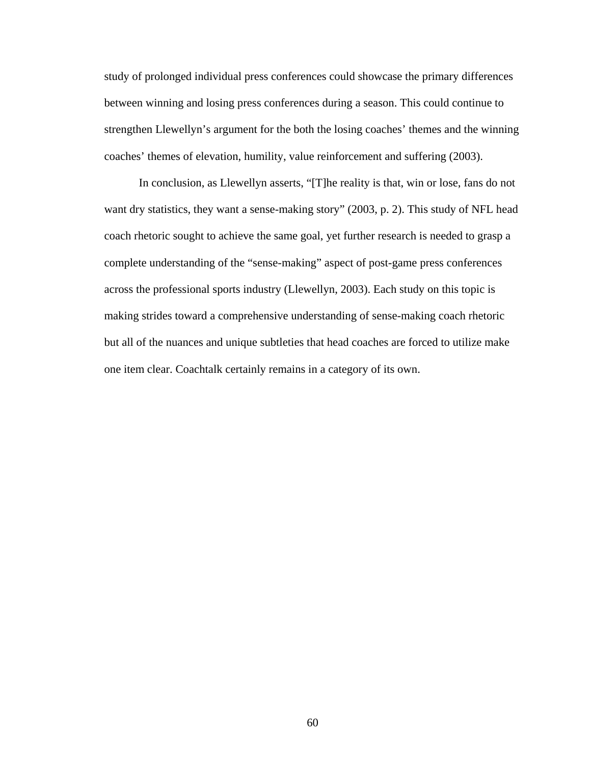study of prolonged individual press conferences could showcase the primary differences between winning and losing press conferences during a season. This could continue to strengthen Llewellyn's argument for the both the losing coaches' themes and the winning coaches' themes of elevation, humility, value reinforcement and suffering (2003).

In conclusion, as Llewellyn asserts, "[T]he reality is that, win or lose, fans do not want dry statistics, they want a sense-making story" (2003, p. 2). This study of NFL head coach rhetoric sought to achieve the same goal, yet further research is needed to grasp a complete understanding of the "sense-making" aspect of post-game press conferences across the professional sports industry (Llewellyn, 2003). Each study on this topic is making strides toward a comprehensive understanding of sense-making coach rhetoric but all of the nuances and unique subtleties that head coaches are forced to utilize make one item clear. Coachtalk certainly remains in a category of its own.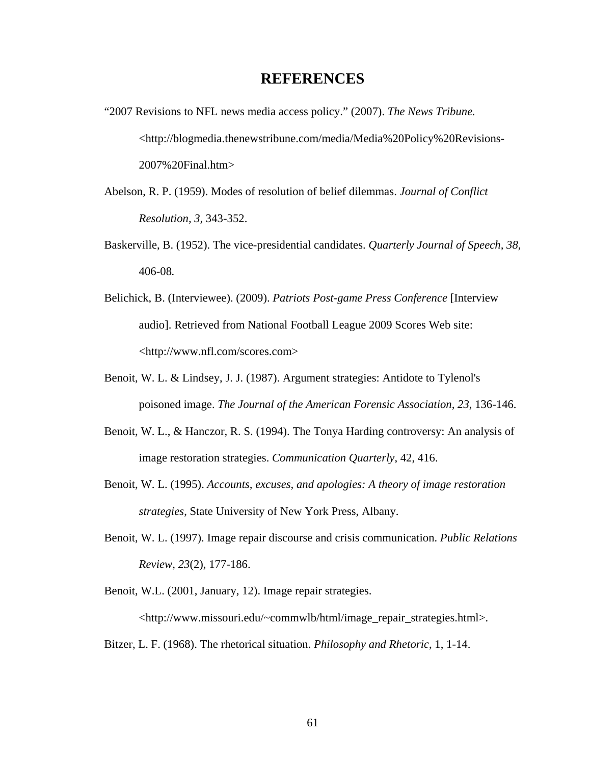# **REFERENCES**

- "2007 Revisions to NFL news media access policy." (2007). *The News Tribune.* <http://blogmedia.thenewstribune.com/media/Media%20Policy%20Revisions-2007%20Final.htm>
- Abelson, R. P. (1959). Modes of resolution of belief dilemmas. *Journal of Conflict Resolution, 3,* 343-352.
- Baskerville, B. (1952). The vice-presidential candidates. *Quarterly Journal of Speech, 38,*  406-08*.*
- Belichick, B. (Interviewee). (2009). *Patriots Post-game Press Conference* [Interview audio]. Retrieved from National Football League 2009 Scores Web site: <http://www.nfl.com/scores.com>
- Benoit, W. L. & Lindsey, J. J. (1987). Argument strategies: Antidote to Tylenol's poisoned image. *The Journal of the American Forensic Association, 23*, 136-146.
- Benoit, W. L., & Hanczor, R. S. (1994). The Tonya Harding controversy: An analysis of image restoration strategies. *Communication Quarterly*, 42, 416.
- Benoit, W. L. (1995). *Accounts, excuses, and apologies: A theory of image restoration strategies*, State University of New York Press, Albany.
- Benoit, W. L. (1997). Image repair discourse and crisis communication. *Public Relations Review, 23*(2), 177-186.
- Benoit, W.L. (2001, January, 12). Image repair strategies.

<http://www.missouri.edu/~commwlb/html/image\_repair\_strategies.html>.

Bitzer, L. F. (1968). The rhetorical situation. *Philosophy and Rhetoric*, 1, 1-14.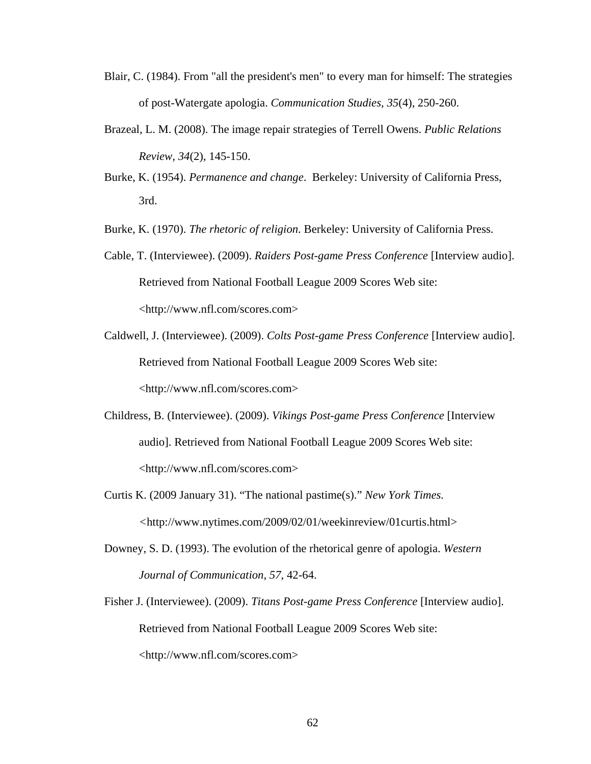- Blair, C. (1984). From "all the president's men" to every man for himself: The strategies of post-Watergate apologia. *Communication Studies, 35*(4), 250-260.
- Brazeal, L. M. (2008). The image repair strategies of Terrell Owens. *Public Relations Review, 34*(2), 145-150.
- Burke, K. (1954). *Permanence and change*. Berkeley: University of California Press, 3rd.
- Burke, K. (1970). *The rhetoric of religion*. Berkeley: University of California Press.
- Cable, T. (Interviewee). (2009). *Raiders Post-game Press Conference* [Interview audio]. Retrieved from National Football League 2009 Scores Web site: <http://www.nfl.com/scores.com>
- Caldwell, J. (Interviewee). (2009). *Colts Post-game Press Conference* [Interview audio]. Retrieved from National Football League 2009 Scores Web site: <http://www.nfl.com/scores.com>
- Childress, B. (Interviewee). (2009). *Vikings Post-game Press Conference* [Interview audio]. Retrieved from National Football League 2009 Scores Web site: <http://www.nfl.com/scores.com>
- Curtis K. (2009 January 31). "The national pastime(s)." *New York Times. <*http://www.nytimes.com/2009/02/01/weekinreview/01curtis.html>
- Downey, S. D. (1993). The evolution of the rhetorical genre of apologia. *Western Journal of Communication, 57*, 42-64.
- Fisher J. (Interviewee). (2009). *Titans Post-game Press Conference* [Interview audio]. Retrieved from National Football League 2009 Scores Web site: <http://www.nfl.com/scores.com>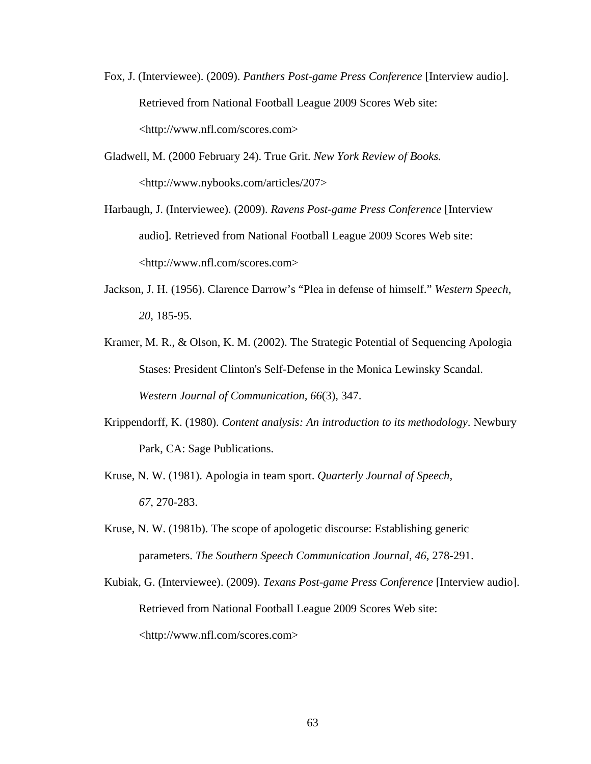- Fox, J. (Interviewee). (2009). *Panthers Post-game Press Conference* [Interview audio]. Retrieved from National Football League 2009 Scores Web site: <http://www.nfl.com/scores.com>
- Gladwell, M. (2000 February 24). True Grit. *New York Review of Books.*  <http://www.nybooks.com/articles/207>
- Harbaugh, J. (Interviewee). (2009). *Ravens Post-game Press Conference* [Interview audio]. Retrieved from National Football League 2009 Scores Web site: <http://www.nfl.com/scores.com>
- Jackson, J. H. (1956). Clarence Darrow's "Plea in defense of himself." *Western Speech*, *20*, 185-95.
- Kramer, M. R., & Olson, K. M. (2002). The Strategic Potential of Sequencing Apologia Stases: President Clinton's Self-Defense in the Monica Lewinsky Scandal. *Western Journal of Communication, 66*(3), 347.
- Krippendorff, K. (1980). *Content analysis: An introduction to its methodology*. Newbury Park, CA: Sage Publications.
- Kruse, N. W. (1981). Apologia in team sport. *Quarterly Journal of Speech, 67*, 270-283.
- Kruse, N. W. (1981b). The scope of apologetic discourse: Establishing generic parameters. *The Southern Speech Communication Journal, 46,* 278-291.
- Kubiak, G. (Interviewee). (2009). *Texans Post-game Press Conference* [Interview audio]. Retrieved from National Football League 2009 Scores Web site: <http://www.nfl.com/scores.com>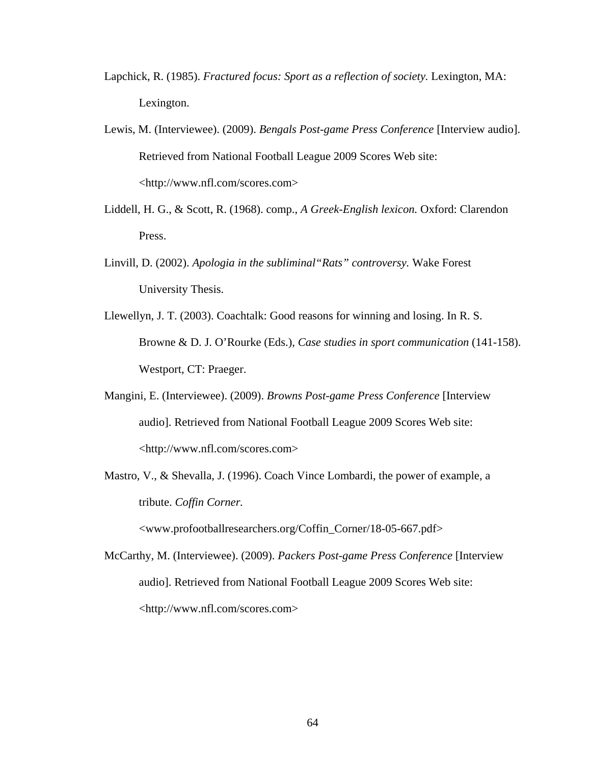- Lapchick, R. (1985). *Fractured focus: Sport as a reflection of society*. Lexington, MA: Lexington.
- Lewis, M. (Interviewee). (2009). *Bengals Post-game Press Conference* [Interview audio]. Retrieved from National Football League 2009 Scores Web site: <http://www.nfl.com/scores.com>
- Liddell, H. G., & Scott, R. (1968). comp., *A Greek-English lexicon.* Oxford: Clarendon Press.
- Linvill, D. (2002). *Apologia in the subliminal"Rats" controversy.* Wake Forest University Thesis.
- Llewellyn, J. T. (2003). Coachtalk: Good reasons for winning and losing. In R. S. Browne & D. J. O'Rourke (Eds.), *Case studies in sport communication* (141-158). Westport, CT: Praeger.
- Mangini, E. (Interviewee). (2009). *Browns Post-game Press Conference* [Interview audio]. Retrieved from National Football League 2009 Scores Web site: <http://www.nfl.com/scores.com>
- Mastro, V., & Shevalla, J. (1996). Coach Vince Lombardi, the power of example, a tribute. *Coffin Corner.*  <www.profootballresearchers.org/Coffin\_Corner/18-05-667.pdf>
- McCarthy, M. (Interviewee). (2009). *Packers Post-game Press Conference* [Interview audio]. Retrieved from National Football League 2009 Scores Web site: <http://www.nfl.com/scores.com>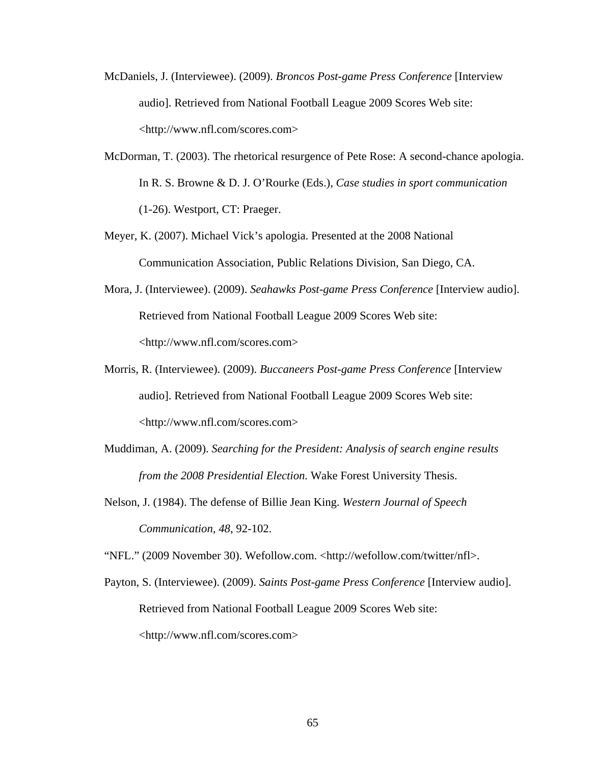- McDaniels, J. (Interviewee). (2009). *Broncos Post-game Press Conference* [Interview audio]. Retrieved from National Football League 2009 Scores Web site: <http://www.nfl.com/scores.com>
- McDorman, T. (2003). The rhetorical resurgence of Pete Rose: A second-chance apologia. In R. S. Browne & D. J. O'Rourke (Eds.), *Case studies in sport communication* (1-26). Westport, CT: Praeger.
- Meyer, K. (2007). Michael Vick's apologia. Presented at the 2008 National Communication Association, Public Relations Division, San Diego, CA.
- Mora, J. (Interviewee). (2009). *Seahawks Post-game Press Conference* [Interview audio]. Retrieved from National Football League 2009 Scores Web site: <http://www.nfl.com/scores.com>
- Morris, R. (Interviewee). (2009). *Buccaneers Post-game Press Conference* [Interview audio]. Retrieved from National Football League 2009 Scores Web site: <http://www.nfl.com/scores.com>
- Muddiman, A. (2009). *Searching for the President: Analysis of search engine results from the 2008 Presidential Election.* Wake Forest University Thesis.
- Nelson, J. (1984). The defense of Billie Jean King. *Western Journal of Speech Communication, 48*, 92-102.

"NFL." (2009 November 30). Wefollow.com. <http://wefollow.com/twitter/nfl>.

Payton, S. (Interviewee). (2009). *Saints Post-game Press Conference* [Interview audio]. Retrieved from National Football League 2009 Scores Web site: <http://www.nfl.com/scores.com>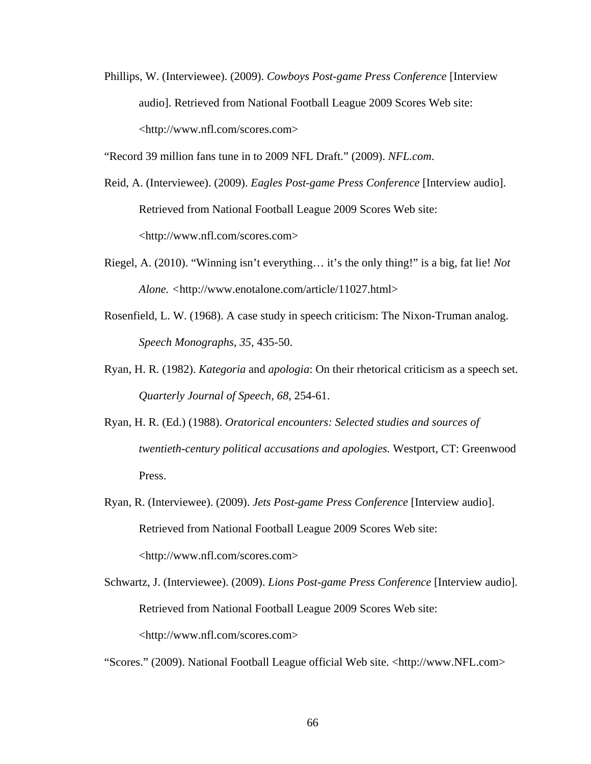Phillips, W. (Interviewee). (2009). *Cowboys Post-game Press Conference* [Interview audio]. Retrieved from National Football League 2009 Scores Web site: <http://www.nfl.com/scores.com>

"Record 39 million fans tune in to 2009 NFL Draft." (2009). *NFL.com*.

- Reid, A. (Interviewee). (2009). *Eagles Post-game Press Conference* [Interview audio]. Retrieved from National Football League 2009 Scores Web site: <http://www.nfl.com/scores.com>
- Riegel, A. (2010). "Winning isn't everything… it's the only thing!" is a big, fat lie! *Not Alone. <*http://www.enotalone.com/article/11027.html>
- Rosenfield, L. W. (1968). A case study in speech criticism: The Nixon-Truman analog. *Speech Monographs*, *35,* 435-50.
- Ryan, H. R. (1982). *Kategoria* and *apologia*: On their rhetorical criticism as a speech set. *Quarterly Journal of Speech, 68*, 254-61.
- Ryan, H. R. (Ed.) (1988). *Oratorical encounters: Selected studies and sources of twentieth-century political accusations and apologies.* Westport, CT: Greenwood Press.
- Ryan, R. (Interviewee). (2009). *Jets Post-game Press Conference* [Interview audio]. Retrieved from National Football League 2009 Scores Web site: <http://www.nfl.com/scores.com>
- Schwartz, J. (Interviewee). (2009). *Lions Post-game Press Conference* [Interview audio]. Retrieved from National Football League 2009 Scores Web site: <http://www.nfl.com/scores.com>

"Scores." (2009). National Football League official Web site. <http://www.NFL.com>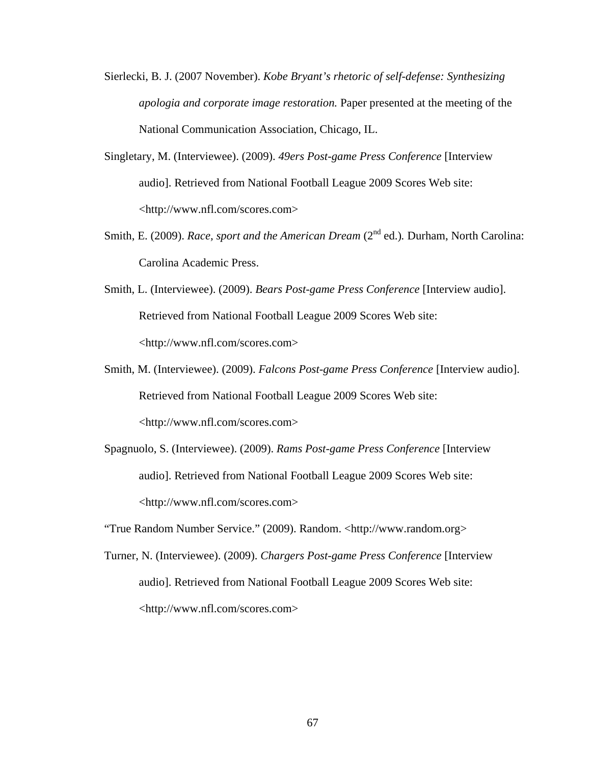- Sierlecki, B. J. (2007 November). *Kobe Bryant's rhetoric of self-defense: Synthesizing apologia and corporate image restoration.* Paper presented at the meeting of the National Communication Association, Chicago, IL.
- Singletary, M. (Interviewee). (2009). *49ers Post-game Press Conference* [Interview audio]. Retrieved from National Football League 2009 Scores Web site: <http://www.nfl.com/scores.com>
- Smith, E. (2009). *Race, sport and the American Dream* (2<sup>nd</sup> ed.). Durham, North Carolina: Carolina Academic Press.
- Smith, L. (Interviewee). (2009). *Bears Post-game Press Conference* [Interview audio]. Retrieved from National Football League 2009 Scores Web site: <http://www.nfl.com/scores.com>
- Smith, M. (Interviewee). (2009). *Falcons Post-game Press Conference* [Interview audio]. Retrieved from National Football League 2009 Scores Web site: <http://www.nfl.com/scores.com>
- Spagnuolo, S. (Interviewee). (2009). *Rams Post-game Press Conference* [Interview audio]. Retrieved from National Football League 2009 Scores Web site: <http://www.nfl.com/scores.com>

"True Random Number Service." (2009). Random. <http://www.random.org>

Turner, N. (Interviewee). (2009). *Chargers Post-game Press Conference* [Interview audio]. Retrieved from National Football League 2009 Scores Web site: <http://www.nfl.com/scores.com>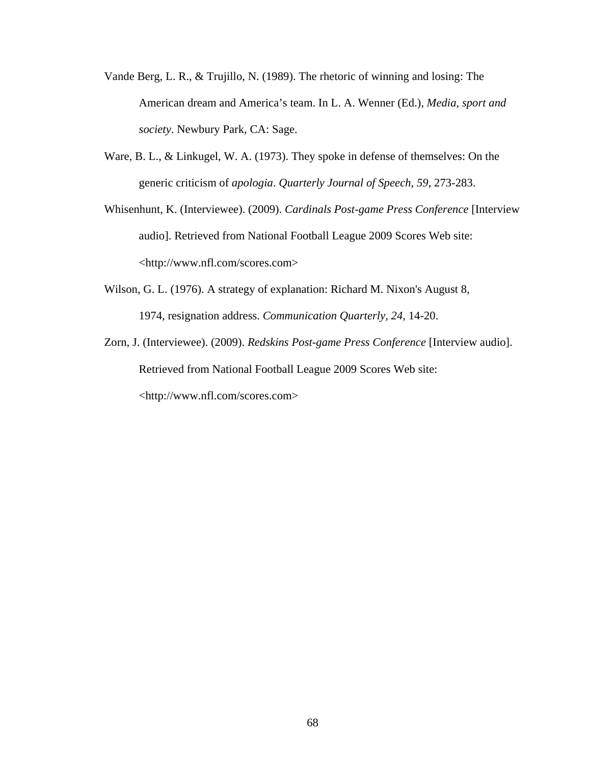- Vande Berg, L. R., & Trujillo, N. (1989). The rhetoric of winning and losing: The American dream and America's team. In L. A. Wenner (Ed.), *Media, sport and society*. Newbury Park, CA: Sage.
- Ware, B. L., & Linkugel, W. A. (1973). They spoke in defense of themselves: On the generic criticism of *apologia*. *Quarterly Journal of Speech, 59*, 273-283.
- Whisenhunt, K. (Interviewee). (2009). *Cardinals Post-game Press Conference* [Interview audio]. Retrieved from National Football League 2009 Scores Web site: <http://www.nfl.com/scores.com>
- Wilson, G. L. (1976). A strategy of explanation: Richard M. Nixon's August 8, 1974, resignation address. *Communication Quarterly, 24*, 14-20.
- Zorn, J. (Interviewee). (2009). *Redskins Post-game Press Conference* [Interview audio]. Retrieved from National Football League 2009 Scores Web site: <http://www.nfl.com/scores.com>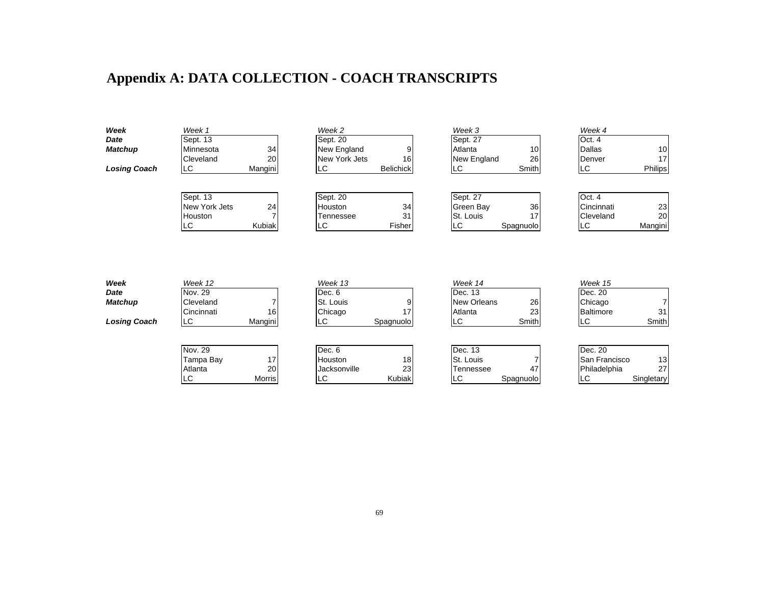## **Appendix A: DATA COLLECTION - COACH TRANSCRIPTS**

| Week                | Week 1                    |         | Week 2              |                  | Week 3             |           | Week 4           |          |
|---------------------|---------------------------|---------|---------------------|------------------|--------------------|-----------|------------------|----------|
| Date                | Sept. 13                  |         | Sept. 20            |                  | Sept. 27           |           | Oct. 4           |          |
| <b>Matchup</b>      | Minnesota                 | 34      | New England         | 9                | Atlanta            | 10        | <b>Dallas</b>    | 10       |
|                     | Cleveland                 | 20      | New York Jets       | 16               | New England        | 26        | Denver           | 17       |
| <b>Losing Coach</b> | LC                        | Mangini | LC                  | <b>Belichick</b> | LC                 | Smith     | LC.              | Philips  |
|                     |                           |         |                     |                  |                    |           | Oct. 4           |          |
|                     | Sept. 13<br>New York Jets | 24      | Sept. 20<br>Houston |                  | Sept. 27           |           | Cincinnati       |          |
|                     |                           |         |                     | 34<br>31         | Green Bay          | 36<br>17  | Cleveland        | 23<br>20 |
|                     | Houston                   |         | Tennessee           |                  | St. Louis          |           |                  |          |
|                     | <b>LC</b>                 | Kubiak  | LC                  | Fisher           | <b>LC</b>          | Spagnuolo | LC               | Mangini  |
| Week<br>Date        | Week 12<br>Nov. 29        |         | Week 13<br>Dec. 6   |                  | Week 14            |           | Week 15          |          |
|                     |                           |         |                     |                  | Dec. 13            |           | Dec. 20          |          |
| <b>Matchup</b>      | Cleveland                 |         | St. Louis           | 9                | <b>New Orleans</b> | 26        | Chicago          |          |
|                     | Cincinnati                | 16      | Chicago             | 17               | Atlanta            | 23        | <b>Baltimore</b> | 31       |
| <b>Losing Coach</b> | LC                        | Mangini | LC                  | Spagnuolo        | LC                 | Smith     | LC.              | Smith    |
|                     | Nov. 29                   |         | Dec. 6              |                  | Dec. 13            |           | Dec. 20          |          |
|                     | Tampa Bay                 | 17      | Houston             | 18               | St. Louis          |           | San Francisco    | 13       |
|                     | Atlanta                   | 20      | Jacksonville        | 23               | Tennessee          | 47        | Philadelphia     | 27       |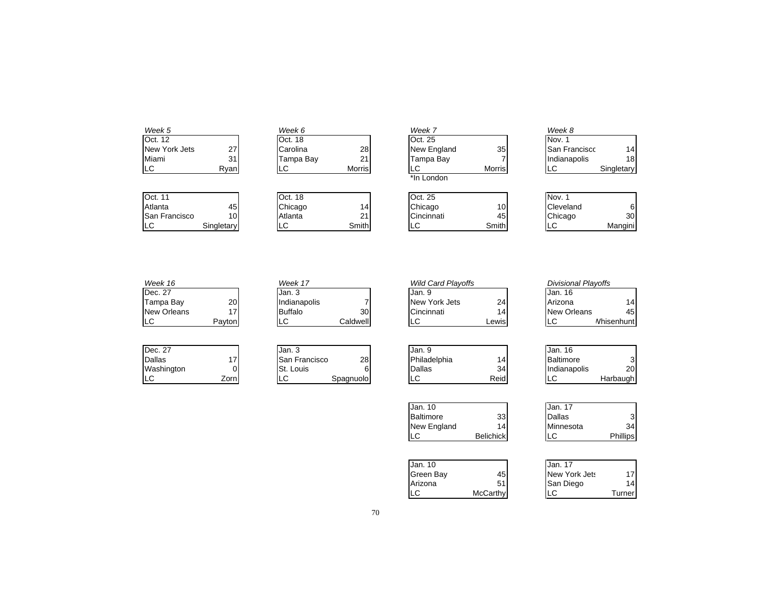| Week 5               |            | Week 6    |        |                 | Week 7      |                 | Week 8               |                 |
|----------------------|------------|-----------|--------|-----------------|-------------|-----------------|----------------------|-----------------|
| Oct. 12              |            | Oct. 18   |        |                 | Oct. 25     |                 | Nov. 1               |                 |
| New York Jets        | 27         | Carolina  | 28     |                 | New England | 35              | <b>San Franciscc</b> | 14              |
| Miami                | 31         | Tampa Bay | 21     |                 | Tampa Bay   |                 | Indianapolis         | 18              |
| LC                   | Ryan       | LC        | Morris |                 | LC          | <b>Morris</b>   | LC                   | Singletary      |
|                      |            |           |        |                 | *In London  |                 |                      |                 |
| Oct. 11              |            | Oct. 18   |        |                 | Oct. 25     |                 | Nov. 1               |                 |
| Atlanta              | 45         | Chicago   |        | 14 <sub>1</sub> | Chicago     | 10 <sub>1</sub> | Cleveland            | 6               |
| <b>San Francisco</b> | 10         | Atlanta   | 21     |                 | Cincinnati  | 45              | Chicago              | 30 <sup>l</sup> |
| LС                   | Singletary | LC        | Smith  |                 | LC          | Smith           | LC                   | Mangini         |

| Week 16                               |                 | Week 17                                                 |         | <b>Wild Card Playoffs</b>              |                  | <b>Divisional Playoffs</b>                 |                     |
|---------------------------------------|-----------------|---------------------------------------------------------|---------|----------------------------------------|------------------|--------------------------------------------|---------------------|
| Dec. 27                               |                 | Jan. 3                                                  |         | Jan. 9                                 |                  | Jan. 16                                    |                     |
| Tampa Bay                             | 20              | Indianapolis                                            |         | New York Jets                          | 24               | Arizona                                    | 14                  |
| <b>New Orleans</b>                    | 17              | <b>Buffalo</b>                                          | 30      | Cincinnati                             | 14               | New Orleans                                | 45                  |
| LC                                    | Payton          | Caldwell<br>LC                                          |         | LC.                                    | Lewis            | LC                                         | <b>Nhisenhunt</b>   |
| Dec. 27<br>Dallas<br>Washington<br>LC | 17<br>0<br>Zorn | Jan. 3<br>San Francisco<br>St. Louis<br>LC<br>Spagnuolo | 28<br>6 | Jan. 9<br>Philadelphia<br>Dallas<br>LC | 14<br>34<br>Reid | Jan. 16<br>Baltimore<br>Indianapolis<br>LC | 3<br>20<br>Harbaugh |
|                                       |                 |                                                         |         | Jan. 10<br>Baltimore<br>New England    | 33<br>14         | Jan. 17<br><b>Dallas</b><br>Minnesota      | $\mathbf{3}$<br>34  |

| Jan. 10   |          | Jan. 17       |        |
|-----------|----------|---------------|--------|
| Green Bay | 45       | New York Jets | 17     |
| Arizona   | 51       | San Diego     | 14     |
| LC        | McCarthy | LC            | Turner |

LC Belichick LC Phillips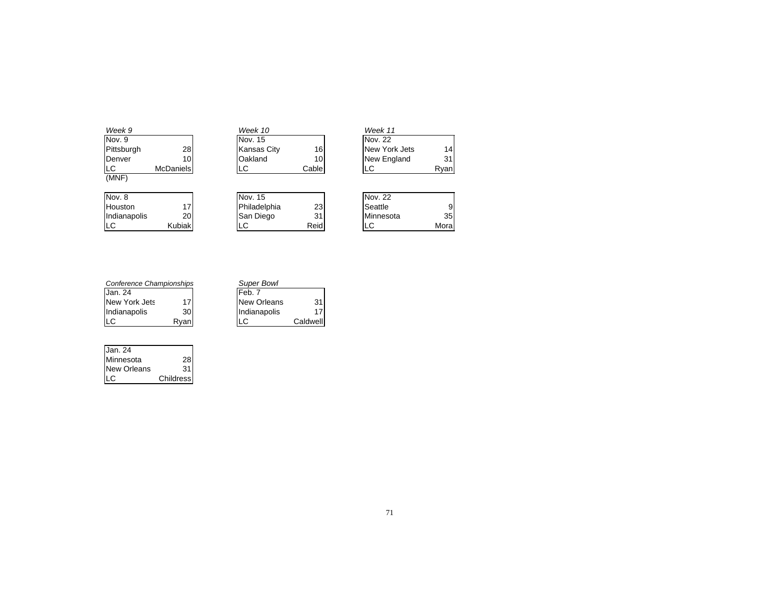| Week 9         |           | Week 10            |                 | Week 11       |                 |
|----------------|-----------|--------------------|-----------------|---------------|-----------------|
| Nov. 9         |           | Nov. 15            |                 | Nov. 22       |                 |
| Pittsburgh     | 28        | <b>Kansas City</b> | 16              | New York Jets | 14              |
| <b>IDenver</b> | 101       | Oakland            | 10 <sub>1</sub> | New England   | 31              |
| LC             | McDaniels | LC                 | Cable           | LC            | Ryan            |
| (MNF)          |           |                    |                 |               |                 |
| Nov. 8         |           | Nov. 15            |                 | Nov. 22       |                 |
| <b>Houston</b> | 17        | Philadelphia       | 23              | Seattle       | 9               |
| Indianapolis   | 20        | San Diego          | 31              | Minnesota     | 35 <sub>l</sub> |
| ILC            | Kubiak    | LC                 | Reid            | LС            | Mora            |

| Conference Championships |      | <b>Super Bowl</b>  |          |
|--------------------------|------|--------------------|----------|
| Jan. 24                  |      | IFeb. 7            |          |
| New York Jets            | 17   | <b>New Orleans</b> | 31       |
| Indianapolis             | 30   | Indianapolis       | 17       |
| LС                       | Rvan | LC                 | Caldwell |

| Jan. 24            |           |
|--------------------|-----------|
| Minnesota          | 28        |
| <b>New Orleans</b> | 31        |
|                    | Childress |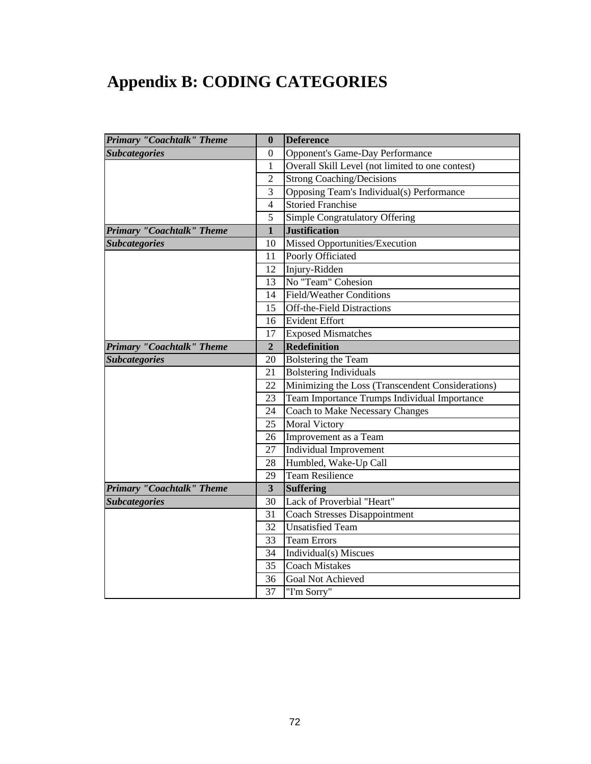# **Appendix B: CODING CATEGORIES**

| <b>Primary "Coachtalk" Theme</b> | $\bf{0}$                | <b>Deference</b>                                  |
|----------------------------------|-------------------------|---------------------------------------------------|
| <b>Subcategories</b>             | 0                       | <b>Opponent's Game-Day Performance</b>            |
|                                  | 1                       | Overall Skill Level (not limited to one contest)  |
|                                  | $\overline{2}$          | <b>Strong Coaching/Decisions</b>                  |
|                                  | 3                       | Opposing Team's Individual(s) Performance         |
|                                  | $\overline{4}$          | <b>Storied Franchise</b>                          |
|                                  | 5                       | Simple Congratulatory Offering                    |
| <b>Primary "Coachtalk" Theme</b> | $\mathbf{1}$            | <b>Justification</b>                              |
| <b>Subcategories</b>             | 10                      | Missed Opportunities/Execution                    |
|                                  | 11                      | Poorly Officiated                                 |
|                                  | 12                      | Injury-Ridden                                     |
|                                  | 13                      | No "Team" Cohesion                                |
|                                  | 14                      | <b>Field/Weather Conditions</b>                   |
|                                  | 15                      | <b>Off-the-Field Distractions</b>                 |
|                                  | 16                      | <b>Evident Effort</b>                             |
|                                  | 17                      | <b>Exposed Mismatches</b>                         |
| <b>Primary "Coachtalk" Theme</b> | $\overline{2}$          | Redefinition                                      |
| <b>Subcategories</b>             | 20                      | Bolstering the Team                               |
|                                  | 21                      | <b>Bolstering Individuals</b>                     |
|                                  | 22                      | Minimizing the Loss (Transcendent Considerations) |
|                                  | 23                      | Team Importance Trumps Individual Importance      |
|                                  | 24                      | <b>Coach to Make Necessary Changes</b>            |
|                                  | 25                      | <b>Moral Victory</b>                              |
|                                  | 26                      | Improvement as a Team                             |
|                                  | 27                      | Individual Improvement                            |
|                                  | 28                      | Humbled, Wake-Up Call                             |
|                                  | 29                      | <b>Team Resilience</b>                            |
| Primary "Coachtalk" Theme        | $\overline{\mathbf{3}}$ | <b>Suffering</b>                                  |
| <b>Subcategories</b>             | 30                      | Lack of Proverbial "Heart"                        |
|                                  | 31                      | <b>Coach Stresses Disappointment</b>              |
|                                  | 32                      | <b>Unsatisfied Team</b>                           |
|                                  | 33                      | <b>Team Errors</b>                                |
|                                  | 34                      | Individual(s) Miscues                             |
|                                  | 35                      | <b>Coach Mistakes</b>                             |
|                                  | 36                      | Goal Not Achieved                                 |
|                                  | 37                      | "I'm Sorry"                                       |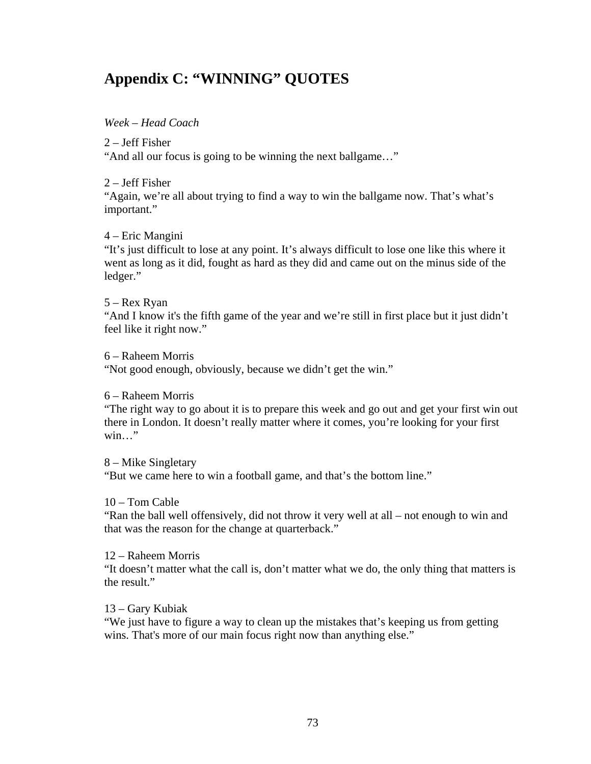## **Appendix C: "WINNING" QUOTES**

#### *Week – Head Coach*

#### 2 – Jeff Fisher

"And all our focus is going to be winning the next ballgame…"

#### 2 – Jeff Fisher

"Again, we're all about trying to find a way to win the ballgame now. That's what's important."

#### 4 – Eric Mangini

"It's just difficult to lose at any point. It's always difficult to lose one like this where it went as long as it did, fought as hard as they did and came out on the minus side of the ledger."

#### 5 – Rex Ryan

"And I know it's the fifth game of the year and we're still in first place but it just didn't feel like it right now."

#### 6 – Raheem Morris

"Not good enough, obviously, because we didn't get the win."

#### 6 – Raheem Morris

"The right way to go about it is to prepare this week and go out and get your first win out there in London. It doesn't really matter where it comes, you're looking for your first win…"

#### 8 – Mike Singletary

"But we came here to win a football game, and that's the bottom line."

#### 10 – Tom Cable

"Ran the ball well offensively, did not throw it very well at all – not enough to win and that was the reason for the change at quarterback."

#### 12 – Raheem Morris

"It doesn't matter what the call is, don't matter what we do, the only thing that matters is the result."

#### 13 – Gary Kubiak

"We just have to figure a way to clean up the mistakes that's keeping us from getting wins. That's more of our main focus right now than anything else."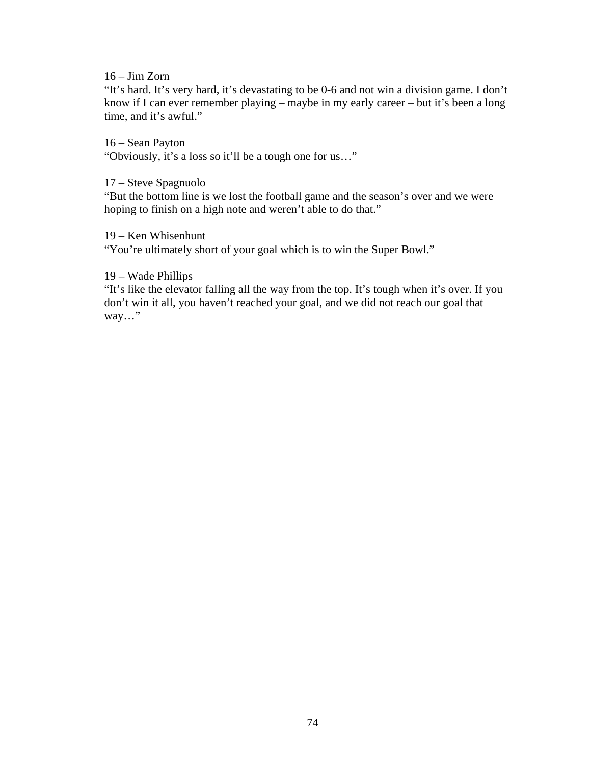#### 16 – Jim Zorn

"It's hard. It's very hard, it's devastating to be 0-6 and not win a division game. I don't know if I can ever remember playing – maybe in my early career – but it's been a long time, and it's awful."

16 – Sean Payton

"Obviously, it's a loss so it'll be a tough one for us…"

17 – Steve Spagnuolo

"But the bottom line is we lost the football game and the season's over and we were hoping to finish on a high note and weren't able to do that."

#### 19 – Ken Whisenhunt

"You're ultimately short of your goal which is to win the Super Bowl."

#### 19 – Wade Phillips

"It's like the elevator falling all the way from the top. It's tough when it's over. If you don't win it all, you haven't reached your goal, and we did not reach our goal that way…"